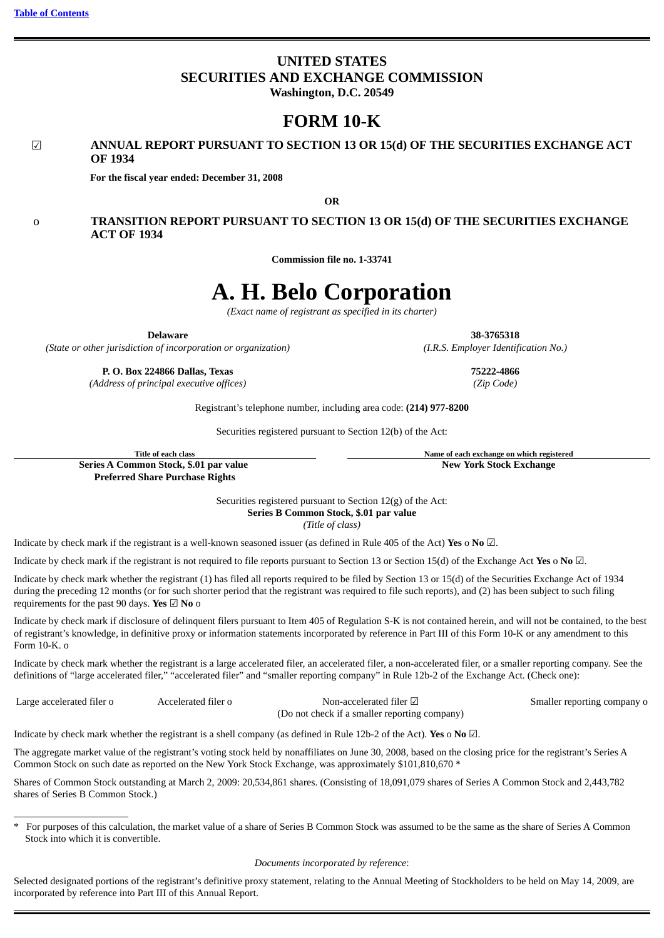# **UNITED STATES SECURITIES AND EXCHANGE COMMISSION**

**Washington, D.C. 20549**

# **FORM 10-K**

# ☑ **ANNUAL REPORT PURSUANT TO SECTION 13 OR 15(d) OF THE SECURITIES EXCHANGE ACT OF 1934**

**For the fiscal year ended: December 31, 2008**

**OR**

# o **TRANSITION REPORT PURSUANT TO SECTION 13 OR 15(d) OF THE SECURITIES EXCHANGE ACT OF 1934**

**Commission file no. 1-33741**

# **A. H. Belo Corporation**

*(Exact name of registrant as specified in its charter)*

**Delaware**

*(State or other jurisdiction of incorporation or organization)*

*(Address of principal executive offices) (Zip Code)*

**P. O. Box 224866 Dallas, Texas 75222-4866**

**38-3765318** *(I.R.S. Employer Identification No.)*

Registrant's telephone number, including area code: **(214) 977-8200**

Securities registered pursuant to Section 12(b) of the Act:

**Series A Common Stock, \$.01 par value Preferred Share Purchase Rights**

**Title of each class Name of each exchange on which registered New York Stock Exchange**

> Securities registered pursuant to Section 12(g) of the Act: **Series B Common Stock, \$.01 par value**

> > *(Title of class)*

Indicate by check mark if the registrant is a well-known seasoned issuer (as defined in Rule 405 of the Act) **Yes** o **No** ☑.

Indicate by check mark if the registrant is not required to file reports pursuant to Section 13 or Section 15(d) of the Exchange Act **Yes** o **No** ☑.

Indicate by check mark whether the registrant (1) has filed all reports required to be filed by Section 13 or 15(d) of the Securities Exchange Act of 1934 during the preceding 12 months (or for such shorter period that the registrant was required to file such reports), and (2) has been subject to such filing requirements for the past 90 days. **Yes** ☑ **No** o

Indicate by check mark if disclosure of delinquent filers pursuant to Item 405 of Regulation S-K is not contained herein, and will not be contained, to the best of registrant's knowledge, in definitive proxy or information statements incorporated by reference in Part III of this Form 10-K or any amendment to this Form 10-K. o

Indicate by check mark whether the registrant is a large accelerated filer, an accelerated filer, a non-accelerated filer, or a smaller reporting company. See the definitions of "large accelerated filer," "accelerated filer" and "smaller reporting company" in Rule 12b-2 of the Exchange Act. (Check one):

Large accelerated filer o Accelerated filer o Non-accelerated filer **Ø** (Do not check if a smaller reporting company) Smaller reporting company o

Indicate by check mark whether the registrant is a shell company (as defined in Rule 12b-2 of the Act). **Yes** o **No** ☑.

The aggregate market value of the registrant's voting stock held by nonaffiliates on June 30, 2008, based on the closing price for the registrant's Series A Common Stock on such date as reported on the New York Stock Exchange, was approximately \$101,810,670 \*

Shares of Common Stock outstanding at March 2, 2009: 20,534,861 shares. (Consisting of 18,091,079 shares of Series A Common Stock and 2,443,782 shares of Series B Common Stock.)

#### *Documents incorporated by reference*:

Selected designated portions of the registrant's definitive proxy statement, relating to the Annual Meeting of Stockholders to be held on May 14, 2009, are incorporated by reference into Part III of this Annual Report.

<sup>\*</sup> For purposes of this calculation, the market value of a share of Series B Common Stock was assumed to be the same as the share of Series A Common Stock into which it is convertible.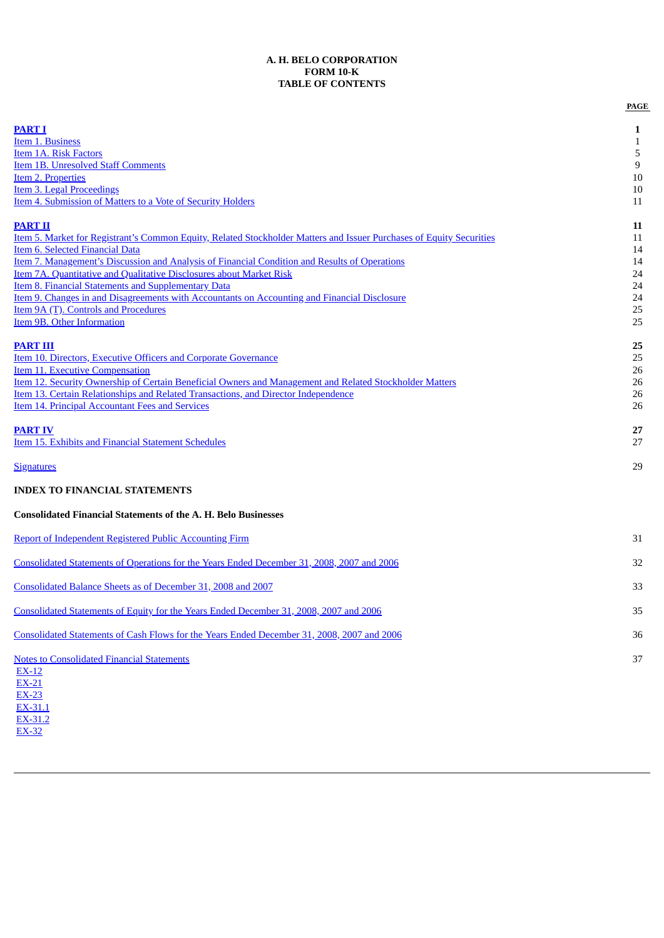### **A. H. BELO CORPORATION FORM 10-K TABLE OF CONTENTS**

**PAGE**

<span id="page-3-0"></span>

| <b>PART I</b>                                                                                                        | 1            |
|----------------------------------------------------------------------------------------------------------------------|--------------|
| <b>Item 1. Business</b>                                                                                              | $\mathbf{1}$ |
| <b>Item 1A. Risk Factors</b>                                                                                         | 5            |
| <b>Item 1B. Unresolved Staff Comments</b>                                                                            | 9            |
| <b>Item 2. Properties</b>                                                                                            | 10           |
| Item 3. Legal Proceedings                                                                                            | 10           |
| <b>Item 4. Submission of Matters to a Vote of Security Holders</b>                                                   | 11           |
| <b>PART II</b>                                                                                                       | 11           |
| Item 5. Market for Registrant's Common Equity, Related Stockholder Matters and Issuer Purchases of Equity Securities | 11           |
| Item 6. Selected Financial Data                                                                                      | 14           |
| Item 7. Management's Discussion and Analysis of Financial Condition and Results of Operations                        | 14           |
| <b>Item 7A. Quantitative and Qualitative Disclosures about Market Risk</b>                                           | 24           |
| Item 8. Financial Statements and Supplementary Data                                                                  | 24           |
| Item 9. Changes in and Disagreements with Accountants on Accounting and Financial Disclosure                         | 24           |
| Item 9A (T). Controls and Procedures                                                                                 | 25           |
| Item 9B. Other Information                                                                                           | 25           |
| <b>PART III</b>                                                                                                      | 25           |
| <b>Item 10. Directors, Executive Officers and Corporate Governance</b>                                               | 25           |
| <b>Item 11. Executive Compensation</b>                                                                               | 26           |
| Item 12. Security Ownership of Certain Beneficial Owners and Management and Related Stockholder Matters              | 26           |
| Item 13. Certain Relationships and Related Transactions, and Director Independence                                   | 26           |
| <b>Item 14. Principal Accountant Fees and Services</b>                                                               | 26           |
|                                                                                                                      |              |
| <b>PART IV</b>                                                                                                       | 27           |
| <b>Item 15. Exhibits and Financial Statement Schedules</b>                                                           | 27           |
| <b>Signatures</b>                                                                                                    | 29           |
| <b>INDEX TO FINANCIAL STATEMENTS</b>                                                                                 |              |
| <b>Consolidated Financial Statements of the A. H. Belo Businesses</b>                                                |              |
| Report of Independent Registered Public Accounting Firm                                                              | 31           |
| Consolidated Statements of Operations for the Years Ended December 31, 2008, 2007 and 2006                           | 32           |
| Consolidated Balance Sheets as of December 31, 2008 and 2007                                                         | 33           |
|                                                                                                                      |              |
| Consolidated Statements of Equity for the Years Ended December 31, 2008, 2007 and 2006                               | 35           |
| Consolidated Statements of Cash Flows for the Years Ended December 31, 2008, 2007 and 2006                           | 36           |
| <b>Notes to Consolidated Financial Statements</b>                                                                    | 37           |
| <b>EX-12</b>                                                                                                         |              |
| <b>EX-21</b>                                                                                                         |              |
| $EX-23$                                                                                                              |              |
| EX-31.1                                                                                                              |              |

EX-31.2

EX-32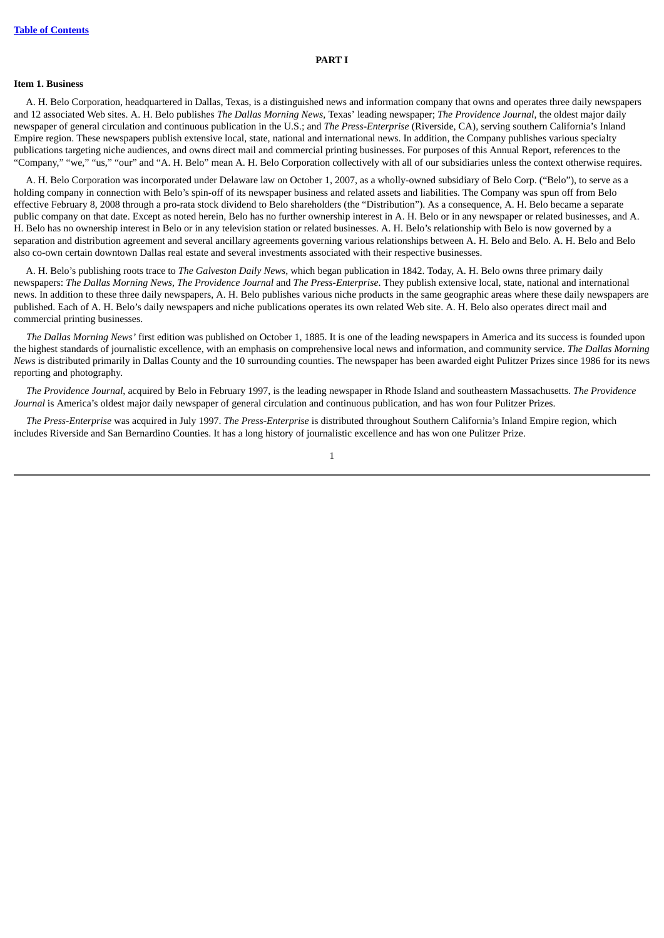#### **PART I**

#### <span id="page-4-1"></span><span id="page-4-0"></span>**Item 1. Business**

A. H. Belo Corporation, headquartered in Dallas, Texas, is a distinguished news and information company that owns and operates three daily newspapers and 12 associated Web sites. A. H. Belo publishes *The Dallas Morning News*, Texas' leading newspaper; *The Providence Journal*, the oldest major daily newspaper of general circulation and continuous publication in the U.S.; and *The Press-Enterprise* (Riverside, CA), serving southern California's Inland Empire region. These newspapers publish extensive local, state, national and international news. In addition, the Company publishes various specialty publications targeting niche audiences, and owns direct mail and commercial printing businesses. For purposes of this Annual Report, references to the "Company," "we," "us," "our" and "A. H. Belo" mean A. H. Belo Corporation collectively with all of our subsidiaries unless the context otherwise requires.

A. H. Belo Corporation was incorporated under Delaware law on October 1, 2007, as a wholly-owned subsidiary of Belo Corp. ("Belo"), to serve as a holding company in connection with Belo's spin-off of its newspaper business and related assets and liabilities. The Company was spun off from Belo effective February 8, 2008 through a pro-rata stock dividend to Belo shareholders (the "Distribution"). As a consequence, A. H. Belo became a separate public company on that date. Except as noted herein, Belo has no further ownership interest in A. H. Belo or in any newspaper or related businesses, and A. H. Belo has no ownership interest in Belo or in any television station or related businesses. A. H. Belo's relationship with Belo is now governed by a separation and distribution agreement and several ancillary agreements governing various relationships between A. H. Belo and Belo. A. H. Belo and Belo also co-own certain downtown Dallas real estate and several investments associated with their respective businesses.

A. H. Belo's publishing roots trace to *The Galveston Daily News*, which began publication in 1842. Today, A. H. Belo owns three primary daily newspapers: *The Dallas Morning News*, *The Providence Journal* and *The Press-Enterprise*. They publish extensive local, state, national and international news. In addition to these three daily newspapers, A. H. Belo publishes various niche products in the same geographic areas where these daily newspapers are published. Each of A. H. Belo's daily newspapers and niche publications operates its own related Web site. A. H. Belo also operates direct mail and commercial printing businesses.

*The Dallas Morning News'* first edition was published on October 1, 1885. It is one of the leading newspapers in America and its success is founded upon the highest standards of journalistic excellence, with an emphasis on comprehensive local news and information, and community service. *The Dallas Morning News* is distributed primarily in Dallas County and the 10 surrounding counties. The newspaper has been awarded eight Pulitzer Prizes since 1986 for its news reporting and photography.

*The Providence Journal*, acquired by Belo in February 1997, is the leading newspaper in Rhode Island and southeastern Massachusetts. *The Providence Journal* is America's oldest major daily newspaper of general circulation and continuous publication, and has won four Pulitzer Prizes.

*The Press-Enterprise* was acquired in July 1997. *The Press-Enterprise* is distributed throughout Southern California's Inland Empire region, which includes Riverside and San Bernardino Counties. It has a long history of journalistic excellence and has won one Pulitzer Prize.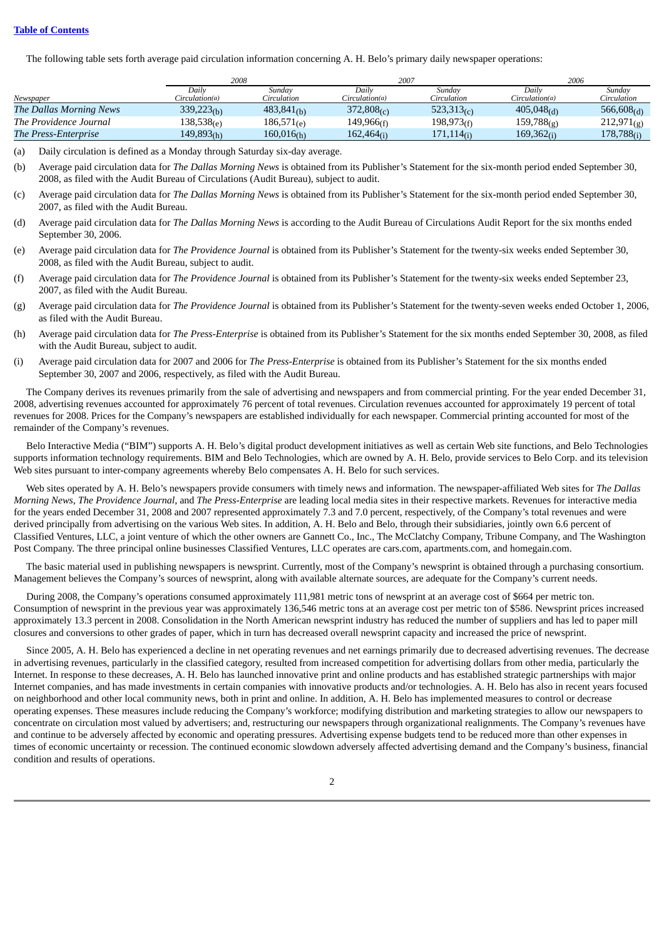The following table sets forth average paid circulation information concerning A. H. Belo's primary daily newspaper operations:

|                         |                        | 2008            |                        | 2007        |                | 2006          |  |
|-------------------------|------------------------|-----------------|------------------------|-------------|----------------|---------------|--|
|                         | Dailv                  | Sunday          | Daily                  | Sunday      | Daily          | Sunday        |  |
| Newspaper               | Circulation(a)         | Circulation     | Circulation(a)         | Circulation | Circulation(a) | Circulation   |  |
| The Dallas Morning News | 339,223 <sub>(b)</sub> | $483,841_{(b)}$ | 372,808 <sub>(c)</sub> | 523,313(c)  | $405,048$ (d)  | 566,608 $(d)$ |  |
| The Providence Journal  | 138,538(e)             | $186,571_{(e)}$ | 149,966(f)             | 198,973(f)  | 159,788(g)     | 212,971(g)    |  |
| The Press-Enterprise    | 149,893(h)             | 160,016(h)      | 162,464(i)             | 171, 114(i) | 169,362(i)     | 178,788(i)    |  |

(a) Daily circulation is defined as a Monday through Saturday six-day average.

(b) Average paid circulation data for *The Dallas Morning News* is obtained from its Publisher's Statement for the six-month period ended September 30, 2008, as filed with the Audit Bureau of Circulations (Audit Bureau), subject to audit.

- (c) Average paid circulation data for *The Dallas Morning News* is obtained from its Publisher's Statement for the six-month period ended September 30, 2007, as filed with the Audit Bureau.
- (d) Average paid circulation data for *The Dallas Morning News* is according to the Audit Bureau of Circulations Audit Report for the six months ended September 30, 2006.
- (e) Average paid circulation data for *The Providence Journal* is obtained from its Publisher's Statement for the twenty-six weeks ended September 30, 2008, as filed with the Audit Bureau, subject to audit.
- (f) Average paid circulation data for *The Providence Journal* is obtained from its Publisher's Statement for the twenty-six weeks ended September 23, 2007, as filed with the Audit Bureau.
- (g) Average paid circulation data for *The Providence Journal* is obtained from its Publisher's Statement for the twenty-seven weeks ended October 1, 2006, as filed with the Audit Bureau.
- (h) Average paid circulation data for *The Press-Enterprise* is obtained from its Publisher's Statement for the six months ended September 30, 2008, as filed with the Audit Bureau, subject to audit.
- (i) Average paid circulation data for 2007 and 2006 for *The Press-Enterprise* is obtained from its Publisher's Statement for the six months ended September 30, 2007 and 2006, respectively, as filed with the Audit Bureau.

The Company derives its revenues primarily from the sale of advertising and newspapers and from commercial printing. For the year ended December 31, 2008, advertising revenues accounted for approximately 76 percent of total revenues. Circulation revenues accounted for approximately 19 percent of total revenues for 2008. Prices for the Company's newspapers are established individually for each newspaper. Commercial printing accounted for most of the remainder of the Company's revenues.

Belo Interactive Media ("BIM") supports A. H. Belo's digital product development initiatives as well as certain Web site functions, and Belo Technologies supports information technology requirements. BIM and Belo Technologies, which are owned by A. H. Belo, provide services to Belo Corp. and its television Web sites pursuant to inter-company agreements whereby Belo compensates A. H. Belo for such services.

Web sites operated by A. H. Belo's newspapers provide consumers with timely news and information. The newspaper-affiliated Web sites for *The Dallas Morning News*, *The Providence Journal*, and *The Press-Enterprise* are leading local media sites in their respective markets. Revenues for interactive media for the years ended December 31, 2008 and 2007 represented approximately 7.3 and 7.0 percent, respectively, of the Company's total revenues and were derived principally from advertising on the various Web sites. In addition, A. H. Belo and Belo, through their subsidiaries, jointly own 6.6 percent of Classified Ventures, LLC, a joint venture of which the other owners are Gannett Co., Inc., The McClatchy Company, Tribune Company, and The Washington Post Company. The three principal online businesses Classified Ventures, LLC operates are cars.com, apartments.com, and homegain.com.

The basic material used in publishing newspapers is newsprint. Currently, most of the Company's newsprint is obtained through a purchasing consortium. Management believes the Company's sources of newsprint, along with available alternate sources, are adequate for the Company's current needs.

During 2008, the Company's operations consumed approximately 111,981 metric tons of newsprint at an average cost of \$664 per metric ton. Consumption of newsprint in the previous year was approximately 136,546 metric tons at an average cost per metric ton of \$586. Newsprint prices increased approximately 13.3 percent in 2008. Consolidation in the North American newsprint industry has reduced the number of suppliers and has led to paper mill closures and conversions to other grades of paper, which in turn has decreased overall newsprint capacity and increased the price of newsprint.

Since 2005, A. H. Belo has experienced a decline in net operating revenues and net earnings primarily due to decreased advertising revenues. The decrease in advertising revenues, particularly in the classified category, resulted from increased competition for advertising dollars from other media, particularly the Internet. In response to these decreases, A. H. Belo has launched innovative print and online products and has established strategic partnerships with major Internet companies, and has made investments in certain companies with innovative products and/or technologies. A. H. Belo has also in recent years focused on neighborhood and other local community news, both in print and online. In addition, A. H. Belo has implemented measures to control or decrease operating expenses. These measures include reducing the Company's workforce; modifying distribution and marketing strategies to allow our newspapers to concentrate on circulation most valued by advertisers; and, restructuring our newspapers through organizational realignments. The Company's revenues have and continue to be adversely affected by economic and operating pressures. Advertising expense budgets tend to be reduced more than other expenses in times of economic uncertainty or recession. The continued economic slowdown adversely affected advertising demand and the Company's business, financial condition and results of operations.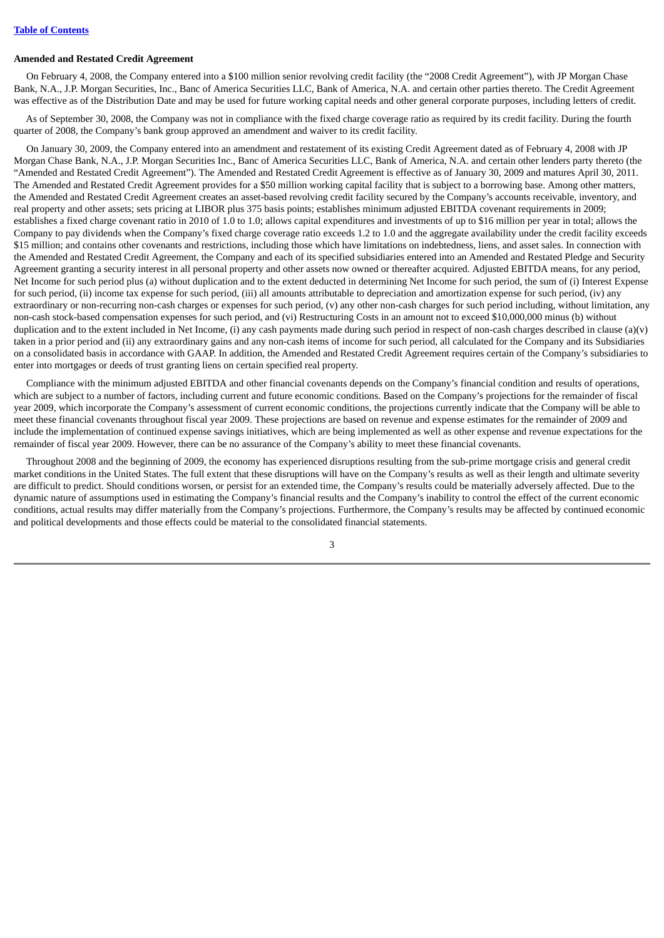#### **Amended and Restated Credit Agreement**

On February 4, 2008, the Company entered into a \$100 million senior revolving credit facility (the "2008 Credit Agreement"), with JP Morgan Chase Bank, N.A., J.P. Morgan Securities, Inc., Banc of America Securities LLC, Bank of America, N.A. and certain other parties thereto. The Credit Agreement was effective as of the Distribution Date and may be used for future working capital needs and other general corporate purposes, including letters of credit.

As of September 30, 2008, the Company was not in compliance with the fixed charge coverage ratio as required by its credit facility. During the fourth quarter of 2008, the Company's bank group approved an amendment and waiver to its credit facility.

On January 30, 2009, the Company entered into an amendment and restatement of its existing Credit Agreement dated as of February 4, 2008 with JP Morgan Chase Bank, N.A., J.P. Morgan Securities Inc., Banc of America Securities LLC, Bank of America, N.A. and certain other lenders party thereto (the "Amended and Restated Credit Agreement"). The Amended and Restated Credit Agreement is effective as of January 30, 2009 and matures April 30, 2011. The Amended and Restated Credit Agreement provides for a \$50 million working capital facility that is subject to a borrowing base. Among other matters, the Amended and Restated Credit Agreement creates an asset-based revolving credit facility secured by the Company's accounts receivable, inventory, and real property and other assets; sets pricing at LIBOR plus 375 basis points; establishes minimum adjusted EBITDA covenant requirements in 2009; establishes a fixed charge covenant ratio in 2010 of 1.0 to 1.0; allows capital expenditures and investments of up to \$16 million per year in total; allows the Company to pay dividends when the Company's fixed charge coverage ratio exceeds 1.2 to 1.0 and the aggregate availability under the credit facility exceeds \$15 million; and contains other covenants and restrictions, including those which have limitations on indebtedness, liens, and asset sales. In connection with the Amended and Restated Credit Agreement, the Company and each of its specified subsidiaries entered into an Amended and Restated Pledge and Security Agreement granting a security interest in all personal property and other assets now owned or thereafter acquired. Adjusted EBITDA means, for any period, Net Income for such period plus (a) without duplication and to the extent deducted in determining Net Income for such period, the sum of (i) Interest Expense for such period, (ii) income tax expense for such period, (iii) all amounts attributable to depreciation and amortization expense for such period, (iv) any extraordinary or non-recurring non-cash charges or expenses for such period, (v) any other non-cash charges for such period including, without limitation, any non-cash stock-based compensation expenses for such period, and (vi) Restructuring Costs in an amount not to exceed \$10,000,000 minus (b) without duplication and to the extent included in Net Income, (i) any cash payments made during such period in respect of non-cash charges described in clause (a)(v) taken in a prior period and (ii) any extraordinary gains and any non-cash items of income for such period, all calculated for the Company and its Subsidiaries on a consolidated basis in accordance with GAAP. In addition, the Amended and Restated Credit Agreement requires certain of the Company's subsidiaries to enter into mortgages or deeds of trust granting liens on certain specified real property.

Compliance with the minimum adjusted EBITDA and other financial covenants depends on the Company's financial condition and results of operations, which are subject to a number of factors, including current and future economic conditions. Based on the Company's projections for the remainder of fiscal year 2009, which incorporate the Company's assessment of current economic conditions, the projections currently indicate that the Company will be able to meet these financial covenants throughout fiscal year 2009. These projections are based on revenue and expense estimates for the remainder of 2009 and include the implementation of continued expense savings initiatives, which are being implemented as well as other expense and revenue expectations for the remainder of fiscal year 2009. However, there can be no assurance of the Company's ability to meet these financial covenants.

Throughout 2008 and the beginning of 2009, the economy has experienced disruptions resulting from the sub-prime mortgage crisis and general credit market conditions in the United States. The full extent that these disruptions will have on the Company's results as well as their length and ultimate severity are difficult to predict. Should conditions worsen, or persist for an extended time, the Company's results could be materially adversely affected. Due to the dynamic nature of assumptions used in estimating the Company's financial results and the Company's inability to control the effect of the current economic conditions, actual results may differ materially from the Company's projections. Furthermore, the Company's results may be affected by continued economic and political developments and those effects could be material to the consolidated financial statements.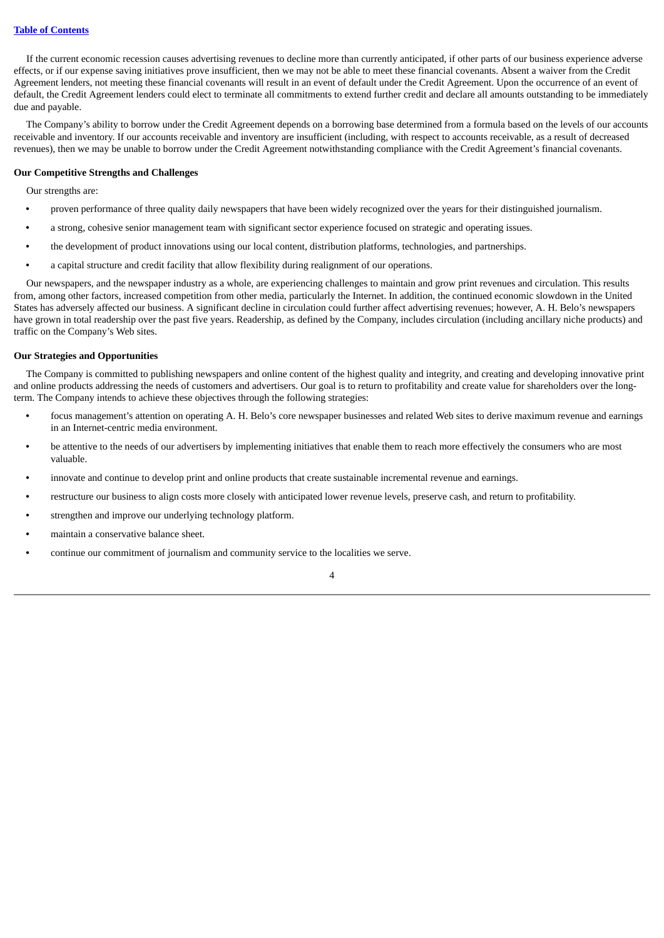If the current economic recession causes advertising revenues to decline more than currently anticipated, if other parts of our business experience adverse effects, or if our expense saving initiatives prove insufficient, then we may not be able to meet these financial covenants. Absent a waiver from the Credit Agreement lenders, not meeting these financial covenants will result in an event of default under the Credit Agreement. Upon the occurrence of an event of default, the Credit Agreement lenders could elect to terminate all commitments to extend further credit and declare all amounts outstanding to be immediately due and payable.

The Company's ability to borrow under the Credit Agreement depends on a borrowing base determined from a formula based on the levels of our accounts receivable and inventory. If our accounts receivable and inventory are insufficient (including, with respect to accounts receivable, as a result of decreased revenues), then we may be unable to borrow under the Credit Agreement notwithstanding compliance with the Credit Agreement's financial covenants.

#### **Our Competitive Strengths and Challenges**

Our strengths are:

- proven performance of three quality daily newspapers that have been widely recognized over the years for their distinguished journalism.
- **•** a strong, cohesive senior management team with significant sector experience focused on strategic and operating issues.
- **•** the development of product innovations using our local content, distribution platforms, technologies, and partnerships.
- **•** a capital structure and credit facility that allow flexibility during realignment of our operations.

Our newspapers, and the newspaper industry as a whole, are experiencing challenges to maintain and grow print revenues and circulation. This results from, among other factors, increased competition from other media, particularly the Internet. In addition, the continued economic slowdown in the United States has adversely affected our business. A significant decline in circulation could further affect advertising revenues; however, A. H. Belo's newspapers have grown in total readership over the past five years. Readership, as defined by the Company, includes circulation (including ancillary niche products) and traffic on the Company's Web sites.

#### **Our Strategies and Opportunities**

The Company is committed to publishing newspapers and online content of the highest quality and integrity, and creating and developing innovative print and online products addressing the needs of customers and advertisers. Our goal is to return to profitability and create value for shareholders over the longterm. The Company intends to achieve these objectives through the following strategies:

- **•** focus management's attention on operating A. H. Belo's core newspaper businesses and related Web sites to derive maximum revenue and earnings in an Internet-centric media environment.
- **•** be attentive to the needs of our advertisers by implementing initiatives that enable them to reach more effectively the consumers who are most valuable.
- **•** innovate and continue to develop print and online products that create sustainable incremental revenue and earnings.
- **•** restructure our business to align costs more closely with anticipated lower revenue levels, preserve cash, and return to profitability.
- **•** strengthen and improve our underlying technology platform.
- **•** maintain a conservative balance sheet.
- **•** continue our commitment of journalism and community service to the localities we serve.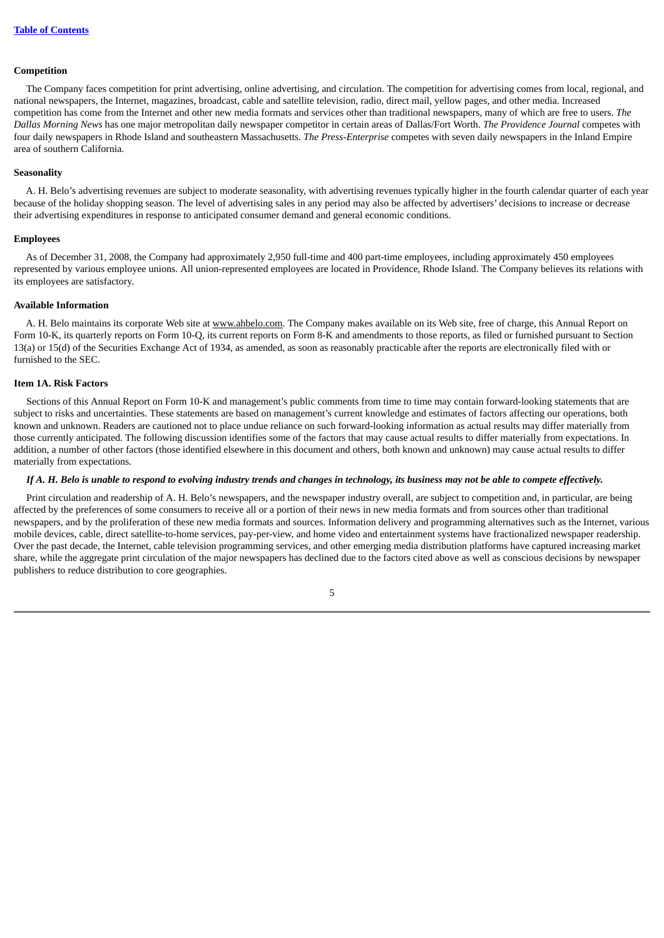#### **Competition**

The Company faces competition for print advertising, online advertising, and circulation. The competition for advertising comes from local, regional, and national newspapers, the Internet, magazines, broadcast, cable and satellite television, radio, direct mail, yellow pages, and other media. Increased competition has come from the Internet and other new media formats and services other than traditional newspapers, many of which are free to users. *The Dallas Morning News* has one major metropolitan daily newspaper competitor in certain areas of Dallas/Fort Worth. *The Providence Journal* competes with four daily newspapers in Rhode Island and southeastern Massachusetts. *The Press-Enterprise* competes with seven daily newspapers in the Inland Empire area of southern California.

#### **Seasonality**

A. H. Belo's advertising revenues are subject to moderate seasonality, with advertising revenues typically higher in the fourth calendar quarter of each year because of the holiday shopping season. The level of advertising sales in any period may also be affected by advertisers' decisions to increase or decrease their advertising expenditures in response to anticipated consumer demand and general economic conditions.

#### **Employees**

As of December 31, 2008, the Company had approximately 2,950 full-time and 400 part-time employees, including approximately 450 employees represented by various employee unions. All union-represented employees are located in Providence, Rhode Island. The Company believes its relations with its employees are satisfactory.

#### **Available Information**

A. H. Belo maintains its corporate Web site at www.ahbelo.com. The Company makes available on its Web site, free of charge, this Annual Report on Form 10-K, its quarterly reports on Form 10-Q, its current reports on Form 8-K and amendments to those reports, as filed or furnished pursuant to Section 13(a) or 15(d) of the Securities Exchange Act of 1934, as amended, as soon as reasonably practicable after the reports are electronically filed with or furnished to the SEC.

#### <span id="page-8-0"></span>**Item 1A. Risk Factors**

Sections of this Annual Report on Form 10-K and management's public comments from time to time may contain forward-looking statements that are subject to risks and uncertainties. These statements are based on management's current knowledge and estimates of factors affecting our operations, both known and unknown. Readers are cautioned not to place undue reliance on such forward-looking information as actual results may differ materially from those currently anticipated. The following discussion identifies some of the factors that may cause actual results to differ materially from expectations. In addition, a number of other factors (those identified elsewhere in this document and others, both known and unknown) may cause actual results to differ materially from expectations*.*

#### If A. H. Belo is unable to respond to evolving industry trends and changes in technology, its business may not be able to compete effectively.

Print circulation and readership of A. H. Belo's newspapers, and the newspaper industry overall, are subject to competition and, in particular, are being affected by the preferences of some consumers to receive all or a portion of their news in new media formats and from sources other than traditional newspapers, and by the proliferation of these new media formats and sources. Information delivery and programming alternatives such as the Internet, various mobile devices, cable, direct satellite-to-home services, pay-per-view, and home video and entertainment systems have fractionalized newspaper readership. Over the past decade, the Internet, cable television programming services, and other emerging media distribution platforms have captured increasing market share, while the aggregate print circulation of the major newspapers has declined due to the factors cited above as well as conscious decisions by newspaper publishers to reduce distribution to core geographies.

<sup>5</sup>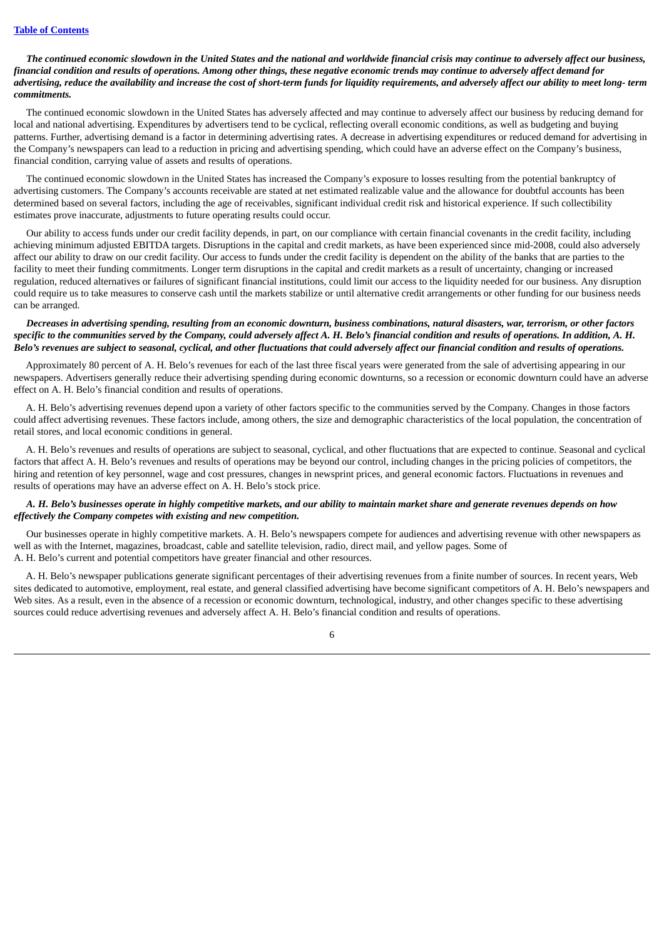#### The continued economic slowdown in the United States and the national and worldwide financial crisis may continue to adversely affect our business, financial condition and results of operations. Among other things, these negative economic trends may continue to adversely affect demand for advertising, reduce the availability and increase the cost of short-term funds for liquidity requirements, and adversely affect our ability to meet long-term *commitments.*

The continued economic slowdown in the United States has adversely affected and may continue to adversely affect our business by reducing demand for local and national advertising. Expenditures by advertisers tend to be cyclical, reflecting overall economic conditions, as well as budgeting and buying patterns. Further, advertising demand is a factor in determining advertising rates. A decrease in advertising expenditures or reduced demand for advertising in the Company's newspapers can lead to a reduction in pricing and advertising spending, which could have an adverse effect on the Company's business, financial condition, carrying value of assets and results of operations.

The continued economic slowdown in the United States has increased the Company's exposure to losses resulting from the potential bankruptcy of advertising customers. The Company's accounts receivable are stated at net estimated realizable value and the allowance for doubtful accounts has been determined based on several factors, including the age of receivables, significant individual credit risk and historical experience. If such collectibility estimates prove inaccurate, adjustments to future operating results could occur.

Our ability to access funds under our credit facility depends, in part, on our compliance with certain financial covenants in the credit facility, including achieving minimum adjusted EBITDA targets. Disruptions in the capital and credit markets, as have been experienced since mid-2008, could also adversely affect our ability to draw on our credit facility. Our access to funds under the credit facility is dependent on the ability of the banks that are parties to the facility to meet their funding commitments. Longer term disruptions in the capital and credit markets as a result of uncertainty, changing or increased regulation, reduced alternatives or failures of significant financial institutions, could limit our access to the liquidity needed for our business. Any disruption could require us to take measures to conserve cash until the markets stabilize or until alternative credit arrangements or other funding for our business needs can be arranged.

#### Decreases in advertising spending, resulting from an economic downturn, business combinations, natural disasters, war, terrorism, or other factors specific to the communities served by the Company, could adversely affect A. H. Belo's financial condition and results of operations. In addition, A. H. Belo's revenues are subject to seasonal, cyclical, and other fluctuations that could adversely affect our financial condition and results of operations.

Approximately 80 percent of A. H. Belo's revenues for each of the last three fiscal years were generated from the sale of advertising appearing in our newspapers. Advertisers generally reduce their advertising spending during economic downturns, so a recession or economic downturn could have an adverse effect on A. H. Belo's financial condition and results of operations.

A. H. Belo's advertising revenues depend upon a variety of other factors specific to the communities served by the Company. Changes in those factors could affect advertising revenues. These factors include, among others, the size and demographic characteristics of the local population, the concentration of retail stores, and local economic conditions in general.

A. H. Belo's revenues and results of operations are subject to seasonal, cyclical, and other fluctuations that are expected to continue. Seasonal and cyclical factors that affect A. H. Belo's revenues and results of operations may be beyond our control, including changes in the pricing policies of competitors, the hiring and retention of key personnel, wage and cost pressures, changes in newsprint prices, and general economic factors. Fluctuations in revenues and results of operations may have an adverse effect on A. H. Belo's stock price.

#### A. H. Belo's businesses operate in highly competitive markets, and our ability to maintain market share and generate revenues depends on how *effectively the Company competes with existing and new competition.*

Our businesses operate in highly competitive markets. A. H. Belo's newspapers compete for audiences and advertising revenue with other newspapers as well as with the Internet, magazines, broadcast, cable and satellite television, radio, direct mail, and yellow pages. Some of A. H. Belo's current and potential competitors have greater financial and other resources.

A. H. Belo's newspaper publications generate significant percentages of their advertising revenues from a finite number of sources. In recent years, Web sites dedicated to automotive, employment, real estate, and general classified advertising have become significant competitors of A. H. Belo's newspapers and Web sites. As a result, even in the absence of a recession or economic downturn, technological, industry, and other changes specific to these advertising sources could reduce advertising revenues and adversely affect A. H. Belo's financial condition and results of operations.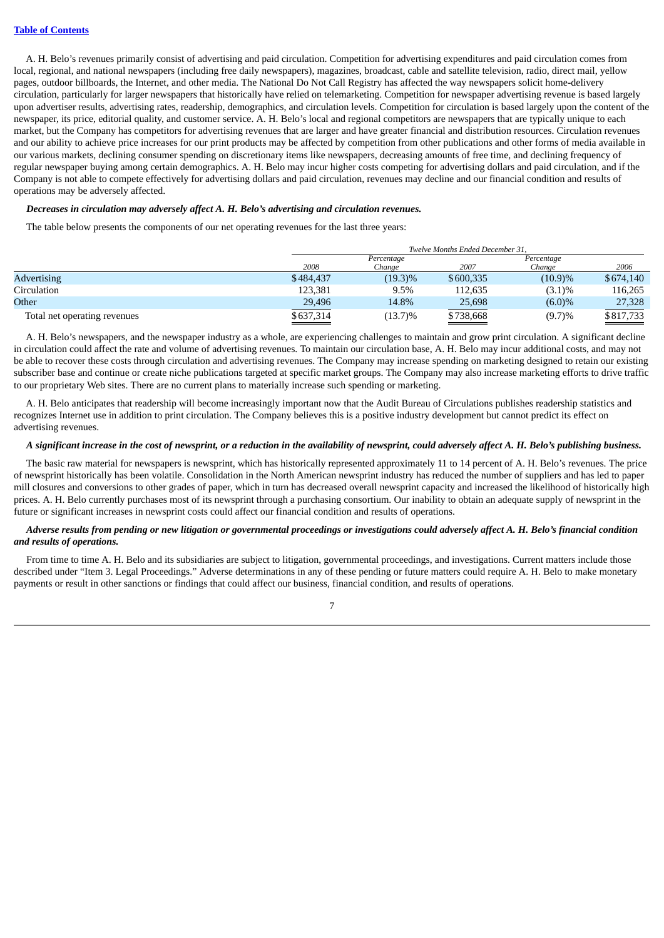A. H. Belo's revenues primarily consist of advertising and paid circulation. Competition for advertising expenditures and paid circulation comes from local, regional, and national newspapers (including free daily newspapers), magazines, broadcast, cable and satellite television, radio, direct mail, yellow pages, outdoor billboards, the Internet, and other media. The National Do Not Call Registry has affected the way newspapers solicit home-delivery circulation, particularly for larger newspapers that historically have relied on telemarketing. Competition for newspaper advertising revenue is based largely upon advertiser results, advertising rates, readership, demographics, and circulation levels. Competition for circulation is based largely upon the content of the newspaper, its price, editorial quality, and customer service. A. H. Belo's local and regional competitors are newspapers that are typically unique to each market, but the Company has competitors for advertising revenues that are larger and have greater financial and distribution resources. Circulation revenues and our ability to achieve price increases for our print products may be affected by competition from other publications and other forms of media available in our various markets, declining consumer spending on discretionary items like newspapers, decreasing amounts of free time, and declining frequency of regular newspaper buying among certain demographics. A. H. Belo may incur higher costs competing for advertising dollars and paid circulation, and if the Company is not able to compete effectively for advertising dollars and paid circulation, revenues may decline and our financial condition and results of operations may be adversely affected.

#### *Decreases in circulation may adversely affect A. H. Belo's advertising and circulation revenues.*

The table below presents the components of our net operating revenues for the last three years:

|                              |           | Twelve Months Ended December 31. |           |                      |           |  |
|------------------------------|-----------|----------------------------------|-----------|----------------------|-----------|--|
|                              | 2008      | Percentage<br>Change             | 2007      | Percentage<br>Chanae | 2006      |  |
| <b>Advertising</b>           | \$484,437 | $(19.3)\%$                       | \$600,335 | (10.9)%              | \$674,140 |  |
| Circulation                  | 123,381   | 9.5%                             | 112,635   | $(3.1)\%$            | 116,265   |  |
| Other                        | 29,496    | 14.8%                            | 25,698    | $(6.0)\%$            | 27,328    |  |
| Total net operating revenues | \$637.314 | $(13.7)\%$                       | \$738,668 | (9.7)%               | \$817,733 |  |

A. H. Belo's newspapers, and the newspaper industry as a whole, are experiencing challenges to maintain and grow print circulation. A significant decline in circulation could affect the rate and volume of advertising revenues. To maintain our circulation base, A. H. Belo may incur additional costs, and may not be able to recover these costs through circulation and advertising revenues. The Company may increase spending on marketing designed to retain our existing subscriber base and continue or create niche publications targeted at specific market groups. The Company may also increase marketing efforts to drive traffic to our proprietary Web sites. There are no current plans to materially increase such spending or marketing.

A. H. Belo anticipates that readership will become increasingly important now that the Audit Bureau of Circulations publishes readership statistics and recognizes Internet use in addition to print circulation. The Company believes this is a positive industry development but cannot predict its effect on advertising revenues.

#### A significant increase in the cost of newsprint, or a reduction in the availability of newsprint, could adversely affect A. H. Belo's publishing business.

The basic raw material for newspapers is newsprint, which has historically represented approximately 11 to 14 percent of A. H. Belo's revenues. The price of newsprint historically has been volatile. Consolidation in the North American newsprint industry has reduced the number of suppliers and has led to paper mill closures and conversions to other grades of paper, which in turn has decreased overall newsprint capacity and increased the likelihood of historically high prices. A. H. Belo currently purchases most of its newsprint through a purchasing consortium. Our inability to obtain an adequate supply of newsprint in the future or significant increases in newsprint costs could affect our financial condition and results of operations.

#### Adverse results from pending or new litigation or governmental proceedings or investigations could adversely affect A. H. Belo's financial condition *and results of operations.*

From time to time A. H. Belo and its subsidiaries are subject to litigation, governmental proceedings, and investigations. Current matters include those described under "Item 3. Legal Proceedings." Adverse determinations in any of these pending or future matters could require A. H. Belo to make monetary payments or result in other sanctions or findings that could affect our business, financial condition, and results of operations.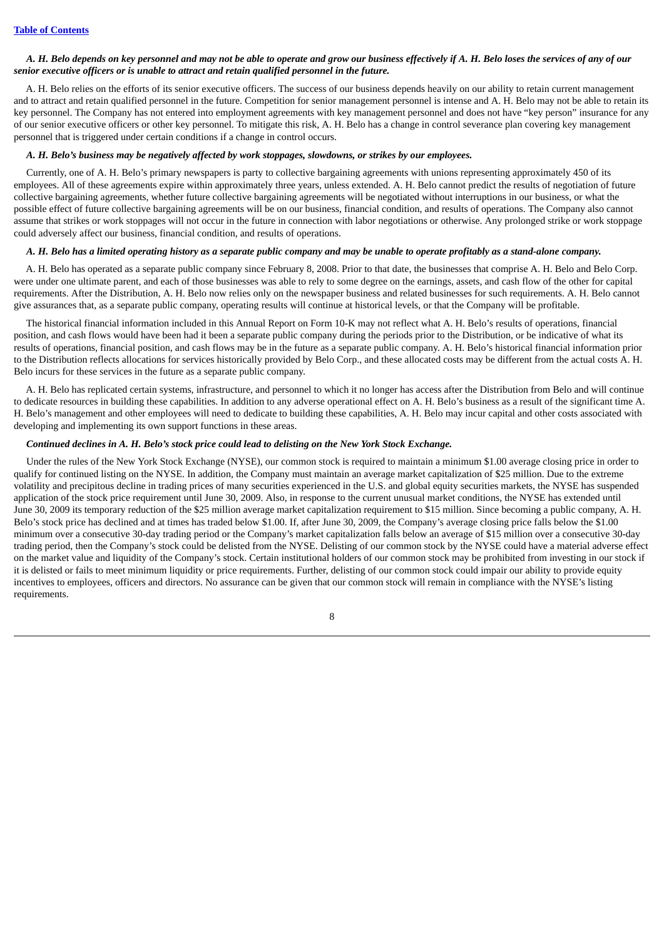#### A. H. Belo depends on key personnel and may not be able to operate and grow our business effectively if A. H. Belo loses the services of any of our *senior executive officers or is unable to attract and retain qualified personnel in the future.*

A. H. Belo relies on the efforts of its senior executive officers. The success of our business depends heavily on our ability to retain current management and to attract and retain qualified personnel in the future. Competition for senior management personnel is intense and A. H. Belo may not be able to retain its key personnel. The Company has not entered into employment agreements with key management personnel and does not have "key person" insurance for any of our senior executive officers or other key personnel. To mitigate this risk, A. H. Belo has a change in control severance plan covering key management personnel that is triggered under certain conditions if a change in control occurs.

#### A. H. Belo's business may be negatively affected by work stoppages, slowdowns, or strikes by our employees.

Currently, one of A. H. Belo's primary newspapers is party to collective bargaining agreements with unions representing approximately 450 of its employees. All of these agreements expire within approximately three years, unless extended. A. H. Belo cannot predict the results of negotiation of future collective bargaining agreements, whether future collective bargaining agreements will be negotiated without interruptions in our business, or what the possible effect of future collective bargaining agreements will be on our business, financial condition, and results of operations. The Company also cannot assume that strikes or work stoppages will not occur in the future in connection with labor negotiations or otherwise. Any prolonged strike or work stoppage could adversely affect our business, financial condition, and results of operations.

#### A. H. Belo has a limited operating history as a separate public company and may be unable to operate profitably as a stand-alone company.

A. H. Belo has operated as a separate public company since February 8, 2008. Prior to that date, the businesses that comprise A. H. Belo and Belo Corp. were under one ultimate parent, and each of those businesses was able to rely to some degree on the earnings, assets, and cash flow of the other for capital requirements. After the Distribution, A. H. Belo now relies only on the newspaper business and related businesses for such requirements. A. H. Belo cannot give assurances that, as a separate public company, operating results will continue at historical levels, or that the Company will be profitable.

The historical financial information included in this Annual Report on Form 10-K may not reflect what A. H. Belo's results of operations, financial position, and cash flows would have been had it been a separate public company during the periods prior to the Distribution, or be indicative of what its results of operations, financial position, and cash flows may be in the future as a separate public company. A. H. Belo's historical financial information prior to the Distribution reflects allocations for services historically provided by Belo Corp., and these allocated costs may be different from the actual costs A. H. Belo incurs for these services in the future as a separate public company.

A. H. Belo has replicated certain systems, infrastructure, and personnel to which it no longer has access after the Distribution from Belo and will continue to dedicate resources in building these capabilities. In addition to any adverse operational effect on A. H. Belo's business as a result of the significant time A. H. Belo's management and other employees will need to dedicate to building these capabilities, A. H. Belo may incur capital and other costs associated with developing and implementing its own support functions in these areas.

#### Continued declines in A. H. Belo's stock price could lead to delisting on the New York Stock Exchange.

Under the rules of the New York Stock Exchange (NYSE), our common stock is required to maintain a minimum \$1.00 average closing price in order to qualify for continued listing on the NYSE. In addition, the Company must maintain an average market capitalization of \$25 million. Due to the extreme volatility and precipitous decline in trading prices of many securities experienced in the U.S. and global equity securities markets, the NYSE has suspended application of the stock price requirement until June 30, 2009. Also, in response to the current unusual market conditions, the NYSE has extended until June 30, 2009 its temporary reduction of the \$25 million average market capitalization requirement to \$15 million. Since becoming a public company, A. H. Belo's stock price has declined and at times has traded below \$1.00. If, after June 30, 2009, the Company's average closing price falls below the \$1.00 minimum over a consecutive 30-day trading period or the Company's market capitalization falls below an average of \$15 million over a consecutive 30-day trading period, then the Company's stock could be delisted from the NYSE. Delisting of our common stock by the NYSE could have a material adverse effect on the market value and liquidity of the Company's stock. Certain institutional holders of our common stock may be prohibited from investing in our stock if it is delisted or fails to meet minimum liquidity or price requirements. Further, delisting of our common stock could impair our ability to provide equity incentives to employees, officers and directors. No assurance can be given that our common stock will remain in compliance with the NYSE's listing requirements.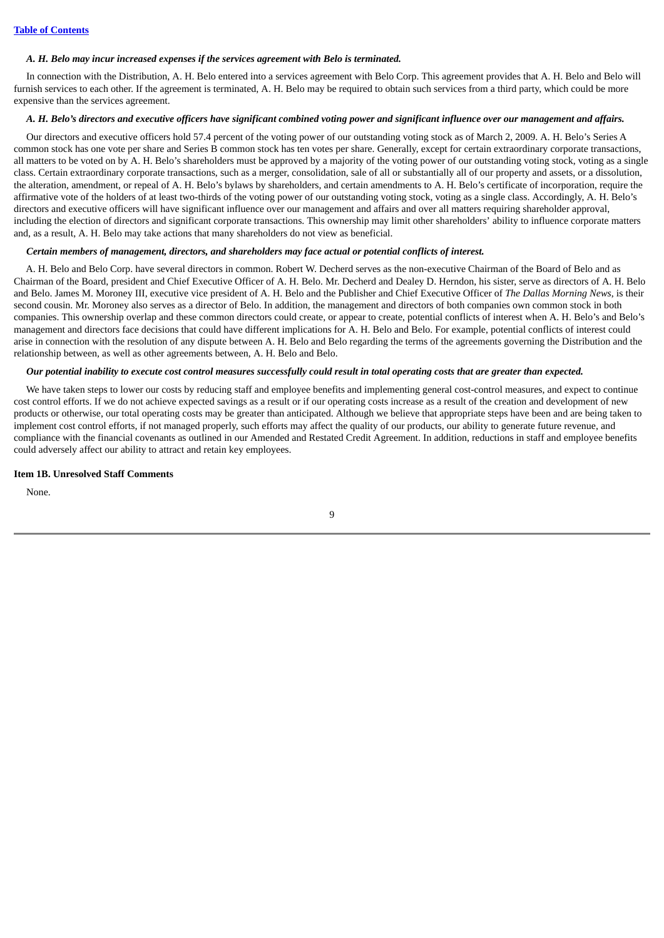#### *A. H. Belo may incur increased expenses if the services agreement with Belo is terminated.*

In connection with the Distribution, A. H. Belo entered into a services agreement with Belo Corp. This agreement provides that A. H. Belo and Belo will furnish services to each other. If the agreement is terminated, A. H. Belo may be required to obtain such services from a third party, which could be more expensive than the services agreement.

#### A. H. Belo's directors and executive officers have significant combined voting power and significant influence over our management and affairs.

Our directors and executive officers hold 57.4 percent of the voting power of our outstanding voting stock as of March 2, 2009. A. H. Belo's Series A common stock has one vote per share and Series B common stock has ten votes per share. Generally, except for certain extraordinary corporate transactions, all matters to be voted on by A. H. Belo's shareholders must be approved by a majority of the voting power of our outstanding voting stock, voting as a single class. Certain extraordinary corporate transactions, such as a merger, consolidation, sale of all or substantially all of our property and assets, or a dissolution, the alteration, amendment, or repeal of A. H. Belo's bylaws by shareholders, and certain amendments to A. H. Belo's certificate of incorporation, require the affirmative vote of the holders of at least two-thirds of the voting power of our outstanding voting stock, voting as a single class. Accordingly, A. H. Belo's directors and executive officers will have significant influence over our management and affairs and over all matters requiring shareholder approval, including the election of directors and significant corporate transactions. This ownership may limit other shareholders' ability to influence corporate matters and, as a result, A. H. Belo may take actions that many shareholders do not view as beneficial.

#### *Certain members of management, directors, and shareholders may face actual or potential conflicts of interest.*

A. H. Belo and Belo Corp. have several directors in common. Robert W. Decherd serves as the non-executive Chairman of the Board of Belo and as Chairman of the Board, president and Chief Executive Officer of A. H. Belo. Mr. Decherd and Dealey D. Herndon, his sister, serve as directors of A. H. Belo and Belo. James M. Moroney III, executive vice president of A. H. Belo and the Publisher and Chief Executive Officer of *The Dallas Morning News*, is their second cousin. Mr. Moroney also serves as a director of Belo. In addition, the management and directors of both companies own common stock in both companies. This ownership overlap and these common directors could create, or appear to create, potential conflicts of interest when A. H. Belo's and Belo's management and directors face decisions that could have different implications for A. H. Belo and Belo. For example, potential conflicts of interest could arise in connection with the resolution of any dispute between A. H. Belo and Belo regarding the terms of the agreements governing the Distribution and the relationship between, as well as other agreements between, A. H. Belo and Belo.

#### Our potential inability to execute cost control measures successfully could result in total operating costs that are greater than expected.

We have taken steps to lower our costs by reducing staff and employee benefits and implementing general cost-control measures, and expect to continue cost control efforts. If we do not achieve expected savings as a result or if our operating costs increase as a result of the creation and development of new products or otherwise, our total operating costs may be greater than anticipated. Although we believe that appropriate steps have been and are being taken to implement cost control efforts, if not managed properly, such efforts may affect the quality of our products, our ability to generate future revenue, and compliance with the financial covenants as outlined in our Amended and Restated Credit Agreement. In addition, reductions in staff and employee benefits could adversely affect our ability to attract and retain key employees.

#### <span id="page-12-0"></span>**Item 1B. Unresolved Staff Comments**

None.

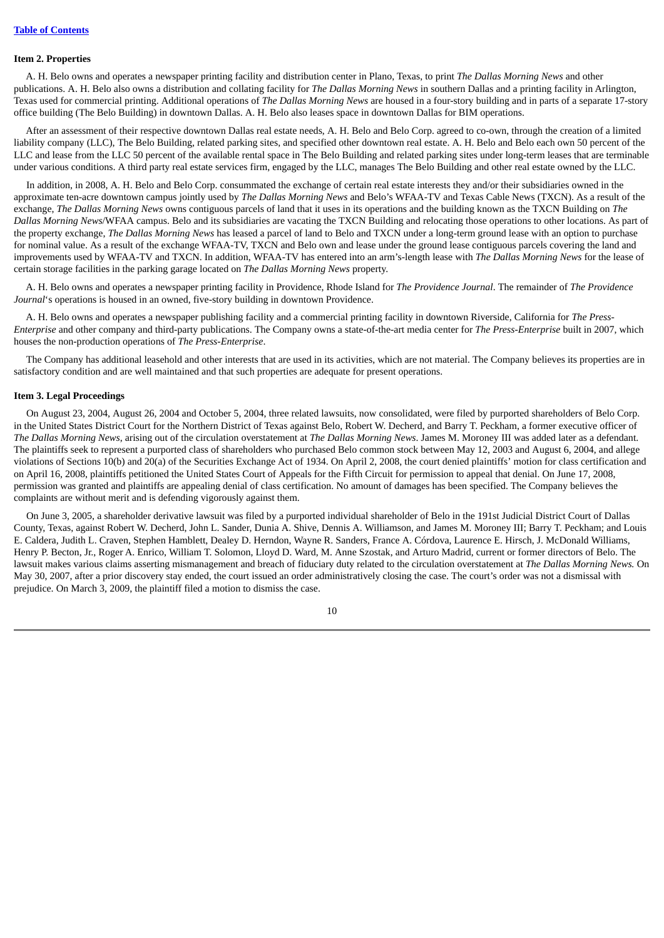#### <span id="page-13-0"></span>**Item 2. Properties**

A. H. Belo owns and operates a newspaper printing facility and distribution center in Plano, Texas, to print *The Dallas Morning News* and other publications. A. H. Belo also owns a distribution and collating facility for *The Dallas Morning News* in southern Dallas and a printing facility in Arlington, Texas used for commercial printing. Additional operations of *The Dallas Morning News* are housed in a four-story building and in parts of a separate 17-story office building (The Belo Building) in downtown Dallas. A. H. Belo also leases space in downtown Dallas for BIM operations.

After an assessment of their respective downtown Dallas real estate needs, A. H. Belo and Belo Corp. agreed to co-own, through the creation of a limited liability company (LLC), The Belo Building, related parking sites, and specified other downtown real estate. A. H. Belo and Belo each own 50 percent of the LLC and lease from the LLC 50 percent of the available rental space in The Belo Building and related parking sites under long-term leases that are terminable under various conditions. A third party real estate services firm, engaged by the LLC, manages The Belo Building and other real estate owned by the LLC.

In addition, in 2008, A. H. Belo and Belo Corp. consummated the exchange of certain real estate interests they and/or their subsidiaries owned in the approximate ten-acre downtown campus jointly used by *The Dallas Morning News* and Belo's WFAA-TV and Texas Cable News (TXCN). As a result of the exchange, *The Dallas Morning News* owns contiguous parcels of land that it uses in its operations and the building known as the TXCN Building on *The Dallas Morning News*/WFAA campus. Belo and its subsidiaries are vacating the TXCN Building and relocating those operations to other locations. As part of the property exchange, *The Dallas Morning News* has leased a parcel of land to Belo and TXCN under a long-term ground lease with an option to purchase for nominal value. As a result of the exchange WFAA-TV, TXCN and Belo own and lease under the ground lease contiguous parcels covering the land and improvements used by WFAA-TV and TXCN. In addition, WFAA-TV has entered into an arm's-length lease with *The Dallas Morning News* for the lease of certain storage facilities in the parking garage located on *The Dallas Morning News* property.

A. H. Belo owns and operates a newspaper printing facility in Providence, Rhode Island for *The Providence Journal*. The remainder of *The Providence Journal*'s operations is housed in an owned, five-story building in downtown Providence.

A. H. Belo owns and operates a newspaper publishing facility and a commercial printing facility in downtown Riverside, California for *The Press-Enterprise* and other company and third-party publications. The Company owns a state-of-the-art media center for *The Press-Enterprise* built in 2007, which houses the non-production operations of *The Press-Enterprise*.

The Company has additional leasehold and other interests that are used in its activities, which are not material. The Company believes its properties are in satisfactory condition and are well maintained and that such properties are adequate for present operations.

#### <span id="page-13-1"></span>**Item 3. Legal Proceedings**

On August 23, 2004, August 26, 2004 and October 5, 2004, three related lawsuits, now consolidated, were filed by purported shareholders of Belo Corp. in the United States District Court for the Northern District of Texas against Belo, Robert W. Decherd, and Barry T. Peckham, a former executive officer of *The Dallas Morning News*, arising out of the circulation overstatement at *The Dallas Morning News*. James M. Moroney III was added later as a defendant. The plaintiffs seek to represent a purported class of shareholders who purchased Belo common stock between May 12, 2003 and August 6, 2004, and allege violations of Sections 10(b) and 20(a) of the Securities Exchange Act of 1934. On April 2, 2008, the court denied plaintiffs' motion for class certification and on April 16, 2008, plaintiffs petitioned the United States Court of Appeals for the Fifth Circuit for permission to appeal that denial. On June 17, 2008, permission was granted and plaintiffs are appealing denial of class certification. No amount of damages has been specified. The Company believes the complaints are without merit and is defending vigorously against them.

On June 3, 2005, a shareholder derivative lawsuit was filed by a purported individual shareholder of Belo in the 191st Judicial District Court of Dallas County, Texas, against Robert W. Decherd, John L. Sander, Dunia A. Shive, Dennis A. Williamson, and James M. Moroney III; Barry T. Peckham; and Louis E. Caldera, Judith L. Craven, Stephen Hamblett, Dealey D. Herndon, Wayne R. Sanders, France A. Córdova, Laurence E. Hirsch, J. McDonald Williams, Henry P. Becton, Jr., Roger A. Enrico, William T. Solomon, Lloyd D. Ward, M. Anne Szostak, and Arturo Madrid, current or former directors of Belo. The lawsuit makes various claims asserting mismanagement and breach of fiduciary duty related to the circulation overstatement at *The Dallas Morning News.* On May 30, 2007, after a prior discovery stay ended, the court issued an order administratively closing the case. The court's order was not a dismissal with prejudice. On March 3, 2009, the plaintiff filed a motion to dismiss the case.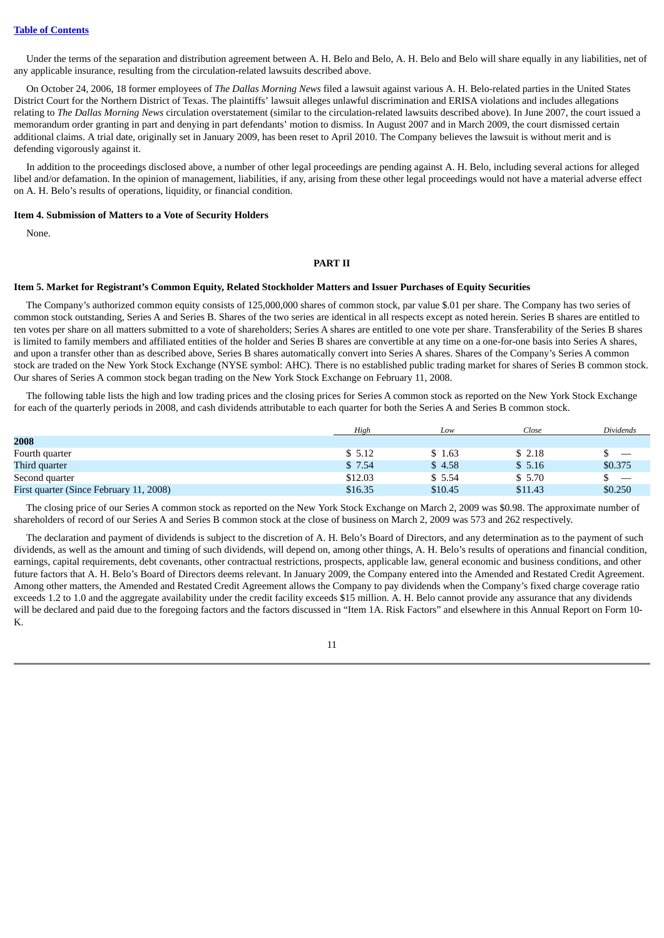Under the terms of the separation and distribution agreement between A. H. Belo and Belo, A. H. Belo and Belo will share equally in any liabilities, net of any applicable insurance, resulting from the circulation-related lawsuits described above.

On October 24, 2006, 18 former employees of *The Dallas Morning News* filed a lawsuit against various A. H. Belo-related parties in the United States District Court for the Northern District of Texas. The plaintiffs' lawsuit alleges unlawful discrimination and ERISA violations and includes allegations relating to *The Dallas Morning News* circulation overstatement (similar to the circulation-related lawsuits described above). In June 2007, the court issued a memorandum order granting in part and denying in part defendants' motion to dismiss. In August 2007 and in March 2009, the court dismissed certain additional claims. A trial date, originally set in January 2009, has been reset to April 2010. The Company believes the lawsuit is without merit and is defending vigorously against it.

In addition to the proceedings disclosed above, a number of other legal proceedings are pending against A. H. Belo, including several actions for alleged libel and/or defamation. In the opinion of management, liabilities, if any, arising from these other legal proceedings would not have a material adverse effect on A. H. Belo's results of operations, liquidity, or financial condition.

#### <span id="page-14-0"></span>**Item 4. Submission of Matters to a Vote of Security Holders**

<span id="page-14-1"></span>None.

#### **PART II**

#### <span id="page-14-2"></span>Item 5. Market for Registrant's Common Equity, Related Stockholder Matters and Issuer Purchases of Equity Securities

The Company's authorized common equity consists of 125,000,000 shares of common stock, par value \$.01 per share. The Company has two series of common stock outstanding, Series A and Series B. Shares of the two series are identical in all respects except as noted herein. Series B shares are entitled to ten votes per share on all matters submitted to a vote of shareholders; Series A shares are entitled to one vote per share. Transferability of the Series B shares is limited to family members and affiliated entities of the holder and Series B shares are convertible at any time on a one-for-one basis into Series A shares, and upon a transfer other than as described above, Series B shares automatically convert into Series A shares. Shares of the Company's Series A common stock are traded on the New York Stock Exchange (NYSE symbol: AHC). There is no established public trading market for shares of Series B common stock. Our shares of Series A common stock began trading on the New York Stock Exchange on February 11, 2008.

The following table lists the high and low trading prices and the closing prices for Series A common stock as reported on the New York Stock Exchange for each of the quarterly periods in 2008, and cash dividends attributable to each quarter for both the Series A and Series B common stock.

|                                         | High    | Low     | Close   | Dividends |
|-----------------------------------------|---------|---------|---------|-----------|
| 2008                                    |         |         |         |           |
| Fourth quarter                          | \$5.12  | \$1.63  | \$ 2.18 |           |
| Third quarter                           | \$7.54  | \$4.58  | \$5.16  | \$0.375   |
| Second quarter                          | \$12.03 | \$5.54  | \$5.70  |           |
| First quarter (Since February 11, 2008) | \$16.35 | \$10.45 | \$11.43 | \$0.250   |

The closing price of our Series A common stock as reported on the New York Stock Exchange on March 2, 2009 was \$0.98. The approximate number of shareholders of record of our Series A and Series B common stock at the close of business on March 2, 2009 was 573 and 262 respectively.

The declaration and payment of dividends is subject to the discretion of A. H. Belo's Board of Directors, and any determination as to the payment of such dividends, as well as the amount and timing of such dividends, will depend on, among other things, A. H. Belo's results of operations and financial condition, earnings, capital requirements, debt covenants, other contractual restrictions, prospects, applicable law, general economic and business conditions, and other future factors that A. H. Belo's Board of Directors deems relevant. In January 2009, the Company entered into the Amended and Restated Credit Agreement. Among other matters, the Amended and Restated Credit Agreement allows the Company to pay dividends when the Company's fixed charge coverage ratio exceeds 1.2 to 1.0 and the aggregate availability under the credit facility exceeds \$15 million. A. H. Belo cannot provide any assurance that any dividends will be declared and paid due to the foregoing factors and the factors discussed in "Item 1A. Risk Factors" and elsewhere in this Annual Report on Form 10-K.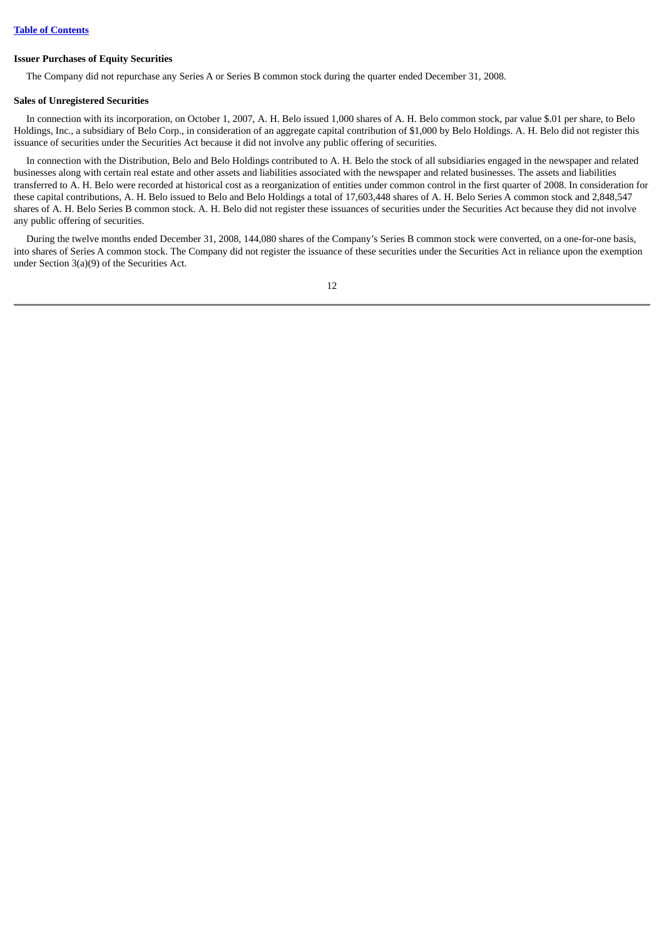#### **Issuer Purchases of Equity Securities**

The Company did not repurchase any Series A or Series B common stock during the quarter ended December 31, 2008.

#### **Sales of Unregistered Securities**

In connection with its incorporation, on October 1, 2007, A. H. Belo issued 1,000 shares of A. H. Belo common stock, par value \$.01 per share, to Belo Holdings, Inc., a subsidiary of Belo Corp., in consideration of an aggregate capital contribution of \$1,000 by Belo Holdings. A. H. Belo did not register this issuance of securities under the Securities Act because it did not involve any public offering of securities.

In connection with the Distribution, Belo and Belo Holdings contributed to A. H. Belo the stock of all subsidiaries engaged in the newspaper and related businesses along with certain real estate and other assets and liabilities associated with the newspaper and related businesses. The assets and liabilities transferred to A. H. Belo were recorded at historical cost as a reorganization of entities under common control in the first quarter of 2008. In consideration for these capital contributions, A. H. Belo issued to Belo and Belo Holdings a total of 17,603,448 shares of A. H. Belo Series A common stock and 2,848,547 shares of A. H. Belo Series B common stock. A. H. Belo did not register these issuances of securities under the Securities Act because they did not involve any public offering of securities.

During the twelve months ended December 31, 2008, 144,080 shares of the Company's Series B common stock were converted, on a one-for-one basis, into shares of Series A common stock. The Company did not register the issuance of these securities under the Securities Act in reliance upon the exemption under Section 3(a)(9) of the Securities Act.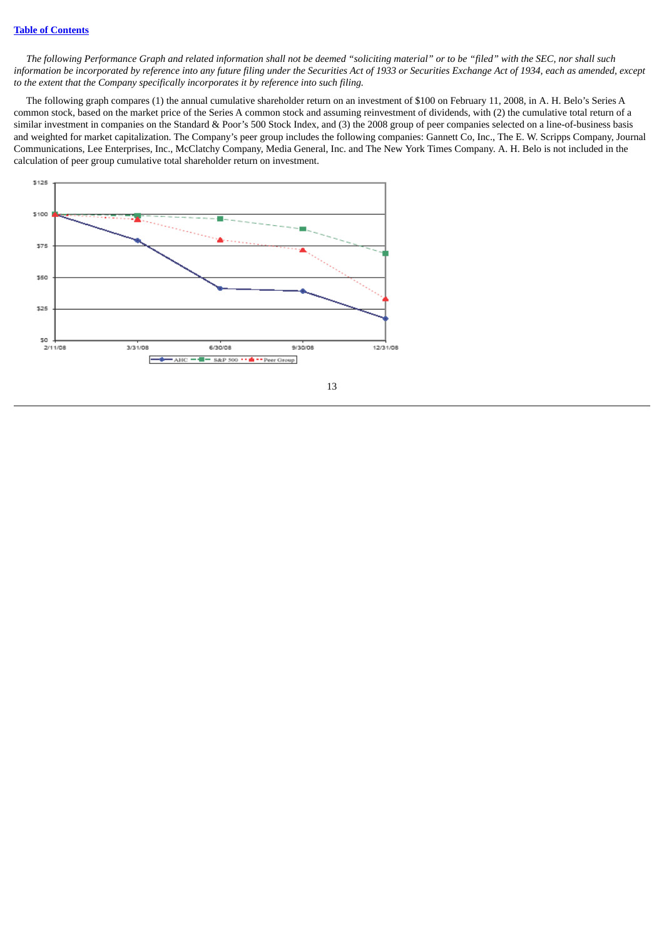The following Performance Graph and related information shall not be deemed "soliciting material" or to be "filed" with the SEC, nor shall such information be incorporated by reference into any future filing under the Securities Act of 1933 or Securities Exchange Act of 1934, each as amended, except *to the extent that the Company specifically incorporates it by reference into such filing.*

The following graph compares (1) the annual cumulative shareholder return on an investment of \$100 on February 11, 2008, in A. H. Belo's Series A common stock, based on the market price of the Series A common stock and assuming reinvestment of dividends, with (2) the cumulative total return of a similar investment in companies on the Standard & Poor's 500 Stock Index, and (3) the 2008 group of peer companies selected on a line-of-business basis and weighted for market capitalization. The Company's peer group includes the following companies: Gannett Co, Inc., The E. W. Scripps Company, Journal Communications, Lee Enterprises, Inc., McClatchy Company, Media General, Inc. and The New York Times Company. A. H. Belo is not included in the calculation of peer group cumulative total shareholder return on investment.



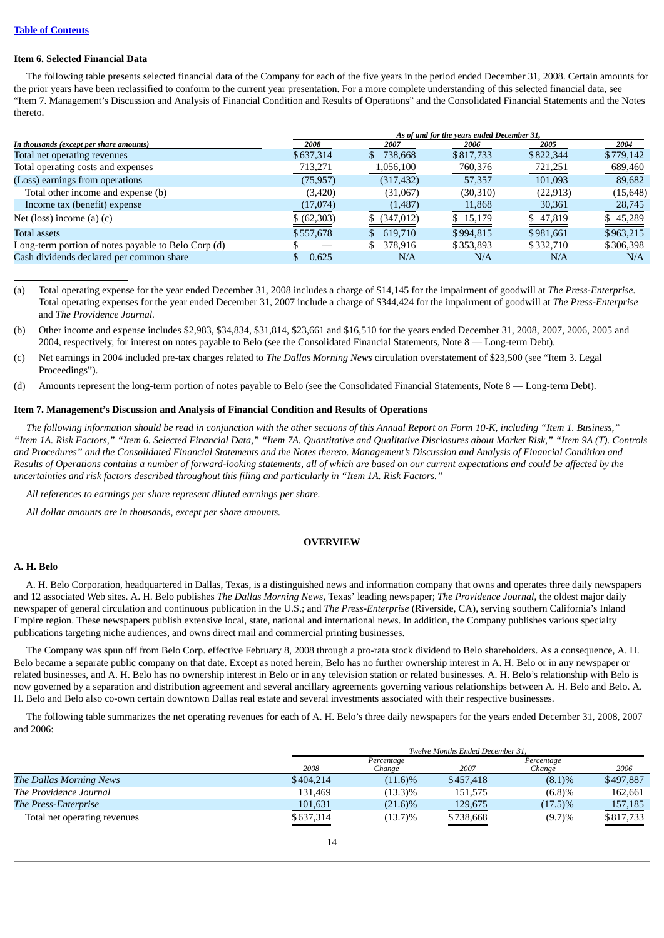#### <span id="page-17-0"></span>**Item 6. Selected Financial Data**

The following table presents selected financial data of the Company for each of the five years in the period ended December 31, 2008. Certain amounts for the prior years have been reclassified to conform to the current year presentation. For a more complete understanding of this selected financial data, see "Item 7. Management's Discussion and Analysis of Financial Condition and Results of Operations" and the Consolidated Financial Statements and the Notes thereto.

|                                                     | As of and for the years ended December 31, |                         |           |           |           |  |
|-----------------------------------------------------|--------------------------------------------|-------------------------|-----------|-----------|-----------|--|
| In thousands (except per share amounts)             | 2008                                       | 2007                    | 2006      | 2005      | 2004      |  |
| Total net operating revenues                        | \$637,314                                  | 738,668<br>$\mathbb{S}$ | \$817,733 | \$822,344 | \$779,142 |  |
| Total operating costs and expenses                  | 713,271                                    | 1,056,100               | 760,376   | 721,251   | 689,460   |  |
| (Loss) earnings from operations                     | (75, 957)                                  | (317, 432)              | 57,357    | 101.093   | 89,682    |  |
| Total other income and expense (b)                  | (3,420)                                    | (31,067)                | (30,310)  | (22, 913) | (15, 648) |  |
| Income tax (benefit) expense                        | (17,074)                                   | (1,487)                 | 11,868    | 30,361    | 28,745    |  |
| Net (loss) income (a) $(c)$                         | \$ (62, 303)                               | $$$ (347,012)           | \$15,179  | \$47,819  | \$45,289  |  |
| Total assets                                        | \$557,678                                  | 619,710                 | \$994.815 | \$981,661 | \$963,215 |  |
| Long-term portion of notes payable to Belo Corp (d) |                                            | 378,916                 | \$353,893 | \$332,710 | \$306,398 |  |
| Cash dividends declared per common share            | 0.625                                      | N/A                     | N/A       | N/A       | N/A       |  |

(a) Total operating expense for the year ended December 31, 2008 includes a charge of \$14,145 for the impairment of goodwill at *The Press-Enterprise.* Total operating expenses for the year ended December 31, 2007 include a charge of \$344,424 for the impairment of goodwill at *The Press-Enterprise* and *The Providence Journal.*

(b) Other income and expense includes \$2,983, \$34,834, \$31,814, \$23,661 and \$16,510 for the years ended December 31, 2008, 2007, 2006, 2005 and 2004, respectively, for interest on notes payable to Belo (see the Consolidated Financial Statements, Note 8 — Long-term Debt).

(c) Net earnings in 2004 included pre-tax charges related to *The Dallas Morning News* circulation overstatement of \$23,500 (see "Item 3. Legal Proceedings").

<span id="page-17-1"></span>(d) Amounts represent the long-term portion of notes payable to Belo (see the Consolidated Financial Statements, Note 8 — Long-term Debt).

#### **Item 7. Management's Discussion and Analysis of Financial Condition and Results of Operations**

The following information should be read in conjunction with the other sections of this Annual Report on Form 10-K, including "Item 1. Business," "Item 1A. Risk Factors," "Item 6. Selected Financial Data," "Item 7A. Quantitative and Qualitative Disclosures about Market Risk," "Item 9A (T). Controls and Procedures" and the Consolidated Financial Statements and the Notes thereto. Management's Discussion and Analysis of Financial Condition and Results of Operations contains a number of forward-looking statements, all of which are based on our current expectations and could be affected by the *uncertainties and risk factors described throughout this filing and particularly in "Item 1A. Risk Factors."*

*All references to earnings per share represent diluted earnings per share.*

*All dollar amounts are in thousands, except per share amounts.*

#### **OVERVIEW**

#### **A. H. Belo**

A. H. Belo Corporation, headquartered in Dallas, Texas, is a distinguished news and information company that owns and operates three daily newspapers and 12 associated Web sites. A. H. Belo publishes *The Dallas Morning News*, Texas' leading newspaper; *The Providence Journal*, the oldest major daily newspaper of general circulation and continuous publication in the U.S.; and *The Press-Enterprise* (Riverside, CA), serving southern California's Inland Empire region. These newspapers publish extensive local, state, national and international news. In addition, the Company publishes various specialty publications targeting niche audiences, and owns direct mail and commercial printing businesses.

The Company was spun off from Belo Corp. effective February 8, 2008 through a pro-rata stock dividend to Belo shareholders. As a consequence, A. H. Belo became a separate public company on that date. Except as noted herein, Belo has no further ownership interest in A. H. Belo or in any newspaper or related businesses, and A. H. Belo has no ownership interest in Belo or in any television station or related businesses. A. H. Belo's relationship with Belo is now governed by a separation and distribution agreement and several ancillary agreements governing various relationships between A. H. Belo and Belo. A. H. Belo and Belo also co-own certain downtown Dallas real estate and several investments associated with their respective businesses.

The following table summarizes the net operating revenues for each of A. H. Belo's three daily newspapers for the years ended December 31, 2008, 2007 and 2006:

|                              |           | Twelve Months Ended December 31. |           |            |           |  |
|------------------------------|-----------|----------------------------------|-----------|------------|-----------|--|
|                              |           | Percentage                       |           | Percentage |           |  |
|                              | 2008      | Chanae                           | 2007      | Chanae     | 2006      |  |
| The Dallas Morning News      | \$404.214 | $(11.6)\%$                       | \$457,418 | $(8.1)\%$  | \$497,887 |  |
| The Providence Journal       | 131,469   | $(13.3)\%$                       | 151,575   | (6.8)%     | 162,661   |  |
| The Press-Enterprise         | 101,631   | $(21.6)\%$                       | 129,675   | $(17.5)\%$ | 157,185   |  |
| Total net operating revenues | \$637,314 | $(13.7)\%$                       | \$738,668 | $(9.7)\%$  | \$817,733 |  |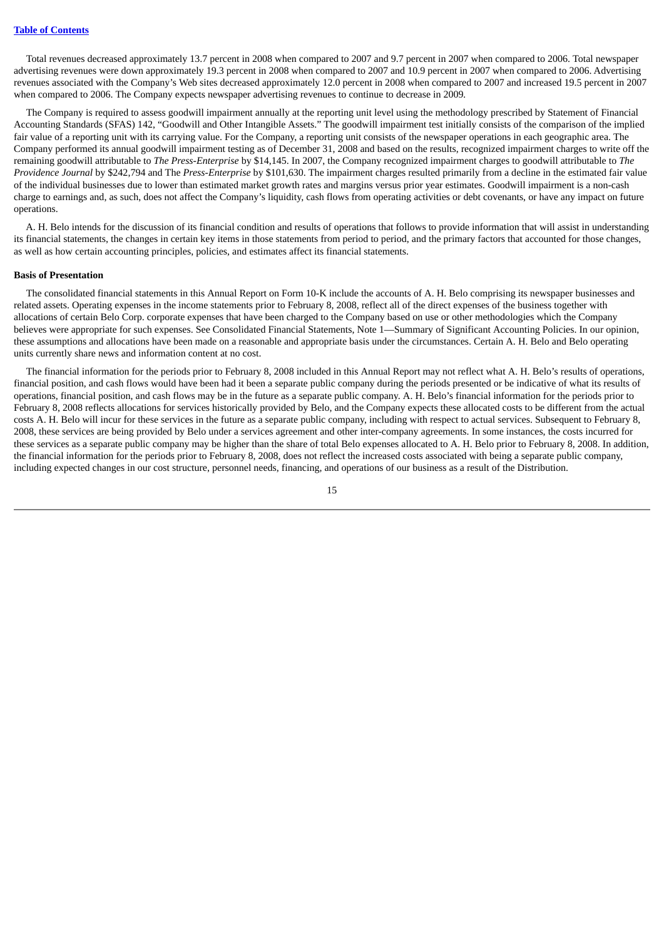Total revenues decreased approximately 13.7 percent in 2008 when compared to 2007 and 9.7 percent in 2007 when compared to 2006. Total newspaper advertising revenues were down approximately 19.3 percent in 2008 when compared to 2007 and 10.9 percent in 2007 when compared to 2006. Advertising revenues associated with the Company's Web sites decreased approximately 12.0 percent in 2008 when compared to 2007 and increased 19.5 percent in 2007 when compared to 2006. The Company expects newspaper advertising revenues to continue to decrease in 2009*.*

The Company is required to assess goodwill impairment annually at the reporting unit level using the methodology prescribed by Statement of Financial Accounting Standards (SFAS) 142, "Goodwill and Other Intangible Assets." The goodwill impairment test initially consists of the comparison of the implied fair value of a reporting unit with its carrying value. For the Company, a reporting unit consists of the newspaper operations in each geographic area. The Company performed its annual goodwill impairment testing as of December 31, 2008 and based on the results, recognized impairment charges to write off the remaining goodwill attributable to *The Press-Enterprise* by \$14,145. In 2007, the Company recognized impairment charges to goodwill attributable to *The Providence Journal* by \$242,794 and The *Press-Enterprise* by \$101,630. The impairment charges resulted primarily from a decline in the estimated fair value of the individual businesses due to lower than estimated market growth rates and margins versus prior year estimates. Goodwill impairment is a non-cash charge to earnings and, as such, does not affect the Company's liquidity, cash flows from operating activities or debt covenants, or have any impact on future operations.

A. H. Belo intends for the discussion of its financial condition and results of operations that follows to provide information that will assist in understanding its financial statements, the changes in certain key items in those statements from period to period, and the primary factors that accounted for those changes, as well as how certain accounting principles, policies, and estimates affect its financial statements.

#### **Basis of Presentation**

The consolidated financial statements in this Annual Report on Form 10-K include the accounts of A. H. Belo comprising its newspaper businesses and related assets. Operating expenses in the income statements prior to February 8, 2008, reflect all of the direct expenses of the business together with allocations of certain Belo Corp. corporate expenses that have been charged to the Company based on use or other methodologies which the Company believes were appropriate for such expenses. See Consolidated Financial Statements, Note 1—Summary of Significant Accounting Policies. In our opinion, these assumptions and allocations have been made on a reasonable and appropriate basis under the circumstances. Certain A. H. Belo and Belo operating units currently share news and information content at no cost.

The financial information for the periods prior to February 8, 2008 included in this Annual Report may not reflect what A. H. Belo's results of operations, financial position, and cash flows would have been had it been a separate public company during the periods presented or be indicative of what its results of operations, financial position, and cash flows may be in the future as a separate public company. A. H. Belo's financial information for the periods prior to February 8, 2008 reflects allocations for services historically provided by Belo, and the Company expects these allocated costs to be different from the actual costs A. H. Belo will incur for these services in the future as a separate public company, including with respect to actual services. Subsequent to February 8, 2008, these services are being provided by Belo under a services agreement and other inter-company agreements. In some instances, the costs incurred for these services as a separate public company may be higher than the share of total Belo expenses allocated to A. H. Belo prior to February 8, 2008. In addition, the financial information for the periods prior to February 8, 2008, does not reflect the increased costs associated with being a separate public company, including expected changes in our cost structure, personnel needs, financing, and operations of our business as a result of the Distribution.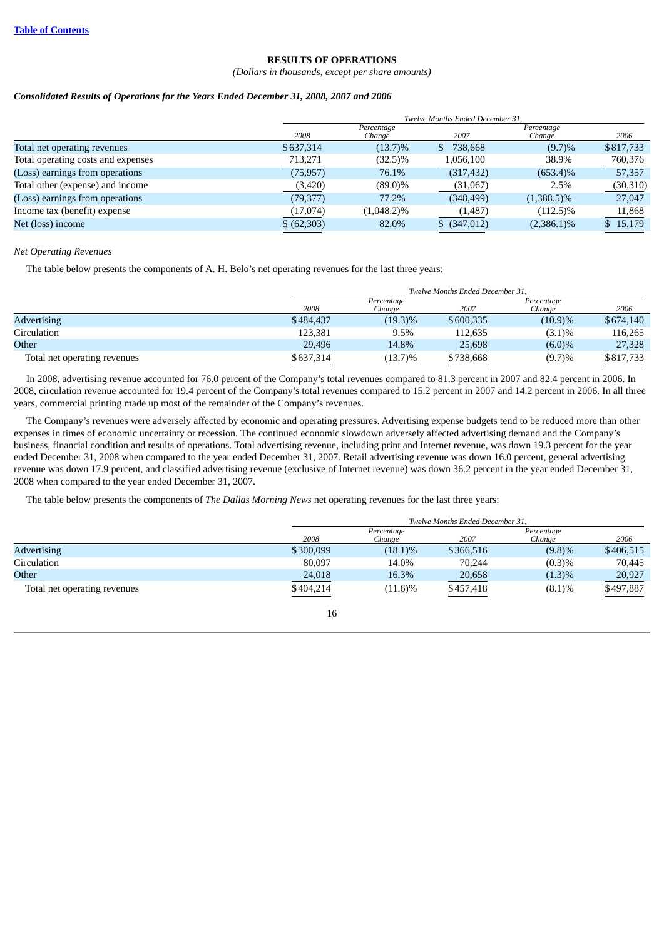#### **RESULTS OF OPERATIONS**

*(Dollars in thousands, except per share amounts)*

# *Consolidated Results of Operations for the Years Ended December 31, 2008, 2007 and 2006*

|                                    |              | Twelve Months Ended December 31. |               |                      |           |  |
|------------------------------------|--------------|----------------------------------|---------------|----------------------|-----------|--|
|                                    | 2008         | Percentage<br>Change             | 2007          | Percentage<br>Change | 2006      |  |
| Total net operating revenues       | \$637,314    | $(13.7)\%$                       | 738.668<br>S. | $(9.7)\%$            | \$817,733 |  |
| Total operating costs and expenses | 713,271      | $(32.5)\%$                       | 1,056,100     | 38.9%                | 760,376   |  |
| (Loss) earnings from operations    | (75, 957)    | 76.1%                            | (317, 432)    | $(653.4)\%$          | 57,357    |  |
| Total other (expense) and income   | (3,420)      | $(89.0)\%$                       | (31,067)      | 2.5%                 | (30, 310) |  |
| (Loss) earnings from operations    | (79, 377)    | 77.2%                            | (348, 499)    | $(1,388.5)\%$        | 27,047    |  |
| Income tax (benefit) expense       | (17,074)     | $(1,048.2)\%$                    | (1,487)       | $(112.5)\%$          | 11,868    |  |
| Net (loss) income                  | \$ (62, 303) | 82.0%                            | \$ (347,012)  | $(2,386.1)\%$        | \$15,179  |  |

# *Net Operating Revenues*

The table below presents the components of A. H. Belo's net operating revenues for the last three years:

|                              |           | Twelve Months Ended December 31, |           |                      |                       |  |
|------------------------------|-----------|----------------------------------|-----------|----------------------|-----------------------|--|
|                              | 2008      | Percentage<br>Chanae             | 2007      | Percentage<br>Chanae | 2006                  |  |
| <b>Advertising</b>           | \$484,437 | $(19.3)\%$                       | \$600,335 | (10.9)%              | \$674,140             |  |
| Circulation                  | 123,381   | 9.5%                             | 112,635   | $(3.1)\%$            | 116,265               |  |
| Other                        | 29,496    | 14.8%                            | 25,698    | $(6.0)\%$            | 27,328                |  |
| Total net operating revenues | \$637,314 | $(13.7)\%$                       | \$738,668 | (9.7)%               | \$817,733<br>________ |  |

In 2008, advertising revenue accounted for 76.0 percent of the Company's total revenues compared to 81.3 percent in 2007 and 82.4 percent in 2006. In 2008, circulation revenue accounted for 19.4 percent of the Company's total revenues compared to 15.2 percent in 2007 and 14.2 percent in 2006. In all three years, commercial printing made up most of the remainder of the Company's revenues.

The Company's revenues were adversely affected by economic and operating pressures. Advertising expense budgets tend to be reduced more than other expenses in times of economic uncertainty or recession. The continued economic slowdown adversely affected advertising demand and the Company's business, financial condition and results of operations. Total advertising revenue, including print and Internet revenue, was down 19.3 percent for the year ended December 31, 2008 when compared to the year ended December 31, 2007. Retail advertising revenue was down 16.0 percent, general advertising revenue was down 17.9 percent, and classified advertising revenue (exclusive of Internet revenue) was down 36.2 percent in the year ended December 31, 2008 when compared to the year ended December 31, 2007.

The table below presents the components of *The Dallas Morning News* net operating revenues for the last three years:

|                              |                                            | Twelve Months Ended December 31. |                                              |                      |           |  |
|------------------------------|--------------------------------------------|----------------------------------|----------------------------------------------|----------------------|-----------|--|
|                              | 2008                                       | Percentage<br>Change             | 2007                                         | Percentage<br>Change | 2006      |  |
| <b>Advertising</b>           | \$300,099                                  | $(18.1)\%$                       | \$366,516                                    | $(9.8)\%$            | \$406,515 |  |
| Circulation                  | 80.097                                     | 14.0%                            | 70.244                                       | (0.3)%               | 70,445    |  |
| Other                        | 24,018                                     | 16.3%                            | 20,658                                       | $(1.3)\%$            | 20,927    |  |
| Total net operating revenues | \$404,214<br>the control of the control of | $(11.6)\%$                       | \$457,418<br>the contract of the contract of | $(8.1)\%$            | \$497,887 |  |
|                              | 16                                         |                                  |                                              |                      |           |  |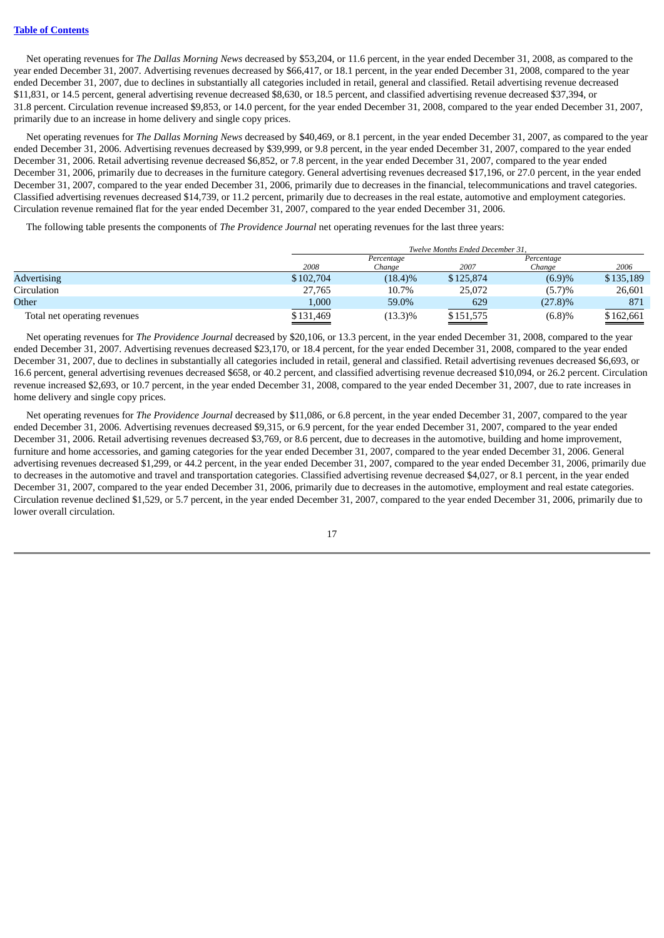Net operating revenues for *The Dallas Morning News* decreased by \$53,204, or 11.6 percent, in the year ended December 31, 2008, as compared to the year ended December 31, 2007. Advertising revenues decreased by \$66,417, or 18.1 percent, in the year ended December 31, 2008, compared to the year ended December 31, 2007, due to declines in substantially all categories included in retail, general and classified. Retail advertising revenue decreased \$11,831, or 14.5 percent, general advertising revenue decreased \$8,630, or 18.5 percent, and classified advertising revenue decreased \$37,394, or 31.8 percent. Circulation revenue increased \$9,853, or 14.0 percent, for the year ended December 31, 2008, compared to the year ended December 31, 2007, primarily due to an increase in home delivery and single copy prices.

Net operating revenues for *The Dallas Morning News* decreased by \$40,469, or 8.1 percent, in the year ended December 31, 2007, as compared to the year ended December 31, 2006. Advertising revenues decreased by \$39,999, or 9.8 percent, in the year ended December 31, 2007, compared to the year ended December 31, 2006. Retail advertising revenue decreased \$6,852, or 7.8 percent, in the year ended December 31, 2007, compared to the year ended December 31, 2006, primarily due to decreases in the furniture category. General advertising revenues decreased \$17,196, or 27.0 percent, in the year ended December 31, 2007, compared to the year ended December 31, 2006, primarily due to decreases in the financial, telecommunications and travel categories. Classified advertising revenues decreased \$14,739, or 11.2 percent, primarily due to decreases in the real estate, automotive and employment categories. Circulation revenue remained flat for the year ended December 31, 2007, compared to the year ended December 31, 2006.

The following table presents the components of *The Providence Journal* net operating revenues for the last three years:

|                              |           | Twelve Months Ended December 31. |           |                      |           |  |  |
|------------------------------|-----------|----------------------------------|-----------|----------------------|-----------|--|--|
|                              | 2008      | Percentage<br>Chanae             | 2007      | Percentage<br>Chanae | 2006      |  |  |
| <b>Advertising</b>           | \$102,704 | $(18.4)\%$                       | \$125,874 | (6.9)%               | \$135,189 |  |  |
| Circulation                  | 27,765    | 10.7%                            | 25,072    | (5.7)%               | 26,601    |  |  |
| Other                        | 1,000     | 59.0%                            | 629       | $(27.8)\%$           | 871       |  |  |
| Total net operating revenues | \$131,469 | $(13.3)\%$                       | \$151,575 | (6.8)%               | \$162,661 |  |  |

Net operating revenues for *The Providence Journal* decreased by \$20,106, or 13.3 percent, in the year ended December 31, 2008, compared to the year ended December 31, 2007. Advertising revenues decreased \$23,170, or 18.4 percent, for the year ended December 31, 2008, compared to the year ended December 31, 2007, due to declines in substantially all categories included in retail, general and classified. Retail advertising revenues decreased \$6,693, or 16.6 percent, general advertising revenues decreased \$658, or 40.2 percent, and classified advertising revenue decreased \$10,094, or 26.2 percent. Circulation revenue increased \$2,693, or 10.7 percent, in the year ended December 31, 2008, compared to the year ended December 31, 2007, due to rate increases in home delivery and single copy prices.

Net operating revenues for *The Providence Journal* decreased by \$11,086, or 6.8 percent, in the year ended December 31, 2007, compared to the year ended December 31, 2006. Advertising revenues decreased \$9,315, or 6.9 percent, for the year ended December 31, 2007, compared to the year ended December 31, 2006. Retail advertising revenues decreased \$3,769, or 8.6 percent, due to decreases in the automotive, building and home improvement, furniture and home accessories, and gaming categories for the year ended December 31, 2007, compared to the year ended December 31, 2006. General advertising revenues decreased \$1,299, or 44.2 percent, in the year ended December 31, 2007, compared to the year ended December 31, 2006, primarily due to decreases in the automotive and travel and transportation categories. Classified advertising revenue decreased \$4,027, or 8.1 percent, in the year ended December 31, 2007, compared to the year ended December 31, 2006, primarily due to decreases in the automotive, employment and real estate categories. Circulation revenue declined \$1,529, or 5.7 percent, in the year ended December 31, 2007, compared to the year ended December 31, 2006, primarily due to lower overall circulation.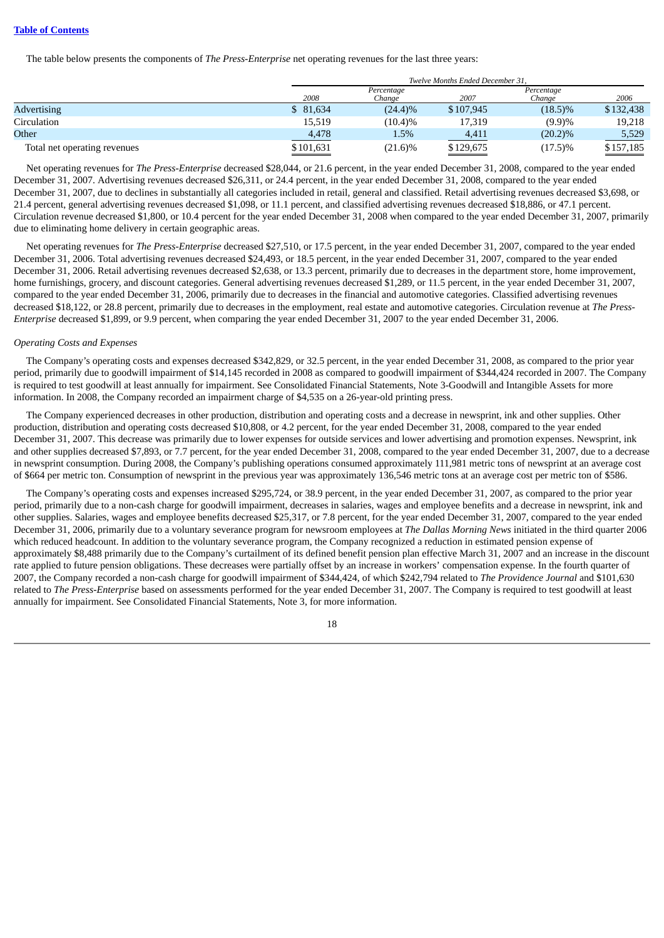#### **Table of [Contents](#page-3-0)**

The table below presents the components of *The Press-Enterprise* net operating revenues for the last three years:

|                              |           | Twelve Months Ended December 31. |           |                      |           |  |
|------------------------------|-----------|----------------------------------|-----------|----------------------|-----------|--|
|                              | 2008      | Percentage<br>Chanae             | 2007      | Percentage<br>Chanae | 2006      |  |
| <b>Advertising</b>           | \$81,634  | $(24.4)\%$                       | \$107,945 | $(18.5)\%$           | \$132,438 |  |
| Circulation                  | 15,519    | $(10.4)\%$                       | 17,319    | (9.9)%               | 19,218    |  |
| Other                        | 4,478     | 1.5%                             | 4,411     | $(20.2)\%$           | 5,529     |  |
| Total net operating revenues | \$101,631 | $(21.6)\%$                       | \$129,675 | $(17.5)\%$           | \$157,185 |  |

Net operating revenues for *The Press-Enterprise* decreased \$28,044, or 21.6 percent, in the year ended December 31, 2008, compared to the year ended December 31, 2007. Advertising revenues decreased \$26,311, or 24.4 percent, in the year ended December 31, 2008, compared to the year ended December 31, 2007, due to declines in substantially all categories included in retail, general and classified. Retail advertising revenues decreased \$3,698, or 21.4 percent, general advertising revenues decreased \$1,098, or 11.1 percent, and classified advertising revenues decreased \$18,886, or 47.1 percent. Circulation revenue decreased \$1,800, or 10.4 percent for the year ended December 31, 2008 when compared to the year ended December 31, 2007, primarily due to eliminating home delivery in certain geographic areas.

Net operating revenues for *The Press-Enterprise* decreased \$27,510, or 17.5 percent, in the year ended December 31, 2007, compared to the year ended December 31, 2006. Total advertising revenues decreased \$24,493, or 18.5 percent, in the year ended December 31, 2007, compared to the year ended December 31, 2006. Retail advertising revenues decreased \$2,638, or 13.3 percent, primarily due to decreases in the department store, home improvement, home furnishings, grocery, and discount categories. General advertising revenues decreased \$1,289, or 11.5 percent, in the year ended December 31, 2007, compared to the year ended December 31, 2006, primarily due to decreases in the financial and automotive categories. Classified advertising revenues decreased \$18,122, or 28.8 percent, primarily due to decreases in the employment, real estate and automotive categories. Circulation revenue at *The Press-Enterprise* decreased \$1,899, or 9.9 percent, when comparing the year ended December 31, 2007 to the year ended December 31, 2006.

#### *Operating Costs and Expenses*

The Company's operating costs and expenses decreased \$342,829, or 32.5 percent, in the year ended December 31, 2008, as compared to the prior year period, primarily due to goodwill impairment of \$14,145 recorded in 2008 as compared to goodwill impairment of \$344,424 recorded in 2007. The Company is required to test goodwill at least annually for impairment. See Consolidated Financial Statements, Note 3-Goodwill and Intangible Assets for more information. In 2008, the Company recorded an impairment charge of \$4,535 on a 26-year-old printing press.

The Company experienced decreases in other production, distribution and operating costs and a decrease in newsprint, ink and other supplies. Other production, distribution and operating costs decreased \$10,808, or 4.2 percent, for the year ended December 31, 2008, compared to the year ended December 31, 2007. This decrease was primarily due to lower expenses for outside services and lower advertising and promotion expenses. Newsprint, ink and other supplies decreased \$7,893, or 7.7 percent, for the year ended December 31, 2008, compared to the year ended December 31, 2007, due to a decrease in newsprint consumption. During 2008, the Company's publishing operations consumed approximately 111,981 metric tons of newsprint at an average cost of \$664 per metric ton. Consumption of newsprint in the previous year was approximately 136,546 metric tons at an average cost per metric ton of \$586.

The Company's operating costs and expenses increased \$295,724, or 38.9 percent, in the year ended December 31, 2007, as compared to the prior year period, primarily due to a non-cash charge for goodwill impairment, decreases in salaries, wages and employee benefits and a decrease in newsprint, ink and other supplies. Salaries, wages and employee benefits decreased \$25,317, or 7.8 percent, for the year ended December 31, 2007, compared to the year ended December 31, 2006, primarily due to a voluntary severance program for newsroom employees at *The Dallas Morning News* initiated in the third quarter 2006 which reduced headcount. In addition to the voluntary severance program, the Company recognized a reduction in estimated pension expense of approximately \$8,488 primarily due to the Company's curtailment of its defined benefit pension plan effective March 31, 2007 and an increase in the discount rate applied to future pension obligations. These decreases were partially offset by an increase in workers' compensation expense. In the fourth quarter of 2007, the Company recorded a non-cash charge for goodwill impairment of \$344,424, of which \$242,794 related to *The Providence Journal* and \$101,630 related to *The Press-Enterprise* based on assessments performed for the year ended December 31, 2007. The Company is required to test goodwill at least annually for impairment. See Consolidated Financial Statements, Note 3, for more information.

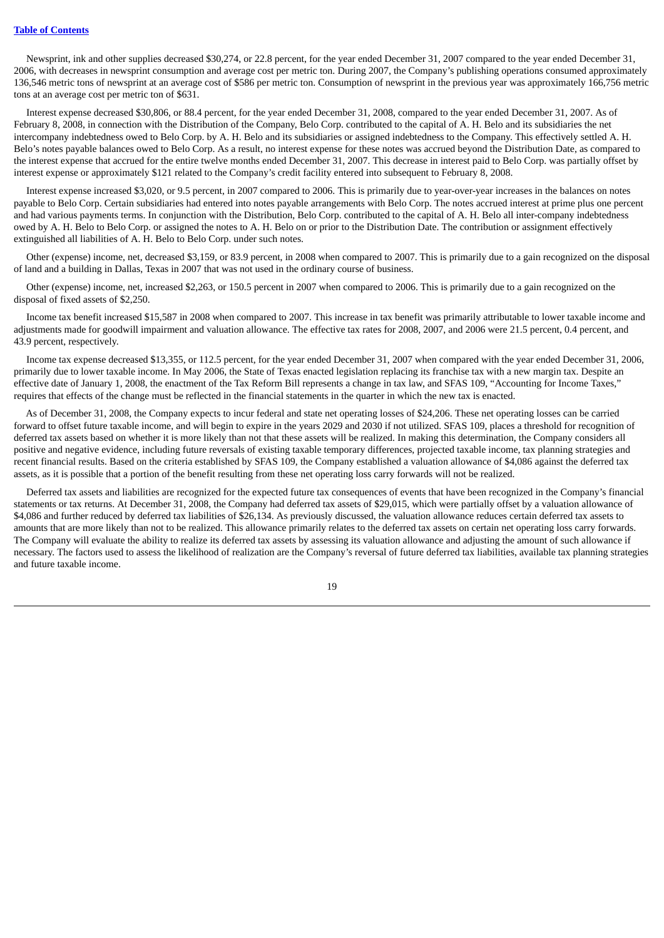Newsprint, ink and other supplies decreased \$30,274, or 22.8 percent, for the year ended December 31, 2007 compared to the year ended December 31, 2006, with decreases in newsprint consumption and average cost per metric ton. During 2007, the Company's publishing operations consumed approximately 136,546 metric tons of newsprint at an average cost of \$586 per metric ton. Consumption of newsprint in the previous year was approximately 166,756 metric tons at an average cost per metric ton of \$631.

Interest expense decreased \$30,806, or 88.4 percent, for the year ended December 31, 2008, compared to the year ended December 31, 2007. As of February 8, 2008, in connection with the Distribution of the Company, Belo Corp. contributed to the capital of A. H. Belo and its subsidiaries the net intercompany indebtedness owed to Belo Corp. by A. H. Belo and its subsidiaries or assigned indebtedness to the Company. This effectively settled A. H. Belo's notes payable balances owed to Belo Corp. As a result, no interest expense for these notes was accrued beyond the Distribution Date, as compared to the interest expense that accrued for the entire twelve months ended December 31, 2007. This decrease in interest paid to Belo Corp. was partially offset by interest expense or approximately \$121 related to the Company's credit facility entered into subsequent to February 8, 2008.

Interest expense increased \$3,020, or 9.5 percent, in 2007 compared to 2006. This is primarily due to year-over-year increases in the balances on notes payable to Belo Corp. Certain subsidiaries had entered into notes payable arrangements with Belo Corp. The notes accrued interest at prime plus one percent and had various payments terms. In conjunction with the Distribution, Belo Corp. contributed to the capital of A. H. Belo all inter-company indebtedness owed by A. H. Belo to Belo Corp. or assigned the notes to A. H. Belo on or prior to the Distribution Date. The contribution or assignment effectively extinguished all liabilities of A. H. Belo to Belo Corp. under such notes.

Other (expense) income, net, decreased \$3,159, or 83.9 percent, in 2008 when compared to 2007. This is primarily due to a gain recognized on the disposal of land and a building in Dallas, Texas in 2007 that was not used in the ordinary course of business.

Other (expense) income, net, increased \$2,263, or 150.5 percent in 2007 when compared to 2006. This is primarily due to a gain recognized on the disposal of fixed assets of \$2,250.

Income tax benefit increased \$15,587 in 2008 when compared to 2007. This increase in tax benefit was primarily attributable to lower taxable income and adjustments made for goodwill impairment and valuation allowance. The effective tax rates for 2008, 2007, and 2006 were 21.5 percent, 0.4 percent, and 43.9 percent, respectively.

Income tax expense decreased \$13,355, or 112.5 percent, for the year ended December 31, 2007 when compared with the year ended December 31, 2006, primarily due to lower taxable income. In May 2006, the State of Texas enacted legislation replacing its franchise tax with a new margin tax. Despite an effective date of January 1, 2008, the enactment of the Tax Reform Bill represents a change in tax law, and SFAS 109, "Accounting for Income Taxes," requires that effects of the change must be reflected in the financial statements in the quarter in which the new tax is enacted.

As of December 31, 2008, the Company expects to incur federal and state net operating losses of \$24,206. These net operating losses can be carried forward to offset future taxable income, and will begin to expire in the years 2029 and 2030 if not utilized. SFAS 109, places a threshold for recognition of deferred tax assets based on whether it is more likely than not that these assets will be realized. In making this determination, the Company considers all positive and negative evidence, including future reversals of existing taxable temporary differences, projected taxable income, tax planning strategies and recent financial results. Based on the criteria established by SFAS 109, the Company established a valuation allowance of \$4,086 against the deferred tax assets, as it is possible that a portion of the benefit resulting from these net operating loss carry forwards will not be realized.

Deferred tax assets and liabilities are recognized for the expected future tax consequences of events that have been recognized in the Company's financial statements or tax returns. At December 31, 2008, the Company had deferred tax assets of \$29,015, which were partially offset by a valuation allowance of \$4,086 and further reduced by deferred tax liabilities of \$26,134. As previously discussed, the valuation allowance reduces certain deferred tax assets to amounts that are more likely than not to be realized. This allowance primarily relates to the deferred tax assets on certain net operating loss carry forwards. The Company will evaluate the ability to realize its deferred tax assets by assessing its valuation allowance and adjusting the amount of such allowance if necessary. The factors used to assess the likelihood of realization are the Company's reversal of future deferred tax liabilities, available tax planning strategies and future taxable income.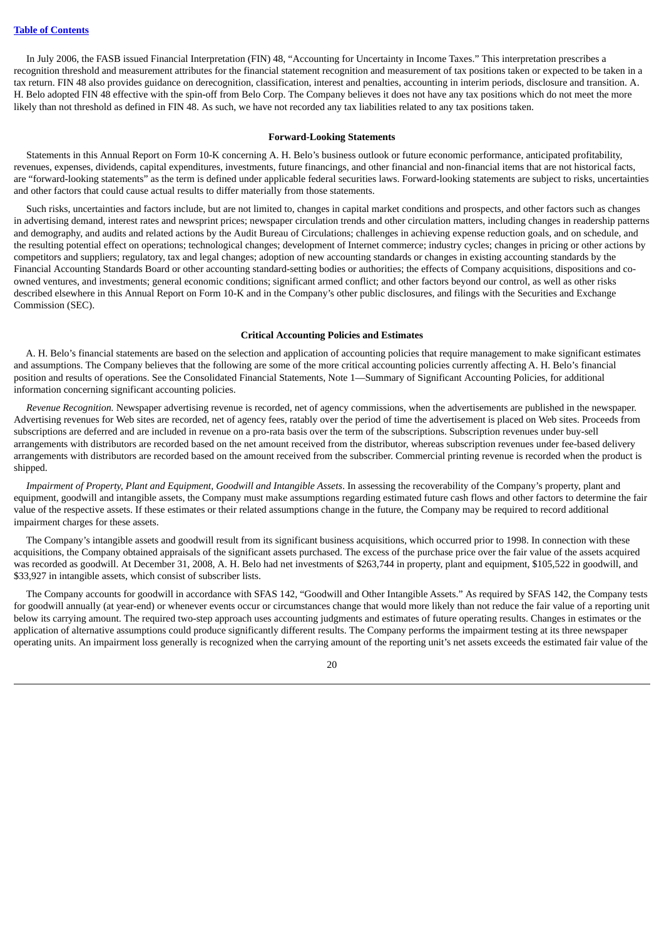In July 2006, the FASB issued Financial Interpretation (FIN) 48, "Accounting for Uncertainty in Income Taxes." This interpretation prescribes a recognition threshold and measurement attributes for the financial statement recognition and measurement of tax positions taken or expected to be taken in a tax return. FIN 48 also provides guidance on derecognition, classification, interest and penalties, accounting in interim periods, disclosure and transition. A. H. Belo adopted FIN 48 effective with the spin-off from Belo Corp. The Company believes it does not have any tax positions which do not meet the more likely than not threshold as defined in FIN 48. As such, we have not recorded any tax liabilities related to any tax positions taken.

#### **Forward-Looking Statements**

Statements in this Annual Report on Form 10-K concerning A. H. Belo's business outlook or future economic performance, anticipated profitability, revenues, expenses, dividends, capital expenditures, investments, future financings, and other financial and non-financial items that are not historical facts, are "forward-looking statements" as the term is defined under applicable federal securities laws. Forward-looking statements are subject to risks, uncertainties and other factors that could cause actual results to differ materially from those statements.

Such risks, uncertainties and factors include, but are not limited to, changes in capital market conditions and prospects, and other factors such as changes in advertising demand, interest rates and newsprint prices; newspaper circulation trends and other circulation matters, including changes in readership patterns and demography, and audits and related actions by the Audit Bureau of Circulations; challenges in achieving expense reduction goals, and on schedule, and the resulting potential effect on operations; technological changes; development of Internet commerce; industry cycles; changes in pricing or other actions by competitors and suppliers; regulatory, tax and legal changes; adoption of new accounting standards or changes in existing accounting standards by the Financial Accounting Standards Board or other accounting standard-setting bodies or authorities; the effects of Company acquisitions, dispositions and coowned ventures, and investments; general economic conditions; significant armed conflict; and other factors beyond our control, as well as other risks described elsewhere in this Annual Report on Form 10-K and in the Company's other public disclosures, and filings with the Securities and Exchange Commission (SEC).

#### **Critical Accounting Policies and Estimates**

A. H. Belo's financial statements are based on the selection and application of accounting policies that require management to make significant estimates and assumptions. The Company believes that the following are some of the more critical accounting policies currently affecting A. H. Belo's financial position and results of operations. See the Consolidated Financial Statements, Note 1—Summary of Significant Accounting Policies, for additional information concerning significant accounting policies.

*Revenue Recognition.* Newspaper advertising revenue is recorded, net of agency commissions, when the advertisements are published in the newspaper. Advertising revenues for Web sites are recorded, net of agency fees, ratably over the period of time the advertisement is placed on Web sites. Proceeds from subscriptions are deferred and are included in revenue on a pro-rata basis over the term of the subscriptions. Subscription revenues under buy-sell arrangements with distributors are recorded based on the net amount received from the distributor, whereas subscription revenues under fee-based delivery arrangements with distributors are recorded based on the amount received from the subscriber. Commercial printing revenue is recorded when the product is shipped.

*Impairment of Property, Plant and Equipment, Goodwill and Intangible Assets*. In assessing the recoverability of the Company's property, plant and equipment, goodwill and intangible assets, the Company must make assumptions regarding estimated future cash flows and other factors to determine the fair value of the respective assets. If these estimates or their related assumptions change in the future, the Company may be required to record additional impairment charges for these assets.

The Company's intangible assets and goodwill result from its significant business acquisitions, which occurred prior to 1998. In connection with these acquisitions, the Company obtained appraisals of the significant assets purchased. The excess of the purchase price over the fair value of the assets acquired was recorded as goodwill. At December 31, 2008, A. H. Belo had net investments of \$263,744 in property, plant and equipment, \$105,522 in goodwill, and \$33,927 in intangible assets, which consist of subscriber lists.

The Company accounts for goodwill in accordance with SFAS 142, "Goodwill and Other Intangible Assets." As required by SFAS 142, the Company tests for goodwill annually (at year-end) or whenever events occur or circumstances change that would more likely than not reduce the fair value of a reporting unit below its carrying amount. The required two-step approach uses accounting judgments and estimates of future operating results. Changes in estimates or the application of alternative assumptions could produce significantly different results. The Company performs the impairment testing at its three newspaper operating units. An impairment loss generally is recognized when the carrying amount of the reporting unit's net assets exceeds the estimated fair value of the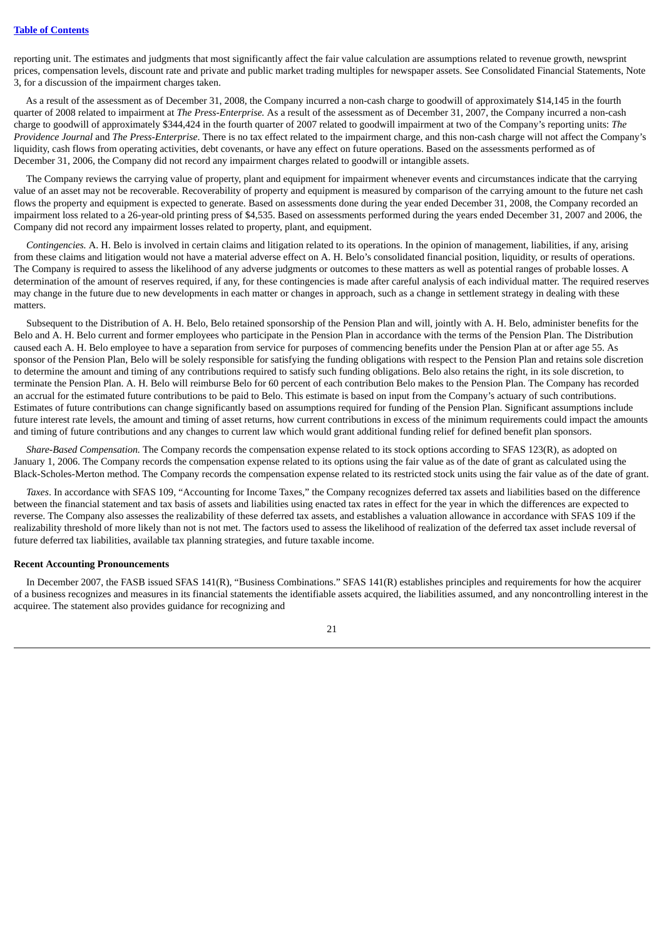reporting unit. The estimates and judgments that most significantly affect the fair value calculation are assumptions related to revenue growth, newsprint prices, compensation levels, discount rate and private and public market trading multiples for newspaper assets. See Consolidated Financial Statements, Note 3, for a discussion of the impairment charges taken.

As a result of the assessment as of December 31, 2008, the Company incurred a non-cash charge to goodwill of approximately \$14,145 in the fourth quarter of 2008 related to impairment at *The Press-Enterprise.* As a result of the assessment as of December 31, 2007, the Company incurred a non-cash charge to goodwill of approximately \$344,424 in the fourth quarter of 2007 related to goodwill impairment at two of the Company's reporting units: *The Providence Journal* and *The Press-Enterprise*. There is no tax effect related to the impairment charge, and this non-cash charge will not affect the Company's liquidity, cash flows from operating activities, debt covenants, or have any effect on future operations. Based on the assessments performed as of December 31, 2006, the Company did not record any impairment charges related to goodwill or intangible assets.

The Company reviews the carrying value of property, plant and equipment for impairment whenever events and circumstances indicate that the carrying value of an asset may not be recoverable. Recoverability of property and equipment is measured by comparison of the carrying amount to the future net cash flows the property and equipment is expected to generate. Based on assessments done during the year ended December 31, 2008, the Company recorded an impairment loss related to a 26-year-old printing press of \$4,535. Based on assessments performed during the years ended December 31, 2007 and 2006, the Company did not record any impairment losses related to property, plant, and equipment.

*Contingencies.* A. H. Belo is involved in certain claims and litigation related to its operations. In the opinion of management, liabilities, if any, arising from these claims and litigation would not have a material adverse effect on A. H. Belo's consolidated financial position, liquidity, or results of operations. The Company is required to assess the likelihood of any adverse judgments or outcomes to these matters as well as potential ranges of probable losses. A determination of the amount of reserves required, if any, for these contingencies is made after careful analysis of each individual matter. The required reserves may change in the future due to new developments in each matter or changes in approach, such as a change in settlement strategy in dealing with these matters.

Subsequent to the Distribution of A. H. Belo, Belo retained sponsorship of the Pension Plan and will, jointly with A. H. Belo, administer benefits for the Belo and A. H. Belo current and former employees who participate in the Pension Plan in accordance with the terms of the Pension Plan. The Distribution caused each A. H. Belo employee to have a separation from service for purposes of commencing benefits under the Pension Plan at or after age 55. As sponsor of the Pension Plan, Belo will be solely responsible for satisfying the funding obligations with respect to the Pension Plan and retains sole discretion to determine the amount and timing of any contributions required to satisfy such funding obligations. Belo also retains the right, in its sole discretion, to terminate the Pension Plan. A. H. Belo will reimburse Belo for 60 percent of each contribution Belo makes to the Pension Plan. The Company has recorded an accrual for the estimated future contributions to be paid to Belo. This estimate is based on input from the Company's actuary of such contributions. Estimates of future contributions can change significantly based on assumptions required for funding of the Pension Plan. Significant assumptions include future interest rate levels, the amount and timing of asset returns, how current contributions in excess of the minimum requirements could impact the amounts and timing of future contributions and any changes to current law which would grant additional funding relief for defined benefit plan sponsors.

*Share-Based Compensation.* The Company records the compensation expense related to its stock options according to SFAS 123(R), as adopted on January 1, 2006. The Company records the compensation expense related to its options using the fair value as of the date of grant as calculated using the Black-Scholes-Merton method. The Company records the compensation expense related to its restricted stock units using the fair value as of the date of grant.

*Taxes*. In accordance with SFAS 109, "Accounting for Income Taxes," the Company recognizes deferred tax assets and liabilities based on the difference between the financial statement and tax basis of assets and liabilities using enacted tax rates in effect for the year in which the differences are expected to reverse. The Company also assesses the realizability of these deferred tax assets, and establishes a valuation allowance in accordance with SFAS 109 if the realizability threshold of more likely than not is not met. The factors used to assess the likelihood of realization of the deferred tax asset include reversal of future deferred tax liabilities, available tax planning strategies, and future taxable income.

#### **Recent Accounting Pronouncements**

In December 2007, the FASB issued SFAS 141(R), "Business Combinations." SFAS 141(R) establishes principles and requirements for how the acquirer of a business recognizes and measures in its financial statements the identifiable assets acquired, the liabilities assumed, and any noncontrolling interest in the acquiree. The statement also provides guidance for recognizing and

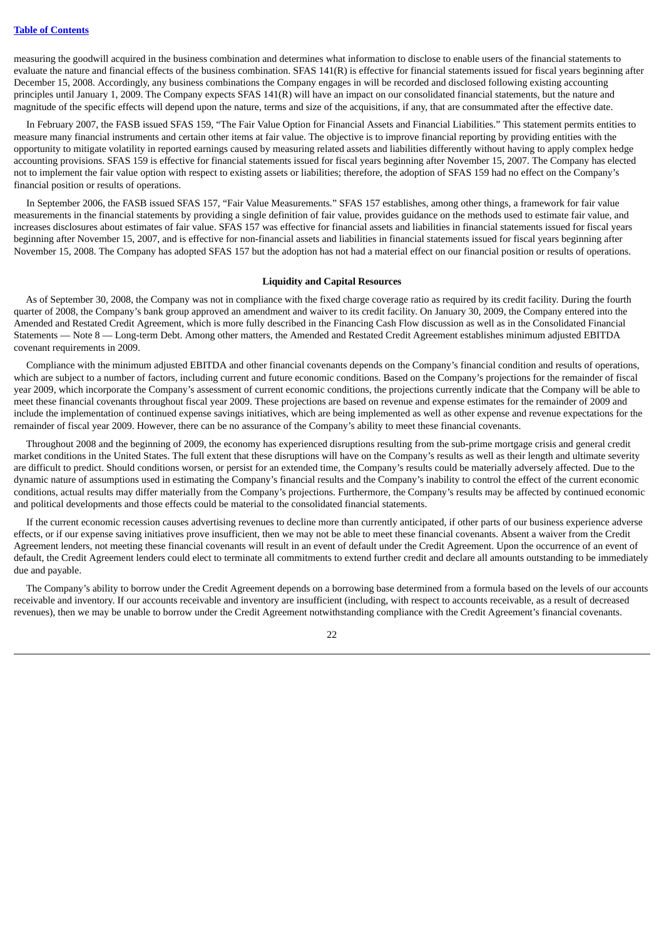measuring the goodwill acquired in the business combination and determines what information to disclose to enable users of the financial statements to evaluate the nature and financial effects of the business combination. SFAS 141(R) is effective for financial statements issued for fiscal years beginning after December 15, 2008. Accordingly, any business combinations the Company engages in will be recorded and disclosed following existing accounting principles until January 1, 2009. The Company expects SFAS 141(R) will have an impact on our consolidated financial statements, but the nature and magnitude of the specific effects will depend upon the nature, terms and size of the acquisitions, if any, that are consummated after the effective date.

In February 2007, the FASB issued SFAS 159, "The Fair Value Option for Financial Assets and Financial Liabilities." This statement permits entities to measure many financial instruments and certain other items at fair value. The objective is to improve financial reporting by providing entities with the opportunity to mitigate volatility in reported earnings caused by measuring related assets and liabilities differently without having to apply complex hedge accounting provisions. SFAS 159 is effective for financial statements issued for fiscal years beginning after November 15, 2007. The Company has elected not to implement the fair value option with respect to existing assets or liabilities; therefore, the adoption of SFAS 159 had no effect on the Company's financial position or results of operations.

In September 2006, the FASB issued SFAS 157, "Fair Value Measurements." SFAS 157 establishes, among other things, a framework for fair value measurements in the financial statements by providing a single definition of fair value, provides guidance on the methods used to estimate fair value, and increases disclosures about estimates of fair value. SFAS 157 was effective for financial assets and liabilities in financial statements issued for fiscal years beginning after November 15, 2007, and is effective for non-financial assets and liabilities in financial statements issued for fiscal years beginning after November 15, 2008. The Company has adopted SFAS 157 but the adoption has not had a material effect on our financial position or results of operations.

#### **Liquidity and Capital Resources**

As of September 30, 2008, the Company was not in compliance with the fixed charge coverage ratio as required by its credit facility. During the fourth quarter of 2008, the Company's bank group approved an amendment and waiver to its credit facility. On January 30, 2009, the Company entered into the Amended and Restated Credit Agreement, which is more fully described in the Financing Cash Flow discussion as well as in the Consolidated Financial Statements — Note 8 — Long-term Debt. Among other matters, the Amended and Restated Credit Agreement establishes minimum adjusted EBITDA covenant requirements in 2009.

Compliance with the minimum adjusted EBITDA and other financial covenants depends on the Company's financial condition and results of operations, which are subject to a number of factors, including current and future economic conditions. Based on the Company's projections for the remainder of fiscal year 2009, which incorporate the Company's assessment of current economic conditions, the projections currently indicate that the Company will be able to meet these financial covenants throughout fiscal year 2009. These projections are based on revenue and expense estimates for the remainder of 2009 and include the implementation of continued expense savings initiatives, which are being implemented as well as other expense and revenue expectations for the remainder of fiscal year 2009. However, there can be no assurance of the Company's ability to meet these financial covenants.

Throughout 2008 and the beginning of 2009, the economy has experienced disruptions resulting from the sub-prime mortgage crisis and general credit market conditions in the United States. The full extent that these disruptions will have on the Company's results as well as their length and ultimate severity are difficult to predict. Should conditions worsen, or persist for an extended time, the Company's results could be materially adversely affected. Due to the dynamic nature of assumptions used in estimating the Company's financial results and the Company's inability to control the effect of the current economic conditions, actual results may differ materially from the Company's projections. Furthermore, the Company's results may be affected by continued economic and political developments and those effects could be material to the consolidated financial statements.

If the current economic recession causes advertising revenues to decline more than currently anticipated, if other parts of our business experience adverse effects, or if our expense saving initiatives prove insufficient, then we may not be able to meet these financial covenants. Absent a waiver from the Credit Agreement lenders, not meeting these financial covenants will result in an event of default under the Credit Agreement. Upon the occurrence of an event of default, the Credit Agreement lenders could elect to terminate all commitments to extend further credit and declare all amounts outstanding to be immediately due and payable.

The Company's ability to borrow under the Credit Agreement depends on a borrowing base determined from a formula based on the levels of our accounts receivable and inventory. If our accounts receivable and inventory are insufficient (including, with respect to accounts receivable, as a result of decreased revenues), then we may be unable to borrow under the Credit Agreement notwithstanding compliance with the Credit Agreement's financial covenants.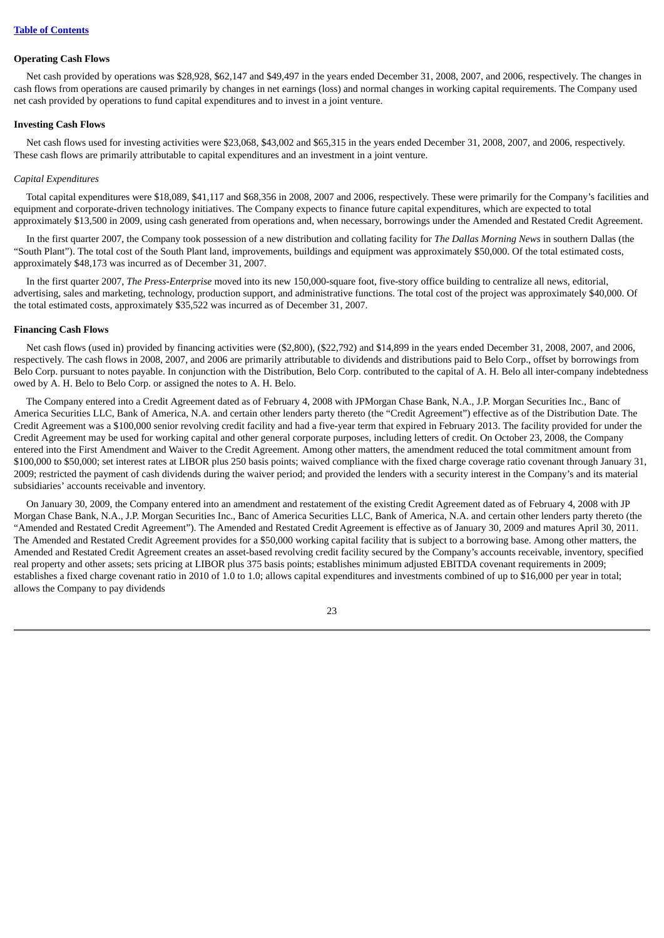#### **Operating Cash Flows**

Net cash provided by operations was \$28,928, \$62,147 and \$49,497 in the years ended December 31, 2008, 2007, and 2006, respectively. The changes in cash flows from operations are caused primarily by changes in net earnings (loss) and normal changes in working capital requirements. The Company used net cash provided by operations to fund capital expenditures and to invest in a joint venture.

#### **Investing Cash Flows**

Net cash flows used for investing activities were \$23,068, \$43,002 and \$65,315 in the years ended December 31, 2008, 2007, and 2006, respectively. These cash flows are primarily attributable to capital expenditures and an investment in a joint venture.

#### *Capital Expenditures*

Total capital expenditures were \$18,089, \$41,117 and \$68,356 in 2008, 2007 and 2006, respectively. These were primarily for the Company's facilities and equipment and corporate-driven technology initiatives. The Company expects to finance future capital expenditures, which are expected to total approximately \$13,500 in 2009, using cash generated from operations and, when necessary, borrowings under the Amended and Restated Credit Agreement.

In the first quarter 2007, the Company took possession of a new distribution and collating facility for *The Dallas Morning News* in southern Dallas (the "South Plant"). The total cost of the South Plant land, improvements, buildings and equipment was approximately \$50,000. Of the total estimated costs, approximately \$48,173 was incurred as of December 31, 2007.

In the first quarter 2007, *The Press-Enterprise* moved into its new 150,000-square foot, five-story office building to centralize all news, editorial, advertising, sales and marketing, technology, production support, and administrative functions. The total cost of the project was approximately \$40,000. Of the total estimated costs, approximately \$35,522 was incurred as of December 31, 2007.

#### **Financing Cash Flows**

Net cash flows (used in) provided by financing activities were (\$2,800), (\$22,792) and \$14,899 in the years ended December 31, 2008, 2007, and 2006, respectively. The cash flows in 2008, 2007, and 2006 are primarily attributable to dividends and distributions paid to Belo Corp., offset by borrowings from Belo Corp. pursuant to notes payable. In conjunction with the Distribution, Belo Corp. contributed to the capital of A. H. Belo all inter-company indebtedness owed by A. H. Belo to Belo Corp. or assigned the notes to A. H. Belo.

The Company entered into a Credit Agreement dated as of February 4, 2008 with JPMorgan Chase Bank, N.A., J.P. Morgan Securities Inc., Banc of America Securities LLC, Bank of America, N.A. and certain other lenders party thereto (the "Credit Agreement") effective as of the Distribution Date. The Credit Agreement was a \$100,000 senior revolving credit facility and had a five-year term that expired in February 2013. The facility provided for under the Credit Agreement may be used for working capital and other general corporate purposes, including letters of credit. On October 23, 2008, the Company entered into the First Amendment and Waiver to the Credit Agreement. Among other matters, the amendment reduced the total commitment amount from \$100,000 to \$50,000; set interest rates at LIBOR plus 250 basis points; waived compliance with the fixed charge coverage ratio covenant through January 31, 2009; restricted the payment of cash dividends during the waiver period; and provided the lenders with a security interest in the Company's and its material subsidiaries' accounts receivable and inventory.

On January 30, 2009, the Company entered into an amendment and restatement of the existing Credit Agreement dated as of February 4, 2008 with JP Morgan Chase Bank, N.A., J.P. Morgan Securities Inc., Banc of America Securities LLC, Bank of America, N.A. and certain other lenders party thereto (the "Amended and Restated Credit Agreement"). The Amended and Restated Credit Agreement is effective as of January 30, 2009 and matures April 30, 2011. The Amended and Restated Credit Agreement provides for a \$50,000 working capital facility that is subject to a borrowing base. Among other matters, the Amended and Restated Credit Agreement creates an asset-based revolving credit facility secured by the Company's accounts receivable, inventory, specified real property and other assets; sets pricing at LIBOR plus 375 basis points; establishes minimum adjusted EBITDA covenant requirements in 2009; establishes a fixed charge covenant ratio in 2010 of 1.0 to 1.0; allows capital expenditures and investments combined of up to \$16,000 per year in total; allows the Company to pay dividends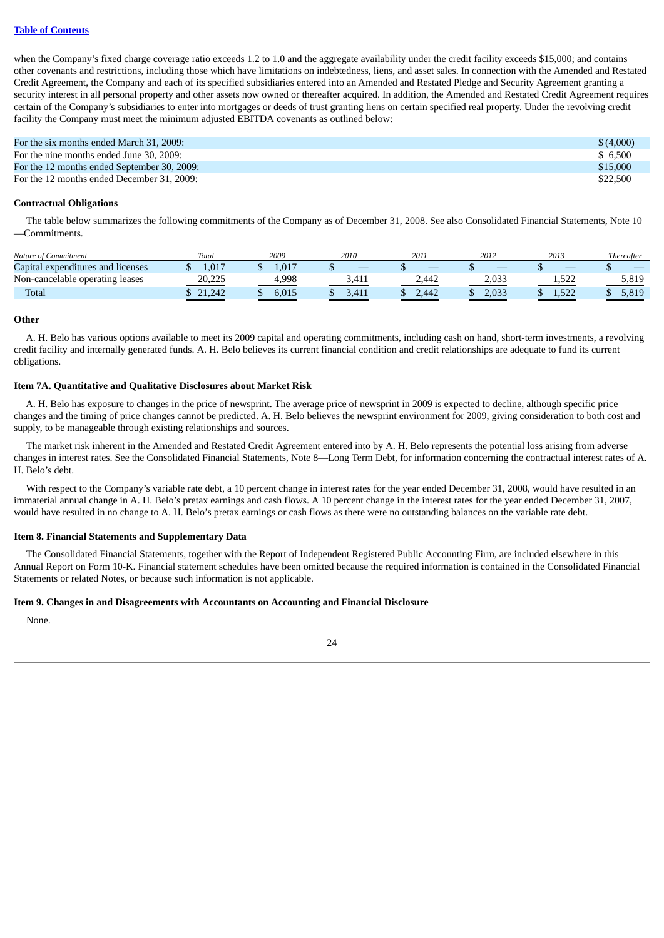when the Company's fixed charge coverage ratio exceeds 1.2 to 1.0 and the aggregate availability under the credit facility exceeds \$15,000; and contains other covenants and restrictions, including those which have limitations on indebtedness, liens, and asset sales. In connection with the Amended and Restated Credit Agreement, the Company and each of its specified subsidiaries entered into an Amended and Restated Pledge and Security Agreement granting a security interest in all personal property and other assets now owned or thereafter acquired. In addition, the Amended and Restated Credit Agreement requires certain of the Company's subsidiaries to enter into mortgages or deeds of trust granting liens on certain specified real property. Under the revolving credit facility the Company must meet the minimum adjusted EBITDA covenants as outlined below:

| For the six months ended March 31, 2009:    | \$ (4,000) |
|---------------------------------------------|------------|
| For the nine months ended June 30, 2009:    | \$6,500    |
| For the 12 months ended September 30, 2009: | \$15,000   |
| For the 12 months ended December 31, 2009:  | \$22,500   |

#### **Contractual Obligations**

The table below summarizes the following commitments of the Company as of December 31, 2008. See also Consolidated Financial Statements, Note 10 —Commitments.

| Nature of Commitment              | Total     | 2009  | 2010  | 2011  | 2012  | 2013  | <i>Thereafter</i>        |
|-----------------------------------|-----------|-------|-------|-------|-------|-------|--------------------------|
| Capital expenditures and licenses | $1.017\,$ | .017  |       | _     | _     | _     | $\overline{\phantom{a}}$ |
| Non-cancelable operating leases   | 20.225    | 4,998 | 3.411 | 2.442 | 2,033 | 1.522 | 5,819                    |
| <b>Total</b>                      | 21,242    | 6.015 | 3.411 | 2.442 | 2.033 | 1.522 | 5,819                    |

#### **Other**

A. H. Belo has various options available to meet its 2009 capital and operating commitments, including cash on hand, short-term investments, a revolving credit facility and internally generated funds. A. H. Belo believes its current financial condition and credit relationships are adequate to fund its current obligations.

#### <span id="page-27-0"></span>**Item 7A. Quantitative and Qualitative Disclosures about Market Risk**

A. H. Belo has exposure to changes in the price of newsprint. The average price of newsprint in 2009 is expected to decline, although specific price changes and the timing of price changes cannot be predicted. A. H. Belo believes the newsprint environment for 2009, giving consideration to both cost and supply, to be manageable through existing relationships and sources.

The market risk inherent in the Amended and Restated Credit Agreement entered into by A. H. Belo represents the potential loss arising from adverse changes in interest rates. See the Consolidated Financial Statements, Note 8—Long Term Debt, for information concerning the contractual interest rates of A. H. Belo's debt.

With respect to the Company's variable rate debt, a 10 percent change in interest rates for the year ended December 31, 2008, would have resulted in an immaterial annual change in A. H. Belo's pretax earnings and cash flows. A 10 percent change in the interest rates for the year ended December 31, 2007, would have resulted in no change to A. H. Belo's pretax earnings or cash flows as there were no outstanding balances on the variable rate debt.

#### <span id="page-27-1"></span>**Item 8. Financial Statements and Supplementary Data**

The Consolidated Financial Statements, together with the Report of Independent Registered Public Accounting Firm, are included elsewhere in this Annual Report on Form 10-K. Financial statement schedules have been omitted because the required information is contained in the Consolidated Financial Statements or related Notes, or because such information is not applicable.

#### <span id="page-27-2"></span>**Item 9. Changes in and Disagreements with Accountants on Accounting and Financial Disclosure**

None.

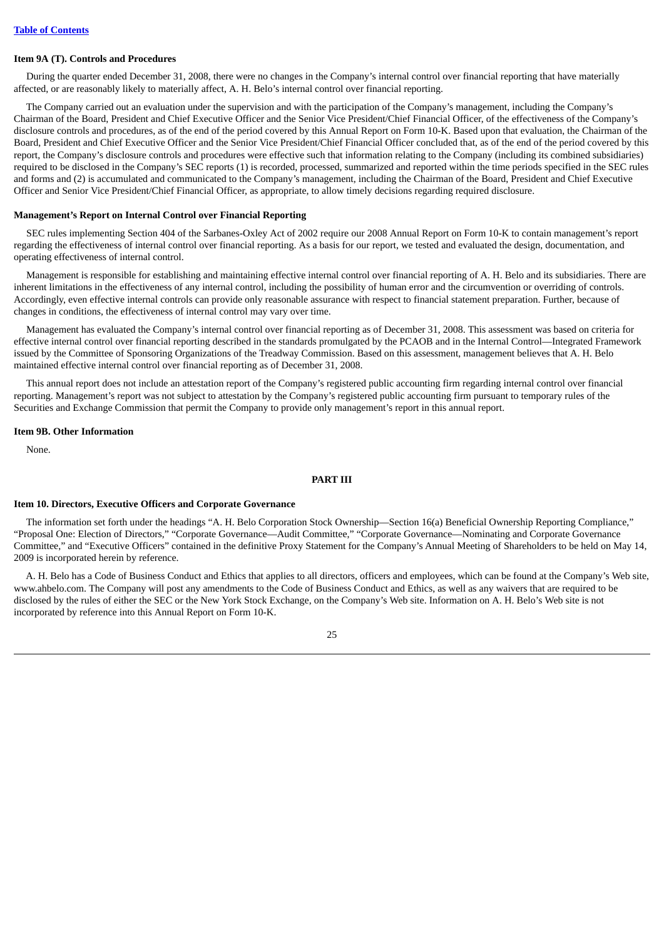#### <span id="page-28-0"></span>**Item 9A (T). Controls and Procedures**

During the quarter ended December 31, 2008, there were no changes in the Company's internal control over financial reporting that have materially affected, or are reasonably likely to materially affect, A. H. Belo's internal control over financial reporting.

The Company carried out an evaluation under the supervision and with the participation of the Company's management, including the Company's Chairman of the Board, President and Chief Executive Officer and the Senior Vice President/Chief Financial Officer, of the effectiveness of the Company's disclosure controls and procedures, as of the end of the period covered by this Annual Report on Form 10-K. Based upon that evaluation, the Chairman of the Board, President and Chief Executive Officer and the Senior Vice President/Chief Financial Officer concluded that, as of the end of the period covered by this report, the Company's disclosure controls and procedures were effective such that information relating to the Company (including its combined subsidiaries) required to be disclosed in the Company's SEC reports (1) is recorded, processed, summarized and reported within the time periods specified in the SEC rules and forms and (2) is accumulated and communicated to the Company's management, including the Chairman of the Board, President and Chief Executive Officer and Senior Vice President/Chief Financial Officer, as appropriate, to allow timely decisions regarding required disclosure.

#### **Management's Report on Internal Control over Financial Reporting**

SEC rules implementing Section 404 of the Sarbanes-Oxley Act of 2002 require our 2008 Annual Report on Form 10-K to contain management's report regarding the effectiveness of internal control over financial reporting. As a basis for our report, we tested and evaluated the design, documentation, and operating effectiveness of internal control.

Management is responsible for establishing and maintaining effective internal control over financial reporting of A. H. Belo and its subsidiaries. There are inherent limitations in the effectiveness of any internal control, including the possibility of human error and the circumvention or overriding of controls. Accordingly, even effective internal controls can provide only reasonable assurance with respect to financial statement preparation. Further, because of changes in conditions, the effectiveness of internal control may vary over time.

Management has evaluated the Company's internal control over financial reporting as of December 31, 2008. This assessment was based on criteria for effective internal control over financial reporting described in the standards promulgated by the PCAOB and in the Internal Control—Integrated Framework issued by the Committee of Sponsoring Organizations of the Treadway Commission. Based on this assessment, management believes that A. H. Belo maintained effective internal control over financial reporting as of December 31, 2008.

This annual report does not include an attestation report of the Company's registered public accounting firm regarding internal control over financial reporting. Management's report was not subject to attestation by the Company's registered public accounting firm pursuant to temporary rules of the Securities and Exchange Commission that permit the Company to provide only management's report in this annual report.

#### <span id="page-28-1"></span>**Item 9B. Other Information**

<span id="page-28-2"></span>None.

#### **PART III**

#### <span id="page-28-3"></span>**Item 10. Directors, Executive Officers and Corporate Governance**

The information set forth under the headings "A. H. Belo Corporation Stock Ownership—Section 16(a) Beneficial Ownership Reporting Compliance," "Proposal One: Election of Directors," "Corporate Governance—Audit Committee," "Corporate Governance—Nominating and Corporate Governance Committee," and "Executive Officers" contained in the definitive Proxy Statement for the Company's Annual Meeting of Shareholders to be held on May 14, 2009 is incorporated herein by reference.

A. H. Belo has a Code of Business Conduct and Ethics that applies to all directors, officers and employees, which can be found at the Company's Web site, www.ahbelo.com. The Company will post any amendments to the Code of Business Conduct and Ethics, as well as any waivers that are required to be disclosed by the rules of either the SEC or the New York Stock Exchange, on the Company's Web site. Information on A. H. Belo's Web site is not incorporated by reference into this Annual Report on Form 10-K.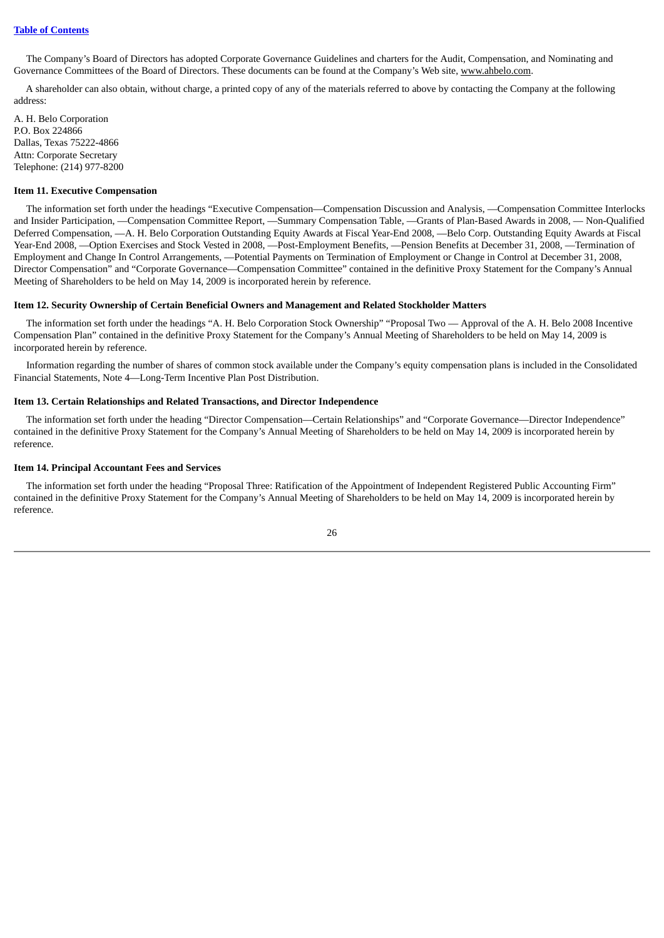The Company's Board of Directors has adopted Corporate Governance Guidelines and charters for the Audit, Compensation, and Nominating and Governance Committees of the Board of Directors. These documents can be found at the Company's Web site, www.ahbelo.com.

A shareholder can also obtain, without charge, a printed copy of any of the materials referred to above by contacting the Company at the following address:

A. H. Belo Corporation P.O. Box 224866 Dallas, Texas 75222-4866 Attn: Corporate Secretary Telephone: (214) 977-8200

#### <span id="page-29-0"></span>**Item 11. Executive Compensation**

The information set forth under the headings "Executive Compensation—Compensation Discussion and Analysis, —Compensation Committee Interlocks and Insider Participation, —Compensation Committee Report, —Summary Compensation Table, —Grants of Plan-Based Awards in 2008, — Non-Qualified Deferred Compensation, —A. H. Belo Corporation Outstanding Equity Awards at Fiscal Year-End 2008, —Belo Corp. Outstanding Equity Awards at Fiscal Year-End 2008, —Option Exercises and Stock Vested in 2008, —Post-Employment Benefits, —Pension Benefits at December 31, 2008, —Termination of Employment and Change In Control Arrangements, —Potential Payments on Termination of Employment or Change in Control at December 31, 2008, Director Compensation" and "Corporate Governance—Compensation Committee" contained in the definitive Proxy Statement for the Company's Annual Meeting of Shareholders to be held on May 14, 2009 is incorporated herein by reference.

#### <span id="page-29-1"></span>**Item 12. Security Ownership of Certain Beneficial Owners and Management and Related Stockholder Matters**

The information set forth under the headings "A. H. Belo Corporation Stock Ownership" "Proposal Two — Approval of the A. H. Belo 2008 Incentive Compensation Plan" contained in the definitive Proxy Statement for the Company's Annual Meeting of Shareholders to be held on May 14, 2009 is incorporated herein by reference.

Information regarding the number of shares of common stock available under the Company's equity compensation plans is included in the Consolidated Financial Statements, Note 4—Long-Term Incentive Plan Post Distribution.

#### <span id="page-29-2"></span>**Item 13. Certain Relationships and Related Transactions, and Director Independence**

The information set forth under the heading "Director Compensation—Certain Relationships" and "Corporate Governance—Director Independence" contained in the definitive Proxy Statement for the Company's Annual Meeting of Shareholders to be held on May 14, 2009 is incorporated herein by reference.

#### <span id="page-29-3"></span>**Item 14. Principal Accountant Fees and Services**

The information set forth under the heading "Proposal Three: Ratification of the Appointment of Independent Registered Public Accounting Firm" contained in the definitive Proxy Statement for the Company's Annual Meeting of Shareholders to be held on May 14, 2009 is incorporated herein by reference.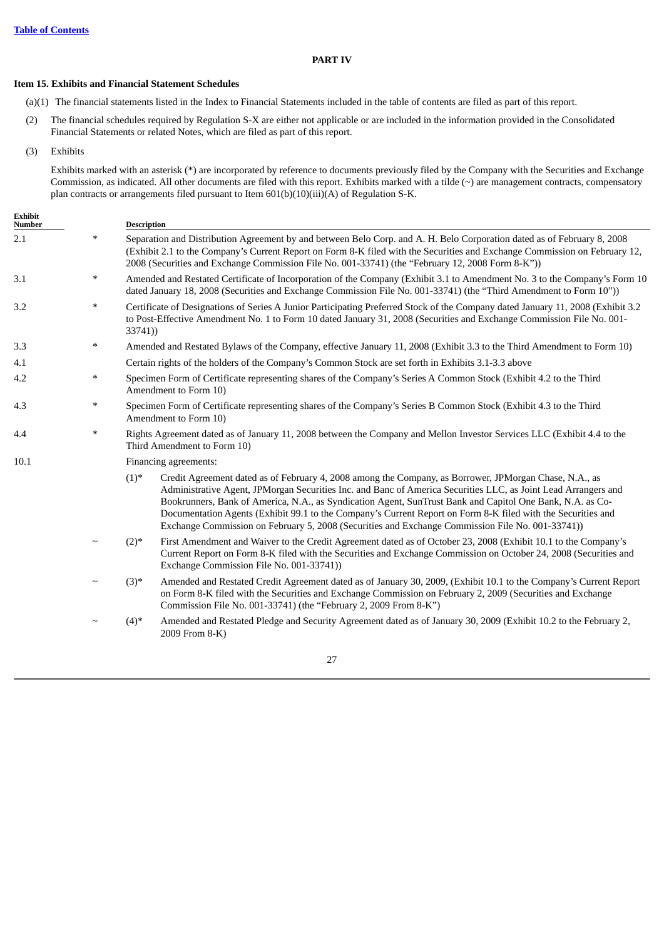# **PART IV**

#### <span id="page-30-1"></span><span id="page-30-0"></span>**Item 15. Exhibits and Financial Statement Schedules**

(a)(1) The financial statements listed in the Index to Financial Statements included in the table of contents are filed as part of this report.

- (2) The financial schedules required by Regulation S-X are either not applicable or are included in the information provided in the Consolidated Financial Statements or related Notes, which are filed as part of this report.
- (3) Exhibits

Exhibits marked with an asterisk (\*) are incorporated by reference to documents previously filed by the Company with the Securities and Exchange Commission, as indicated. All other documents are filed with this report. Exhibits marked with a tilde (~) are management contracts, compensatory plan contracts or arrangements filed pursuant to Item 601(b)(10)(iii)(A) of Regulation S-K.

| <b>Exhibit</b><br><b>Number</b> |        | <b>Description</b>                                                                                                                                                                                                                                                                                                                                                                                                                                                                                                                                                     |  |  |  |  |  |  |
|---------------------------------|--------|------------------------------------------------------------------------------------------------------------------------------------------------------------------------------------------------------------------------------------------------------------------------------------------------------------------------------------------------------------------------------------------------------------------------------------------------------------------------------------------------------------------------------------------------------------------------|--|--|--|--|--|--|
| 2.1                             | $\ast$ | Separation and Distribution Agreement by and between Belo Corp. and A. H. Belo Corporation dated as of February 8, 2008<br>(Exhibit 2.1 to the Company's Current Report on Form 8-K filed with the Securities and Exchange Commission on February 12,<br>2008 (Securities and Exchange Commission File No. 001-33741) (the "February 12, 2008 Form 8-K"))                                                                                                                                                                                                              |  |  |  |  |  |  |
| 3.1                             | $\ast$ | Amended and Restated Certificate of Incorporation of the Company (Exhibit 3.1 to Amendment No. 3 to the Company's Form 10<br>dated January 18, 2008 (Securities and Exchange Commission File No. 001-33741) (the "Third Amendment to Form 10"))                                                                                                                                                                                                                                                                                                                        |  |  |  |  |  |  |
| 3.2                             | ∗      | Certificate of Designations of Series A Junior Participating Preferred Stock of the Company dated January 11, 2008 (Exhibit 3.2<br>to Post-Effective Amendment No. 1 to Form 10 dated January 31, 2008 (Securities and Exchange Commission File No. 001-<br>33741)                                                                                                                                                                                                                                                                                                     |  |  |  |  |  |  |
| 3.3                             | $\ast$ | Amended and Restated Bylaws of the Company, effective January 11, 2008 (Exhibit 3.3 to the Third Amendment to Form 10)                                                                                                                                                                                                                                                                                                                                                                                                                                                 |  |  |  |  |  |  |
| 4.1                             |        | Certain rights of the holders of the Company's Common Stock are set forth in Exhibits 3.1-3.3 above                                                                                                                                                                                                                                                                                                                                                                                                                                                                    |  |  |  |  |  |  |
| 4.2                             | $\ast$ | Specimen Form of Certificate representing shares of the Company's Series A Common Stock (Exhibit 4.2 to the Third<br>Amendment to Form 10)                                                                                                                                                                                                                                                                                                                                                                                                                             |  |  |  |  |  |  |
| 4.3                             | $\ast$ | Specimen Form of Certificate representing shares of the Company's Series B Common Stock (Exhibit 4.3 to the Third<br>Amendment to Form 10)                                                                                                                                                                                                                                                                                                                                                                                                                             |  |  |  |  |  |  |
| 4.4                             | $\ast$ | Rights Agreement dated as of January 11, 2008 between the Company and Mellon Investor Services LLC (Exhibit 4.4 to the<br>Third Amendment to Form 10)                                                                                                                                                                                                                                                                                                                                                                                                                  |  |  |  |  |  |  |
| 10.1                            |        | Financing agreements:                                                                                                                                                                                                                                                                                                                                                                                                                                                                                                                                                  |  |  |  |  |  |  |
|                                 |        | Credit Agreement dated as of February 4, 2008 among the Company, as Borrower, JPMorgan Chase, N.A., as<br>$(1)^{*}$<br>Administrative Agent, JPMorgan Securities Inc. and Banc of America Securities LLC, as Joint Lead Arrangers and<br>Bookrunners, Bank of America, N.A., as Syndication Agent, SunTrust Bank and Capitol One Bank, N.A. as Co-<br>Documentation Agents (Exhibit 99.1 to the Company's Current Report on Form 8-K filed with the Securities and<br>Exchange Commission on February 5, 2008 (Securities and Exchange Commission File No. 001-33741)) |  |  |  |  |  |  |
|                                 | $\sim$ | First Amendment and Waiver to the Credit Agreement dated as of October 23, 2008 (Exhibit 10.1 to the Company's<br>$(2)$ *<br>Current Report on Form 8-K filed with the Securities and Exchange Commission on October 24, 2008 (Securities and<br>Exchange Commission File No. 001-33741))                                                                                                                                                                                                                                                                              |  |  |  |  |  |  |
|                                 | $\sim$ | Amended and Restated Credit Agreement dated as of January 30, 2009, (Exhibit 10.1 to the Company's Current Report<br>$(3)$ *<br>on Form 8-K filed with the Securities and Exchange Commission on February 2, 2009 (Securities and Exchange<br>Commission File No. 001-33741) (the "February 2, 2009 From 8-K")                                                                                                                                                                                                                                                         |  |  |  |  |  |  |
|                                 | $\sim$ | Amended and Restated Pledge and Security Agreement dated as of January 30, 2009 (Exhibit 10.2 to the February 2,<br>$(4)^*$<br>2009 From 8-K)                                                                                                                                                                                                                                                                                                                                                                                                                          |  |  |  |  |  |  |

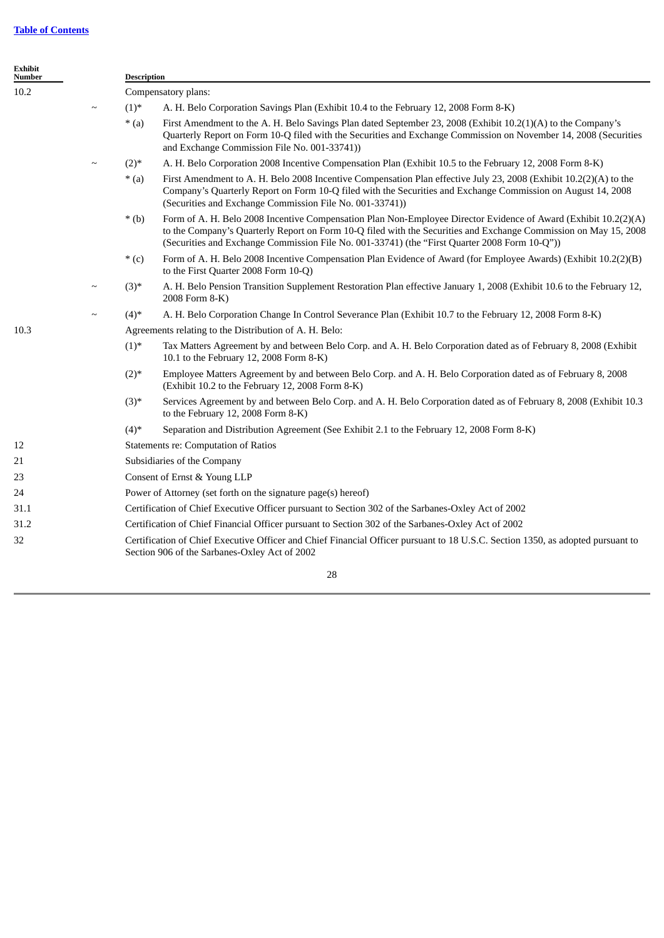# **Table of [Contents](#page-3-0)**

| Exhibit<br>Number |        | <b>Description</b>                                                                                 |                                                                                                                                                                                                                                                                                                                                      |  |  |  |
|-------------------|--------|----------------------------------------------------------------------------------------------------|--------------------------------------------------------------------------------------------------------------------------------------------------------------------------------------------------------------------------------------------------------------------------------------------------------------------------------------|--|--|--|
| 10.2              |        |                                                                                                    | Compensatory plans:                                                                                                                                                                                                                                                                                                                  |  |  |  |
|                   | $\sim$ | $(1)$ *                                                                                            | A. H. Belo Corporation Savings Plan (Exhibit 10.4 to the February 12, 2008 Form 8-K)                                                                                                                                                                                                                                                 |  |  |  |
|                   |        | $*(a)$                                                                                             | First Amendment to the A. H. Belo Savings Plan dated September 23, 2008 (Exhibit 10.2(1)(A) to the Company's<br>Quarterly Report on Form 10-Q filed with the Securities and Exchange Commission on November 14, 2008 (Securities<br>and Exchange Commission File No. 001-33741))                                                     |  |  |  |
|                   | $\sim$ | $(2)^*$                                                                                            | A. H. Belo Corporation 2008 Incentive Compensation Plan (Exhibit 10.5 to the February 12, 2008 Form 8-K)                                                                                                                                                                                                                             |  |  |  |
|                   |        | $*(a)$                                                                                             | First Amendment to A. H. Belo 2008 Incentive Compensation Plan effective July 23, 2008 (Exhibit 10.2(2)(A) to the<br>Company's Quarterly Report on Form 10-Q filed with the Securities and Exchange Commission on August 14, 2008<br>(Securities and Exchange Commission File No. 001-33741))                                        |  |  |  |
|                   |        | $*(b)$                                                                                             | Form of A. H. Belo 2008 Incentive Compensation Plan Non-Employee Director Evidence of Award (Exhibit 10.2(2)(A)<br>to the Company's Quarterly Report on Form 10-Q filed with the Securities and Exchange Commission on May 15, 2008<br>(Securities and Exchange Commission File No. 001-33741) (the "First Quarter 2008 Form 10-Q")) |  |  |  |
|                   |        | $*(c)$                                                                                             | Form of A. H. Belo 2008 Incentive Compensation Plan Evidence of Award (for Employee Awards) (Exhibit 10.2(2)(B)<br>to the First Quarter 2008 Form 10-Q)                                                                                                                                                                              |  |  |  |
|                   | $\sim$ | $(3)*$                                                                                             | A. H. Belo Pension Transition Supplement Restoration Plan effective January 1, 2008 (Exhibit 10.6 to the February 12,<br>2008 Form 8-K)                                                                                                                                                                                              |  |  |  |
|                   | $\sim$ | $(4)$ *                                                                                            | A. H. Belo Corporation Change In Control Severance Plan (Exhibit 10.7 to the February 12, 2008 Form 8-K)                                                                                                                                                                                                                             |  |  |  |
| 10.3              |        |                                                                                                    | Agreements relating to the Distribution of A. H. Belo:                                                                                                                                                                                                                                                                               |  |  |  |
|                   |        | $(1)^*$                                                                                            | Tax Matters Agreement by and between Belo Corp. and A. H. Belo Corporation dated as of February 8, 2008 (Exhibit<br>10.1 to the February 12, 2008 Form 8-K)                                                                                                                                                                          |  |  |  |
|                   |        | $(2)$ *                                                                                            | Employee Matters Agreement by and between Belo Corp. and A. H. Belo Corporation dated as of February 8, 2008<br>(Exhibit 10.2 to the February 12, 2008 Form 8-K)                                                                                                                                                                     |  |  |  |
|                   |        | $(3)$ *                                                                                            | Services Agreement by and between Belo Corp. and A. H. Belo Corporation dated as of February 8, 2008 (Exhibit 10.3<br>to the February 12, 2008 Form 8-K)                                                                                                                                                                             |  |  |  |
|                   |        | $(4)$ *                                                                                            | Separation and Distribution Agreement (See Exhibit 2.1 to the February 12, 2008 Form 8-K)                                                                                                                                                                                                                                            |  |  |  |
| 12                |        |                                                                                                    | <b>Statements re: Computation of Ratios</b>                                                                                                                                                                                                                                                                                          |  |  |  |
| 21                |        |                                                                                                    | Subsidiaries of the Company                                                                                                                                                                                                                                                                                                          |  |  |  |
| 23                |        |                                                                                                    | Consent of Ernst & Young LLP                                                                                                                                                                                                                                                                                                         |  |  |  |
| 24                |        |                                                                                                    | Power of Attorney (set forth on the signature page(s) hereof)                                                                                                                                                                                                                                                                        |  |  |  |
| 31.1              |        | Certification of Chief Executive Officer pursuant to Section 302 of the Sarbanes-Oxley Act of 2002 |                                                                                                                                                                                                                                                                                                                                      |  |  |  |
| 31.2              |        |                                                                                                    | Certification of Chief Financial Officer pursuant to Section 302 of the Sarbanes-Oxley Act of 2002                                                                                                                                                                                                                                   |  |  |  |
| 32                |        |                                                                                                    | Certification of Chief Executive Officer and Chief Financial Officer pursuant to 18 U.S.C. Section 1350, as adopted pursuant to<br>Section 906 of the Sarbanes-Oxley Act of 2002                                                                                                                                                     |  |  |  |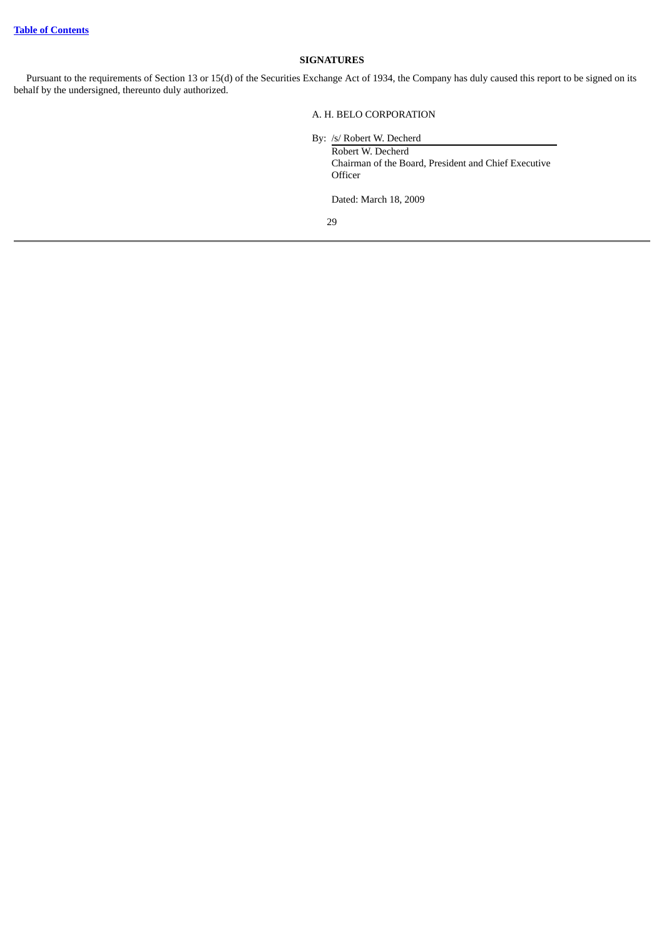#### **SIGNATURES**

<span id="page-32-0"></span>Pursuant to the requirements of Section 13 or 15(d) of the Securities Exchange Act of 1934, the Company has duly caused this report to be signed on its behalf by the undersigned, thereunto duly authorized.

A. H. BELO CORPORATION

By: /s/ Robert W. Decherd Robert W. Decherd Chairman of the Board, President and Chief Executive **Officer** 

Dated: March 18, 2009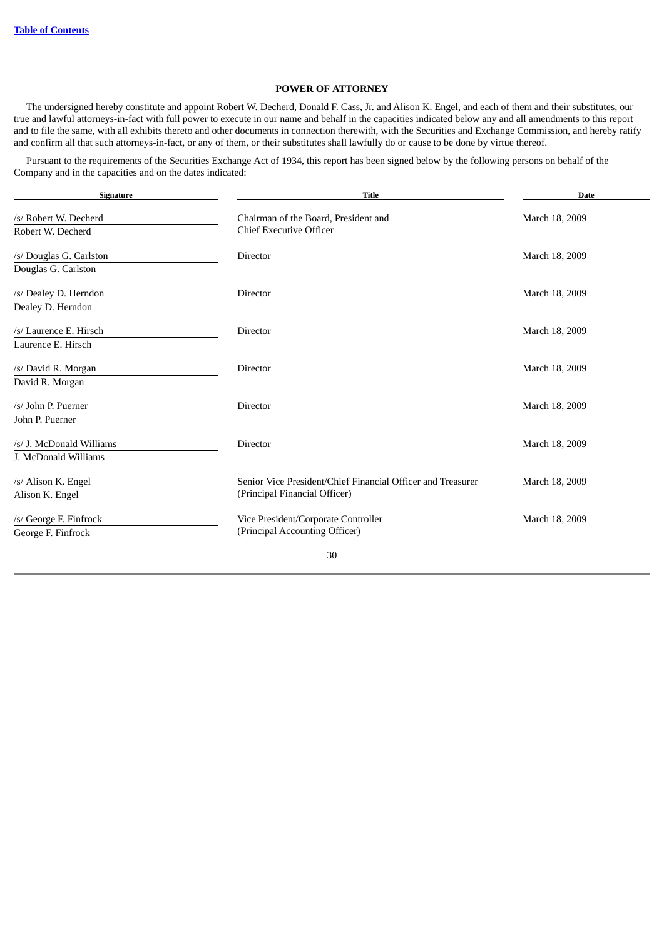## **POWER OF ATTORNEY**

The undersigned hereby constitute and appoint Robert W. Decherd, Donald F. Cass, Jr. and Alison K. Engel, and each of them and their substitutes, our true and lawful attorneys-in-fact with full power to execute in our name and behalf in the capacities indicated below any and all amendments to this report and to file the same, with all exhibits thereto and other documents in connection therewith, with the Securities and Exchange Commission, and hereby ratify and confirm all that such attorneys-in-fact, or any of them, or their substitutes shall lawfully do or cause to be done by virtue thereof.

Pursuant to the requirements of the Securities Exchange Act of 1934, this report has been signed below by the following persons on behalf of the Company and in the capacities and on the dates indicated:

| <b>Signature</b>                                              | <b>Title</b>                                                | <b>Date</b>    |
|---------------------------------------------------------------|-------------------------------------------------------------|----------------|
| /s/ Robert W. Decherd<br>Chairman of the Board, President and |                                                             | March 18, 2009 |
| Robert W. Decherd                                             | <b>Chief Executive Officer</b>                              |                |
| /s/ Douglas G. Carlston                                       | <b>Director</b>                                             | March 18, 2009 |
| Douglas G. Carlston                                           |                                                             |                |
| /s/ Dealey D. Herndon                                         | Director                                                    | March 18, 2009 |
| Dealey D. Herndon                                             |                                                             |                |
| /s/ Laurence E. Hirsch                                        | Director                                                    | March 18, 2009 |
| Laurence E. Hirsch                                            |                                                             |                |
| /s/ David R. Morgan                                           | <b>Director</b>                                             | March 18, 2009 |
| David R. Morgan                                               |                                                             |                |
| /s/ John P. Puerner                                           | <b>Director</b>                                             | March 18, 2009 |
| John P. Puerner                                               |                                                             |                |
| /s/ J. McDonald Williams                                      | <b>Director</b>                                             | March 18, 2009 |
| J. McDonald Williams                                          |                                                             |                |
| /s/ Alison K. Engel                                           | Senior Vice President/Chief Financial Officer and Treasurer | March 18, 2009 |
| Alison K. Engel                                               | (Principal Financial Officer)                               |                |
| /s/ George F. Finfrock                                        | Vice President/Corporate Controller                         | March 18, 2009 |
| George F. Finfrock                                            | (Principal Accounting Officer)                              |                |
|                                                               | 30                                                          |                |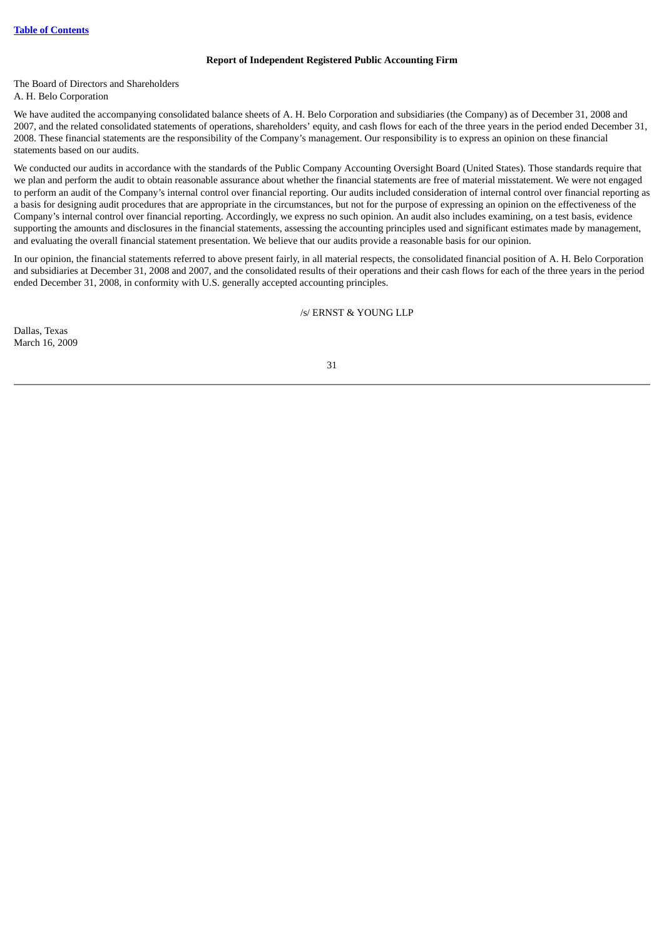#### **Report of Independent Registered Public Accounting Firm**

<span id="page-34-0"></span>The Board of Directors and Shareholders A. H. Belo Corporation

We have audited the accompanying consolidated balance sheets of A. H. Belo Corporation and subsidiaries (the Company) as of December 31, 2008 and 2007, and the related consolidated statements of operations, shareholders' equity, and cash flows for each of the three years in the period ended December 31, 2008. These financial statements are the responsibility of the Company's management. Our responsibility is to express an opinion on these financial statements based on our audits.

We conducted our audits in accordance with the standards of the Public Company Accounting Oversight Board (United States). Those standards require that we plan and perform the audit to obtain reasonable assurance about whether the financial statements are free of material misstatement. We were not engaged to perform an audit of the Company's internal control over financial reporting. Our audits included consideration of internal control over financial reporting as a basis for designing audit procedures that are appropriate in the circumstances, but not for the purpose of expressing an opinion on the effectiveness of the Company's internal control over financial reporting. Accordingly, we express no such opinion. An audit also includes examining, on a test basis, evidence supporting the amounts and disclosures in the financial statements, assessing the accounting principles used and significant estimates made by management, and evaluating the overall financial statement presentation. We believe that our audits provide a reasonable basis for our opinion.

In our opinion, the financial statements referred to above present fairly, in all material respects, the consolidated financial position of A. H. Belo Corporation and subsidiaries at December 31, 2008 and 2007, and the consolidated results of their operations and their cash flows for each of the three years in the period ended December 31, 2008, in conformity with U.S. generally accepted accounting principles.

#### /s/ ERNST & YOUNG LLP

Dallas, Texas March 16, 2009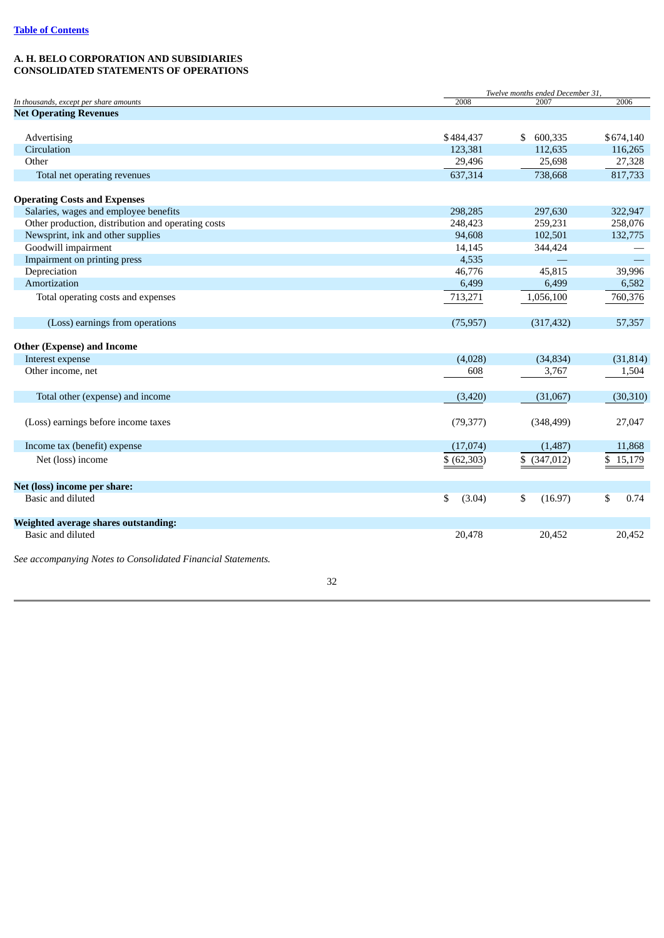# <span id="page-35-0"></span>**A. H. BELO CORPORATION AND SUBSIDIARIES CONSOLIDATED STATEMENTS OF OPERATIONS**

|                                                    |              | Twelve months ended December 31, |            |
|----------------------------------------------------|--------------|----------------------------------|------------|
| In thousands, except per share amounts             | 2008         | 2007                             | 2006       |
| <b>Net Operating Revenues</b>                      |              |                                  |            |
| Advertising                                        | \$484,437    | \$<br>600,335                    | \$674,140  |
| Circulation                                        | 123,381      | 112,635                          | 116,265    |
| Other                                              | 29,496       | 25,698                           | 27,328     |
| Total net operating revenues                       | 637,314      | 738,668                          | 817,733    |
| <b>Operating Costs and Expenses</b>                |              |                                  |            |
| Salaries, wages and employee benefits              | 298,285      | 297,630                          | 322,947    |
| Other production, distribution and operating costs | 248,423      | 259,231                          | 258,076    |
| Newsprint, ink and other supplies                  | 94,608       | 102,501                          | 132,775    |
| Goodwill impairment                                | 14,145       | 344,424                          |            |
| Impairment on printing press                       | 4,535        |                                  |            |
| Depreciation                                       | 46,776       | 45,815                           | 39,996     |
| Amortization                                       | 6,499        | 6,499                            | 6,582      |
| Total operating costs and expenses                 | 713,271      | 1,056,100                        | 760,376    |
| (Loss) earnings from operations                    | (75, 957)    | (317, 432)                       | 57,357     |
| <b>Other (Expense) and Income</b>                  |              |                                  |            |
| Interest expense                                   | (4,028)      | (34, 834)                        | (31, 814)  |
| Other income, net                                  | 608          | 3,767                            | 1,504      |
| Total other (expense) and income                   | (3,420)      | (31,067)                         | (30, 310)  |
| (Loss) earnings before income taxes                | (79, 377)    | (348, 499)                       | 27,047     |
| Income tax (benefit) expense                       | (17,074)     | (1, 487)                         | 11,868     |
| Net (loss) income                                  | \$ (62, 303) | $$$ (347,012)                    | \$15,179   |
| Net (loss) income per share:                       |              |                                  |            |
| Basic and diluted                                  | \$<br>(3.04) | \$<br>(16.97)                    | \$<br>0.74 |
| Weighted average shares outstanding:               |              |                                  |            |
| Basic and diluted                                  | 20,478       | 20,452                           | 20,452     |
|                                                    |              |                                  |            |

*See accompanying Notes to Consolidated Financial Statements.*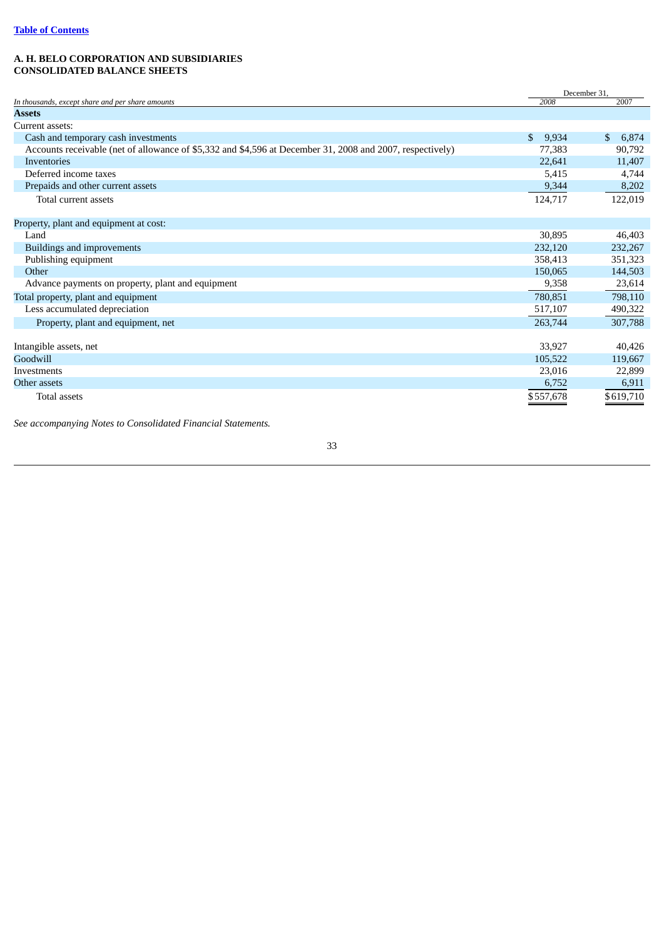# <span id="page-36-0"></span>**A. H. BELO CORPORATION AND SUBSIDIARIES CONSOLIDATED BALANCE SHEETS**

| 2007<br>2008<br>Cash and temporary cash investments<br>9,934<br>$\mathbb{S}$<br>6,874<br>\$<br>Accounts receivable (net of allowance of \$5,332 and \$4,596 at December 31, 2008 and 2007, respectively)<br>77,383<br>90,792<br>22,641<br>11,407<br><b>Inventories</b><br>Deferred income taxes<br>4,744<br>5,415<br>Prepaids and other current assets<br>9,344<br>8,202<br>122,019<br>124,717<br>Total current assets<br>46,403<br>30,895<br>Land<br>232,267<br>Buildings and improvements<br>232,120<br>Publishing equipment<br>351,323<br>358,413<br>Other<br>150,065<br>144,503<br>23,614<br>Advance payments on property, plant and equipment<br>9,358<br>798,110<br>780,851<br>Less accumulated depreciation<br>517,107<br>490,322<br>307,788<br>Property, plant and equipment, net<br>263,744<br>33,927<br>40,426<br>119,667<br>105,522<br>23,016<br>22,899<br>6,911<br>6,752<br>Total assets<br>\$619,710<br>\$557,678 |                                                  | December 31. |
|--------------------------------------------------------------------------------------------------------------------------------------------------------------------------------------------------------------------------------------------------------------------------------------------------------------------------------------------------------------------------------------------------------------------------------------------------------------------------------------------------------------------------------------------------------------------------------------------------------------------------------------------------------------------------------------------------------------------------------------------------------------------------------------------------------------------------------------------------------------------------------------------------------------------------------|--------------------------------------------------|--------------|
|                                                                                                                                                                                                                                                                                                                                                                                                                                                                                                                                                                                                                                                                                                                                                                                                                                                                                                                                | In thousands, except share and per share amounts |              |
|                                                                                                                                                                                                                                                                                                                                                                                                                                                                                                                                                                                                                                                                                                                                                                                                                                                                                                                                | <b>Assets</b>                                    |              |
|                                                                                                                                                                                                                                                                                                                                                                                                                                                                                                                                                                                                                                                                                                                                                                                                                                                                                                                                | Current assets:                                  |              |
|                                                                                                                                                                                                                                                                                                                                                                                                                                                                                                                                                                                                                                                                                                                                                                                                                                                                                                                                |                                                  |              |
|                                                                                                                                                                                                                                                                                                                                                                                                                                                                                                                                                                                                                                                                                                                                                                                                                                                                                                                                |                                                  |              |
|                                                                                                                                                                                                                                                                                                                                                                                                                                                                                                                                                                                                                                                                                                                                                                                                                                                                                                                                |                                                  |              |
|                                                                                                                                                                                                                                                                                                                                                                                                                                                                                                                                                                                                                                                                                                                                                                                                                                                                                                                                |                                                  |              |
|                                                                                                                                                                                                                                                                                                                                                                                                                                                                                                                                                                                                                                                                                                                                                                                                                                                                                                                                |                                                  |              |
|                                                                                                                                                                                                                                                                                                                                                                                                                                                                                                                                                                                                                                                                                                                                                                                                                                                                                                                                |                                                  |              |
|                                                                                                                                                                                                                                                                                                                                                                                                                                                                                                                                                                                                                                                                                                                                                                                                                                                                                                                                |                                                  |              |
|                                                                                                                                                                                                                                                                                                                                                                                                                                                                                                                                                                                                                                                                                                                                                                                                                                                                                                                                | Property, plant and equipment at cost:           |              |
|                                                                                                                                                                                                                                                                                                                                                                                                                                                                                                                                                                                                                                                                                                                                                                                                                                                                                                                                |                                                  |              |
|                                                                                                                                                                                                                                                                                                                                                                                                                                                                                                                                                                                                                                                                                                                                                                                                                                                                                                                                |                                                  |              |
|                                                                                                                                                                                                                                                                                                                                                                                                                                                                                                                                                                                                                                                                                                                                                                                                                                                                                                                                |                                                  |              |
|                                                                                                                                                                                                                                                                                                                                                                                                                                                                                                                                                                                                                                                                                                                                                                                                                                                                                                                                |                                                  |              |
|                                                                                                                                                                                                                                                                                                                                                                                                                                                                                                                                                                                                                                                                                                                                                                                                                                                                                                                                |                                                  |              |
|                                                                                                                                                                                                                                                                                                                                                                                                                                                                                                                                                                                                                                                                                                                                                                                                                                                                                                                                | Total property, plant and equipment              |              |
|                                                                                                                                                                                                                                                                                                                                                                                                                                                                                                                                                                                                                                                                                                                                                                                                                                                                                                                                |                                                  |              |
|                                                                                                                                                                                                                                                                                                                                                                                                                                                                                                                                                                                                                                                                                                                                                                                                                                                                                                                                |                                                  |              |
|                                                                                                                                                                                                                                                                                                                                                                                                                                                                                                                                                                                                                                                                                                                                                                                                                                                                                                                                |                                                  |              |
|                                                                                                                                                                                                                                                                                                                                                                                                                                                                                                                                                                                                                                                                                                                                                                                                                                                                                                                                | Intangible assets, net                           |              |
|                                                                                                                                                                                                                                                                                                                                                                                                                                                                                                                                                                                                                                                                                                                                                                                                                                                                                                                                | Goodwill                                         |              |
|                                                                                                                                                                                                                                                                                                                                                                                                                                                                                                                                                                                                                                                                                                                                                                                                                                                                                                                                | Investments                                      |              |
|                                                                                                                                                                                                                                                                                                                                                                                                                                                                                                                                                                                                                                                                                                                                                                                                                                                                                                                                | Other assets                                     |              |
|                                                                                                                                                                                                                                                                                                                                                                                                                                                                                                                                                                                                                                                                                                                                                                                                                                                                                                                                |                                                  |              |

*See accompanying Notes to Consolidated Financial Statements.*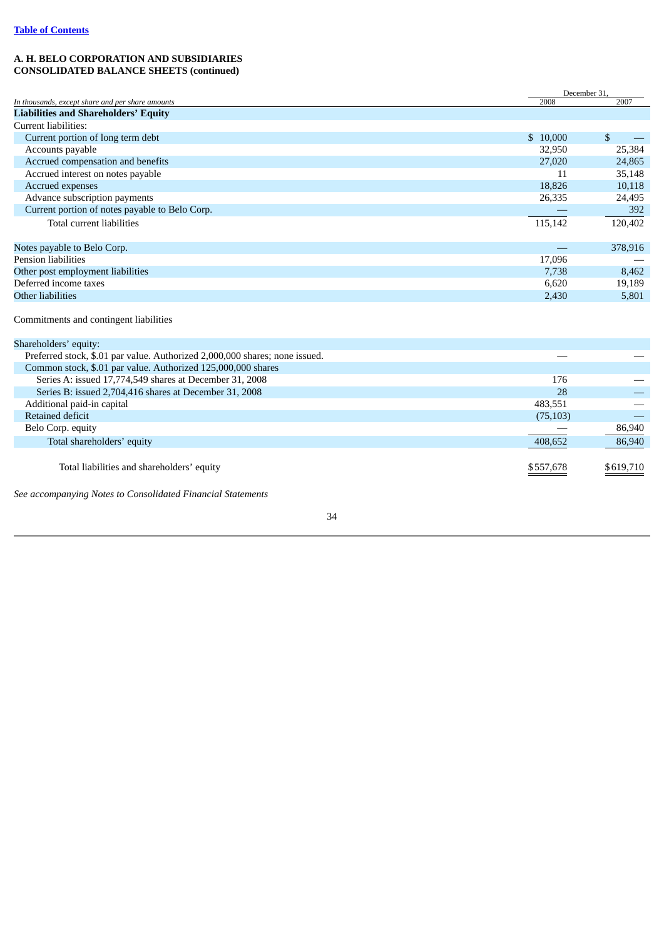# **A. H. BELO CORPORATION AND SUBSIDIARIES CONSOLIDATED BALANCE SHEETS (continued)**

|                                                  |          | December 31, |
|--------------------------------------------------|----------|--------------|
| In thousands, except share and per share amounts | 2008     | 2007         |
| <b>Liabilities and Shareholders' Equity</b>      |          |              |
| Current liabilities:                             |          |              |
| Current portion of long term debt                | \$10,000 |              |
| Accounts payable                                 | 32,950   | 25,384       |
| Accrued compensation and benefits                | 27,020   | 24,865       |
| Accrued interest on notes payable                | 11       | 35,148       |
| Accrued expenses                                 | 18,826   | 10,118       |
| Advance subscription payments                    | 26,335   | 24,495       |
| Current portion of notes payable to Belo Corp.   |          | 392          |
| Total current liabilities                        | 115,142  | 120,402      |
| Notes payable to Belo Corp.                      |          | 378,916      |
| Pension liabilities                              | 17,096   |              |
| Other post employment liabilities                | 7,738    | 8,462        |
| Deferred income taxes                            | 6,620    | 19,189       |
| Other liabilities                                | 2,430    | 5,801        |
|                                                  |          |              |

# Commitments and contingent liabilities

| Shareholders' equity:                                                       |           |           |
|-----------------------------------------------------------------------------|-----------|-----------|
| Preferred stock, \$.01 par value. Authorized 2,000,000 shares; none issued. |           |           |
| Common stock, \$.01 par value. Authorized 125,000,000 shares                |           |           |
| Series A: issued 17,774,549 shares at December 31, 2008                     | 176       |           |
| Series B: issued 2,704,416 shares at December 31, 2008                      | 28        |           |
| Additional paid-in capital                                                  | 483,551   |           |
| Retained deficit                                                            | (75, 103) |           |
| Belo Corp. equity                                                           |           | 86,940    |
| Total shareholders' equity                                                  | 408,652   | 86,940    |
| Total liabilities and shareholders' equity                                  | \$557,678 | \$619,710 |
|                                                                             |           |           |
|                                                                             |           |           |

*See accompanying Notes to Consolidated Financial Statements*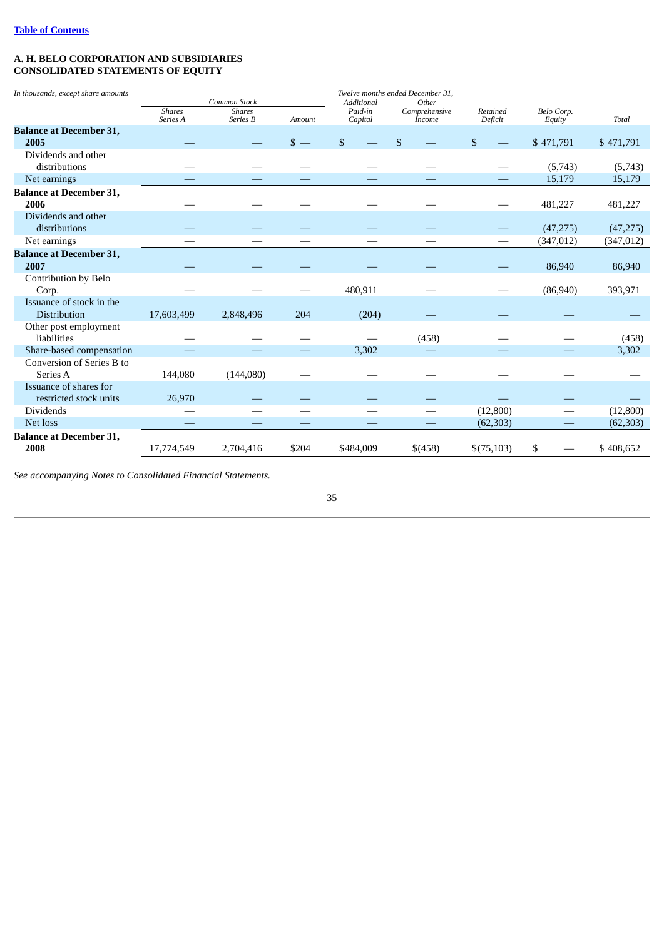# <span id="page-38-0"></span>**A. H. BELO CORPORATION AND SUBSIDIARIES CONSOLIDATED STATEMENTS OF EQUITY**

| In thousands, except share amounts               |                           |                                                  |        |                                  | Twelve months ended December 31,        |                     |                      |            |
|--------------------------------------------------|---------------------------|--------------------------------------------------|--------|----------------------------------|-----------------------------------------|---------------------|----------------------|------------|
|                                                  | <b>Shares</b><br>Series A | <b>Common Stock</b><br><b>Shares</b><br>Series B | Amount | Additional<br>Paid-in<br>Capital | Other<br>Comprehensive<br><b>Income</b> | Retained<br>Deficit | Belo Corp.<br>Equity | Total      |
| <b>Balance at December 31,</b><br>2005           |                           |                                                  | $s =$  | $\mathfrak{S}$                   | \$                                      | $\mathbf{s}$        | \$471,791            | \$471,791  |
| Dividends and other<br>distributions             |                           |                                                  |        |                                  |                                         |                     | (5,743)              | (5,743)    |
| Net earnings                                     |                           |                                                  |        |                                  |                                         |                     | 15,179               | 15,179     |
| <b>Balance at December 31,</b><br>2006           |                           |                                                  |        |                                  |                                         |                     | 481,227              | 481,227    |
| Dividends and other<br>distributions             |                           |                                                  |        |                                  |                                         |                     | (47, 275)            | (47, 275)  |
| Net earnings                                     |                           |                                                  |        |                                  |                                         |                     | (347, 012)           | (347, 012) |
| <b>Balance at December 31,</b><br>2007           |                           |                                                  |        |                                  |                                         |                     | 86,940               | 86,940     |
| Contribution by Belo<br>Corp.                    |                           |                                                  |        | 480,911                          |                                         |                     | (86,940)             | 393,971    |
| Issuance of stock in the<br>Distribution         | 17,603,499                | 2,848,496                                        | 204    | (204)                            |                                         |                     |                      |            |
| Other post employment<br>liabilities             |                           |                                                  |        |                                  | (458)                                   |                     |                      | (458)      |
| Share-based compensation                         |                           |                                                  |        | 3,302                            |                                         |                     |                      | 3,302      |
| Conversion of Series B to<br>Series A            | 144,080                   | (144,080)                                        |        |                                  |                                         |                     |                      |            |
| Issuance of shares for<br>restricted stock units | 26,970                    |                                                  |        |                                  |                                         |                     |                      |            |
| <b>Dividends</b>                                 |                           |                                                  |        |                                  |                                         | (12,800)            |                      | (12,800)   |
| Net loss                                         |                           |                                                  |        |                                  |                                         | (62, 303)           |                      | (62, 303)  |
| <b>Balance at December 31,</b><br>2008           | 17,774,549                | 2,704,416                                        | \$204  | \$484,009                        | $$^{(458)}$                             | \$(75,103)          | \$                   | \$408,652  |

*See accompanying Notes to Consolidated Financial Statements.*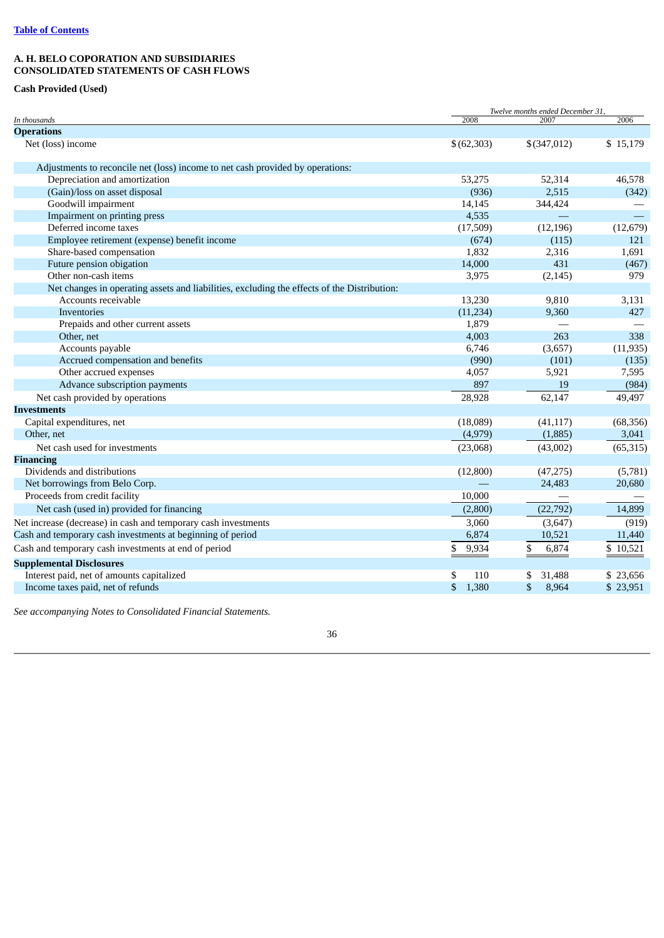# <span id="page-39-0"></span>**A. H. BELO COPORATION AND SUBSIDIARIES CONSOLIDATED STATEMENTS OF CASH FLOWS**

# **Cash Provided (Used)**

|                                                                                             |             | Twelve months ended December 31, |           |
|---------------------------------------------------------------------------------------------|-------------|----------------------------------|-----------|
| In thousands                                                                                | 2008        | 2007                             | 2006      |
| <b>Operations</b>                                                                           |             |                                  |           |
| Net (loss) income                                                                           | \$(62,303)  | $$$ (347,012)                    | \$15,179  |
| Adjustments to reconcile net (loss) income to net cash provided by operations:              |             |                                  |           |
| Depreciation and amortization                                                               | 53,275      | 52,314                           | 46,578    |
| (Gain)/loss on asset disposal                                                               | (936)       | 2,515                            | (342)     |
| Goodwill impairment                                                                         | 14,145      | 344,424                          |           |
| Impairment on printing press                                                                | 4,535       | $\overline{\phantom{m}}$         |           |
| Deferred income taxes                                                                       | (17,509)    | (12, 196)                        | (12, 679) |
| Employee retirement (expense) benefit income                                                | (674)       | (115)                            | 121       |
| Share-based compensation                                                                    | 1,832       | 2,316                            | 1,691     |
| Future pension obigation                                                                    | 14,000      | 431                              | (467)     |
| Other non-cash items                                                                        | 3,975       | (2, 145)                         | 979       |
| Net changes in operating assets and liabilities, excluding the effects of the Distribution: |             |                                  |           |
| Accounts receivable                                                                         | 13,230      | 9,810                            | 3,131     |
| Inventories                                                                                 | (11,234)    | 9,360                            | 427       |
| Prepaids and other current assets                                                           | 1,879       |                                  |           |
| Other, net                                                                                  | 4,003       | 263                              | 338       |
| Accounts payable                                                                            | 6,746       | (3,657)                          | (11, 935) |
| Accrued compensation and benefits                                                           | (990)       | (101)                            | (135)     |
| Other accrued expenses                                                                      | 4,057       | 5,921                            | 7,595     |
| Advance subscription payments                                                               | 897         | 19                               | (984)     |
| Net cash provided by operations                                                             | 28,928      | 62,147                           | 49,497    |
| <b>Investments</b>                                                                          |             |                                  |           |
| Capital expenditures, net                                                                   | (18,089)    | (41, 117)                        | (68, 356) |
| Other, net                                                                                  | (4,979)     | (1,885)                          | 3,041     |
| Net cash used for investments                                                               | (23,068)    | (43,002)                         | (65, 315) |
| <b>Financing</b>                                                                            |             |                                  |           |
| Dividends and distributions                                                                 | (12,800)    | (47, 275)                        | (5,781)   |
| Net borrowings from Belo Corp.                                                              |             | 24,483                           | 20,680    |
| Proceeds from credit facility                                                               | 10,000      |                                  |           |
| Net cash (used in) provided for financing                                                   | (2,800)     | (22, 792)                        | 14,899    |
| Net increase (decrease) in cash and temporary cash investments                              | 3,060       | (3,647)                          | (919)     |
| Cash and temporary cash investments at beginning of period                                  | 6,874       | 10,521                           | 11,440    |
| Cash and temporary cash investments at end of period                                        | \$<br>9,934 | \$<br>6,874                      | \$10,521  |
| <b>Supplemental Disclosures</b>                                                             |             |                                  |           |
| Interest paid, net of amounts capitalized                                                   | S<br>110    | 31,488<br>\$                     | \$23,656  |
| Income taxes paid, net of refunds                                                           | \$<br>1,380 | \$<br>8,964                      | \$23,951  |

*See accompanying Notes to Consolidated Financial Statements.*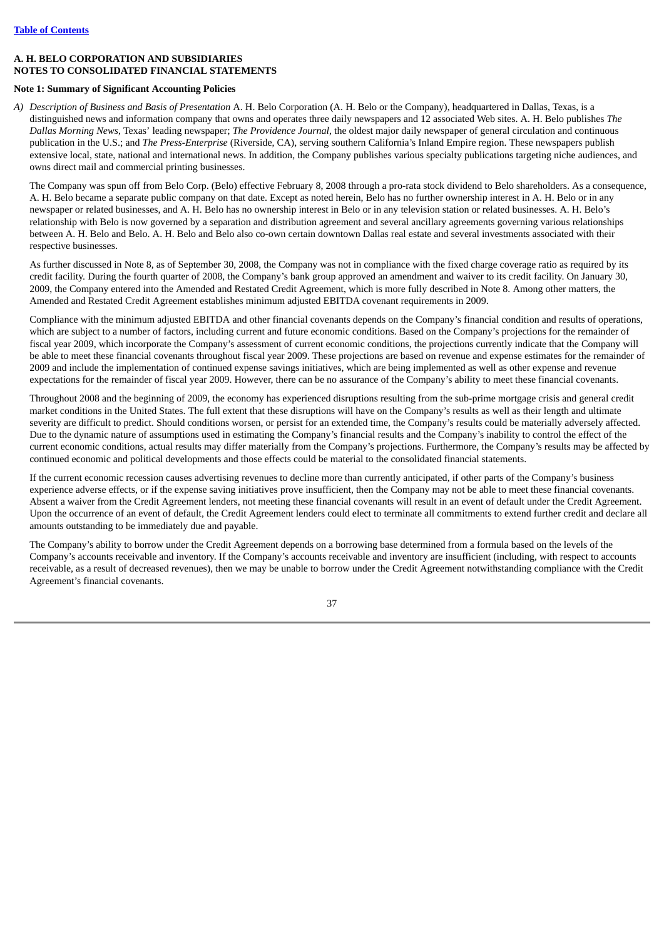# <span id="page-40-0"></span>**A. H. BELO CORPORATION AND SUBSIDIARIES NOTES TO CONSOLIDATED FINANCIAL STATEMENTS**

# **Note 1: Summary of Significant Accounting Policies**

*A) Description of Business and Basis of Presentation* A. H. Belo Corporation (A. H. Belo or the Company), headquartered in Dallas, Texas, is a distinguished news and information company that owns and operates three daily newspapers and 12 associated Web sites. A. H. Belo publishes *The Dallas Morning News*, Texas' leading newspaper; *The Providence Journal*, the oldest major daily newspaper of general circulation and continuous publication in the U.S.; and *The Press-Enterprise* (Riverside, CA), serving southern California's Inland Empire region. These newspapers publish extensive local, state, national and international news. In addition, the Company publishes various specialty publications targeting niche audiences, and owns direct mail and commercial printing businesses.

The Company was spun off from Belo Corp. (Belo) effective February 8, 2008 through a pro-rata stock dividend to Belo shareholders. As a consequence, A. H. Belo became a separate public company on that date. Except as noted herein, Belo has no further ownership interest in A. H. Belo or in any newspaper or related businesses, and A. H. Belo has no ownership interest in Belo or in any television station or related businesses. A. H. Belo's relationship with Belo is now governed by a separation and distribution agreement and several ancillary agreements governing various relationships between A. H. Belo and Belo. A. H. Belo and Belo also co-own certain downtown Dallas real estate and several investments associated with their respective businesses.

As further discussed in Note 8, as of September 30, 2008, the Company was not in compliance with the fixed charge coverage ratio as required by its credit facility. During the fourth quarter of 2008, the Company's bank group approved an amendment and waiver to its credit facility. On January 30, 2009, the Company entered into the Amended and Restated Credit Agreement, which is more fully described in Note 8. Among other matters, the Amended and Restated Credit Agreement establishes minimum adjusted EBITDA covenant requirements in 2009.

Compliance with the minimum adjusted EBITDA and other financial covenants depends on the Company's financial condition and results of operations, which are subject to a number of factors, including current and future economic conditions. Based on the Company's projections for the remainder of fiscal year 2009, which incorporate the Company's assessment of current economic conditions, the projections currently indicate that the Company will be able to meet these financial covenants throughout fiscal year 2009. These projections are based on revenue and expense estimates for the remainder of 2009 and include the implementation of continued expense savings initiatives, which are being implemented as well as other expense and revenue expectations for the remainder of fiscal year 2009. However, there can be no assurance of the Company's ability to meet these financial covenants.

Throughout 2008 and the beginning of 2009, the economy has experienced disruptions resulting from the sub-prime mortgage crisis and general credit market conditions in the United States. The full extent that these disruptions will have on the Company's results as well as their length and ultimate severity are difficult to predict. Should conditions worsen, or persist for an extended time, the Company's results could be materially adversely affected. Due to the dynamic nature of assumptions used in estimating the Company's financial results and the Company's inability to control the effect of the current economic conditions, actual results may differ materially from the Company's projections. Furthermore, the Company's results may be affected by continued economic and political developments and those effects could be material to the consolidated financial statements.

If the current economic recession causes advertising revenues to decline more than currently anticipated, if other parts of the Company's business experience adverse effects, or if the expense saving initiatives prove insufficient, then the Company may not be able to meet these financial covenants. Absent a waiver from the Credit Agreement lenders, not meeting these financial covenants will result in an event of default under the Credit Agreement. Upon the occurrence of an event of default, the Credit Agreement lenders could elect to terminate all commitments to extend further credit and declare all amounts outstanding to be immediately due and payable.

The Company's ability to borrow under the Credit Agreement depends on a borrowing base determined from a formula based on the levels of the Company's accounts receivable and inventory. If the Company's accounts receivable and inventory are insufficient (including, with respect to accounts receivable, as a result of decreased revenues), then we may be unable to borrow under the Credit Agreement notwithstanding compliance with the Credit Agreement's financial covenants.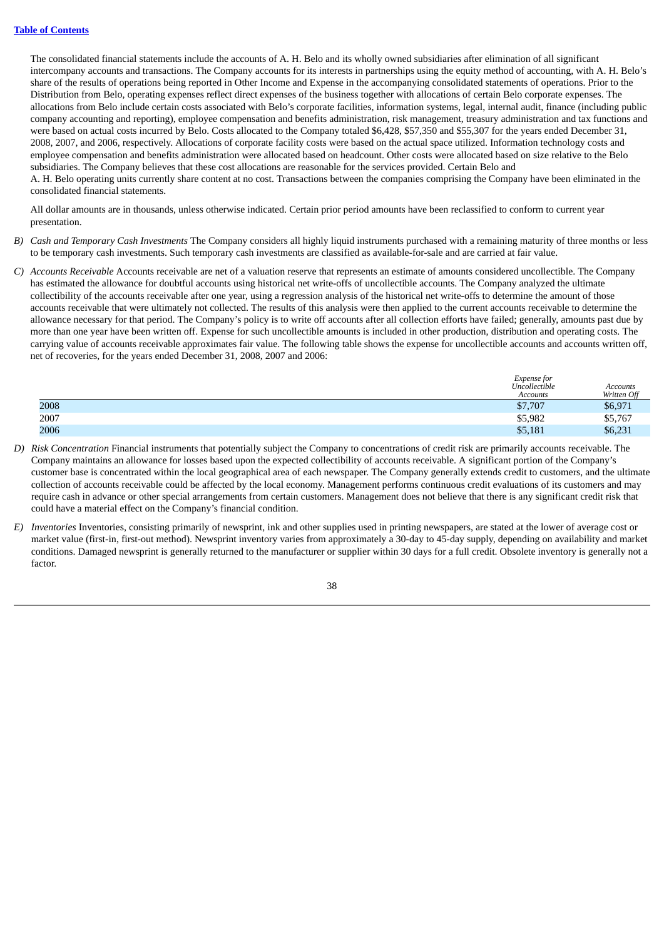The consolidated financial statements include the accounts of A. H. Belo and its wholly owned subsidiaries after elimination of all significant intercompany accounts and transactions. The Company accounts for its interests in partnerships using the equity method of accounting, with A. H. Belo's share of the results of operations being reported in Other Income and Expense in the accompanying consolidated statements of operations. Prior to the Distribution from Belo, operating expenses reflect direct expenses of the business together with allocations of certain Belo corporate expenses. The allocations from Belo include certain costs associated with Belo's corporate facilities, information systems, legal, internal audit, finance (including public company accounting and reporting), employee compensation and benefits administration, risk management, treasury administration and tax functions and were based on actual costs incurred by Belo. Costs allocated to the Company totaled \$6,428, \$57,350 and \$55,307 for the years ended December 31, 2008, 2007, and 2006, respectively. Allocations of corporate facility costs were based on the actual space utilized. Information technology costs and employee compensation and benefits administration were allocated based on headcount. Other costs were allocated based on size relative to the Belo subsidiaries. The Company believes that these cost allocations are reasonable for the services provided. Certain Belo and A. H. Belo operating units currently share content at no cost. Transactions between the companies comprising the Company have been eliminated in the consolidated financial statements.

All dollar amounts are in thousands, unless otherwise indicated. Certain prior period amounts have been reclassified to conform to current year presentation.

- *B) Cash and Temporary Cash Investments* The Company considers all highly liquid instruments purchased with a remaining maturity of three months or less to be temporary cash investments. Such temporary cash investments are classified as available-for-sale and are carried at fair value.
- *C) Accounts Receivable* Accounts receivable are net of a valuation reserve that represents an estimate of amounts considered uncollectible. The Company has estimated the allowance for doubtful accounts using historical net write-offs of uncollectible accounts. The Company analyzed the ultimate collectibility of the accounts receivable after one year, using a regression analysis of the historical net write-offs to determine the amount of those accounts receivable that were ultimately not collected. The results of this analysis were then applied to the current accounts receivable to determine the allowance necessary for that period. The Company's policy is to write off accounts after all collection efforts have failed; generally, amounts past due by more than one year have been written off. Expense for such uncollectible amounts is included in other production, distribution and operating costs. The carrying value of accounts receivable approximates fair value. The following table shows the expense for uncollectible accounts and accounts written off, net of recoveries, for the years ended December 31, 2008, 2007 and 2006:

|      | <i>Expense for</i> |             |
|------|--------------------|-------------|
|      | Uncollectible      | Accounts    |
|      | Accounts           | Written Off |
| 2008 | \$7,707            | \$6,971     |
| 2007 | \$5,982            | \$5,767     |
| 2006 | \$5,181            | \$6,231     |

- *D) Risk Concentration* Financial instruments that potentially subject the Company to concentrations of credit risk are primarily accounts receivable. The Company maintains an allowance for losses based upon the expected collectibility of accounts receivable. A significant portion of the Company's customer base is concentrated within the local geographical area of each newspaper. The Company generally extends credit to customers, and the ultimate collection of accounts receivable could be affected by the local economy. Management performs continuous credit evaluations of its customers and may require cash in advance or other special arrangements from certain customers. Management does not believe that there is any significant credit risk that could have a material effect on the Company's financial condition.
- *E) Inventories* Inventories, consisting primarily of newsprint, ink and other supplies used in printing newspapers, are stated at the lower of average cost or market value (first-in, first-out method). Newsprint inventory varies from approximately a 30-day to 45-day supply, depending on availability and market conditions. Damaged newsprint is generally returned to the manufacturer or supplier within 30 days for a full credit. Obsolete inventory is generally not a factor.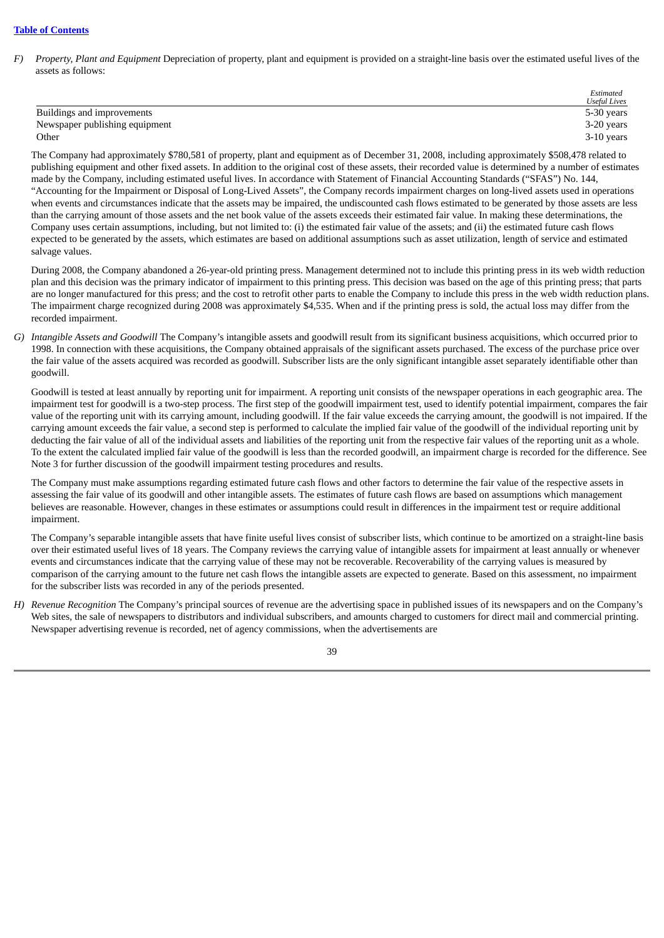#### **Table of [Contents](#page-3-0)**

*F) Property, Plant and Equipment* Depreciation of property, plant and equipment is provided on a straight-line basis over the estimated useful lives of the assets as follows:

|                                | Estimated           |
|--------------------------------|---------------------|
|                                | <b>Useful Lives</b> |
| Buildings and improvements     | 5-30 years          |
| Newspaper publishing equipment | 3-20 years          |
| Other                          | 3-10 years          |

The Company had approximately \$780,581 of property, plant and equipment as of December 31, 2008, including approximately \$508,478 related to publishing equipment and other fixed assets. In addition to the original cost of these assets, their recorded value is determined by a number of estimates made by the Company, including estimated useful lives. In accordance with Statement of Financial Accounting Standards ("SFAS") No. 144, "Accounting for the Impairment or Disposal of Long-Lived Assets", the Company records impairment charges on long-lived assets used in operations when events and circumstances indicate that the assets may be impaired, the undiscounted cash flows estimated to be generated by those assets are less than the carrying amount of those assets and the net book value of the assets exceeds their estimated fair value. In making these determinations, the Company uses certain assumptions, including, but not limited to: (i) the estimated fair value of the assets; and (ii) the estimated future cash flows expected to be generated by the assets, which estimates are based on additional assumptions such as asset utilization, length of service and estimated salvage values.

During 2008, the Company abandoned a 26-year-old printing press. Management determined not to include this printing press in its web width reduction plan and this decision was the primary indicator of impairment to this printing press. This decision was based on the age of this printing press; that parts are no longer manufactured for this press; and the cost to retrofit other parts to enable the Company to include this press in the web width reduction plans. The impairment charge recognized during 2008 was approximately \$4,535. When and if the printing press is sold, the actual loss may differ from the recorded impairment.

*G) Intangible Assets and Goodwill* The Company's intangible assets and goodwill result from its significant business acquisitions, which occurred prior to 1998. In connection with these acquisitions, the Company obtained appraisals of the significant assets purchased. The excess of the purchase price over the fair value of the assets acquired was recorded as goodwill. Subscriber lists are the only significant intangible asset separately identifiable other than goodwill.

Goodwill is tested at least annually by reporting unit for impairment. A reporting unit consists of the newspaper operations in each geographic area. The impairment test for goodwill is a two-step process. The first step of the goodwill impairment test, used to identify potential impairment, compares the fair value of the reporting unit with its carrying amount, including goodwill. If the fair value exceeds the carrying amount, the goodwill is not impaired. If the carrying amount exceeds the fair value, a second step is performed to calculate the implied fair value of the goodwill of the individual reporting unit by deducting the fair value of all of the individual assets and liabilities of the reporting unit from the respective fair values of the reporting unit as a whole. To the extent the calculated implied fair value of the goodwill is less than the recorded goodwill, an impairment charge is recorded for the difference. See Note 3 for further discussion of the goodwill impairment testing procedures and results.

The Company must make assumptions regarding estimated future cash flows and other factors to determine the fair value of the respective assets in assessing the fair value of its goodwill and other intangible assets. The estimates of future cash flows are based on assumptions which management believes are reasonable. However, changes in these estimates or assumptions could result in differences in the impairment test or require additional impairment.

The Company's separable intangible assets that have finite useful lives consist of subscriber lists, which continue to be amortized on a straight-line basis over their estimated useful lives of 18 years. The Company reviews the carrying value of intangible assets for impairment at least annually or whenever events and circumstances indicate that the carrying value of these may not be recoverable. Recoverability of the carrying values is measured by comparison of the carrying amount to the future net cash flows the intangible assets are expected to generate. Based on this assessment, no impairment for the subscriber lists was recorded in any of the periods presented.

*H) Revenue Recognition* The Company's principal sources of revenue are the advertising space in published issues of its newspapers and on the Company's Web sites, the sale of newspapers to distributors and individual subscribers, and amounts charged to customers for direct mail and commercial printing. Newspaper advertising revenue is recorded, net of agency commissions, when the advertisements are

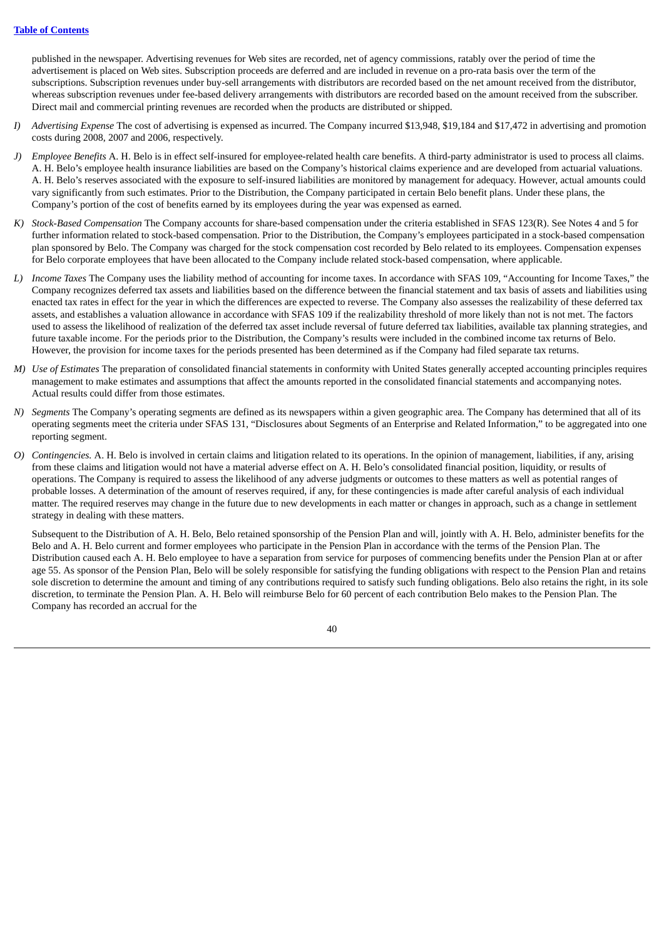published in the newspaper. Advertising revenues for Web sites are recorded, net of agency commissions, ratably over the period of time the advertisement is placed on Web sites. Subscription proceeds are deferred and are included in revenue on a pro-rata basis over the term of the subscriptions. Subscription revenues under buy-sell arrangements with distributors are recorded based on the net amount received from the distributor, whereas subscription revenues under fee-based delivery arrangements with distributors are recorded based on the amount received from the subscriber. Direct mail and commercial printing revenues are recorded when the products are distributed or shipped.

- *I) Advertising Expense* The cost of advertising is expensed as incurred. The Company incurred \$13,948, \$19,184 and \$17,472 in advertising and promotion costs during 2008, 2007 and 2006, respectively.
- *J) Employee Benefits* A. H. Belo is in effect self-insured for employee-related health care benefits. A third-party administrator is used to process all claims. A. H. Belo's employee health insurance liabilities are based on the Company's historical claims experience and are developed from actuarial valuations. A. H. Belo's reserves associated with the exposure to self-insured liabilities are monitored by management for adequacy. However, actual amounts could vary significantly from such estimates. Prior to the Distribution, the Company participated in certain Belo benefit plans. Under these plans, the Company's portion of the cost of benefits earned by its employees during the year was expensed as earned.
- *K) Stock-Based Compensation* The Company accounts for share-based compensation under the criteria established in SFAS 123(R). See Notes 4 and 5 for further information related to stock-based compensation. Prior to the Distribution, the Company's employees participated in a stock-based compensation plan sponsored by Belo. The Company was charged for the stock compensation cost recorded by Belo related to its employees. Compensation expenses for Belo corporate employees that have been allocated to the Company include related stock-based compensation, where applicable.
- *L) Income Taxes* The Company uses the liability method of accounting for income taxes. In accordance with SFAS 109, "Accounting for Income Taxes," the Company recognizes deferred tax assets and liabilities based on the difference between the financial statement and tax basis of assets and liabilities using enacted tax rates in effect for the year in which the differences are expected to reverse. The Company also assesses the realizability of these deferred tax assets, and establishes a valuation allowance in accordance with SFAS 109 if the realizability threshold of more likely than not is not met. The factors used to assess the likelihood of realization of the deferred tax asset include reversal of future deferred tax liabilities, available tax planning strategies, and future taxable income. For the periods prior to the Distribution, the Company's results were included in the combined income tax returns of Belo. However, the provision for income taxes for the periods presented has been determined as if the Company had filed separate tax returns.
- *M) Use of Estimates* The preparation of consolidated financial statements in conformity with United States generally accepted accounting principles requires management to make estimates and assumptions that affect the amounts reported in the consolidated financial statements and accompanying notes. Actual results could differ from those estimates.
- *N) Segments* The Company's operating segments are defined as its newspapers within a given geographic area. The Company has determined that all of its operating segments meet the criteria under SFAS 131, "Disclosures about Segments of an Enterprise and Related Information," to be aggregated into one reporting segment.
- *O) Contingencies.* A. H. Belo is involved in certain claims and litigation related to its operations. In the opinion of management, liabilities, if any, arising from these claims and litigation would not have a material adverse effect on A. H. Belo's consolidated financial position, liquidity, or results of operations. The Company is required to assess the likelihood of any adverse judgments or outcomes to these matters as well as potential ranges of probable losses. A determination of the amount of reserves required, if any, for these contingencies is made after careful analysis of each individual matter. The required reserves may change in the future due to new developments in each matter or changes in approach, such as a change in settlement strategy in dealing with these matters.

Subsequent to the Distribution of A. H. Belo, Belo retained sponsorship of the Pension Plan and will, jointly with A. H. Belo, administer benefits for the Belo and A. H. Belo current and former employees who participate in the Pension Plan in accordance with the terms of the Pension Plan. The Distribution caused each A. H. Belo employee to have a separation from service for purposes of commencing benefits under the Pension Plan at or after age 55. As sponsor of the Pension Plan, Belo will be solely responsible for satisfying the funding obligations with respect to the Pension Plan and retains sole discretion to determine the amount and timing of any contributions required to satisfy such funding obligations. Belo also retains the right, in its sole discretion, to terminate the Pension Plan. A. H. Belo will reimburse Belo for 60 percent of each contribution Belo makes to the Pension Plan. The Company has recorded an accrual for the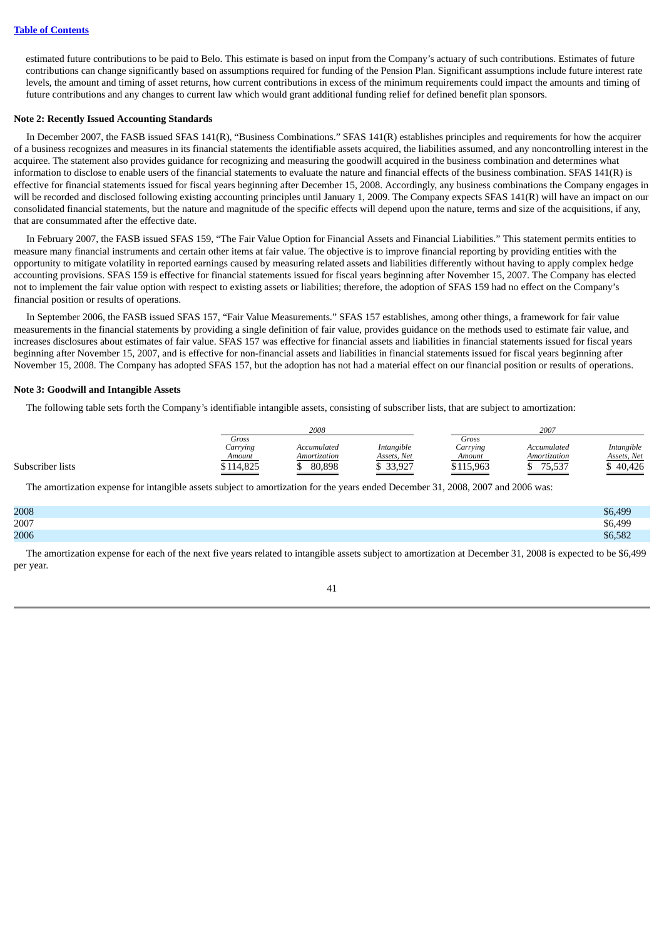estimated future contributions to be paid to Belo. This estimate is based on input from the Company's actuary of such contributions. Estimates of future contributions can change significantly based on assumptions required for funding of the Pension Plan. Significant assumptions include future interest rate levels, the amount and timing of asset returns, how current contributions in excess of the minimum requirements could impact the amounts and timing of future contributions and any changes to current law which would grant additional funding relief for defined benefit plan sponsors.

#### **Note 2: Recently Issued Accounting Standards**

In December 2007, the FASB issued SFAS 141(R), "Business Combinations." SFAS 141(R) establishes principles and requirements for how the acquirer of a business recognizes and measures in its financial statements the identifiable assets acquired, the liabilities assumed, and any noncontrolling interest in the acquiree. The statement also provides guidance for recognizing and measuring the goodwill acquired in the business combination and determines what information to disclose to enable users of the financial statements to evaluate the nature and financial effects of the business combination. SFAS 141(R) is effective for financial statements issued for fiscal years beginning after December 15, 2008. Accordingly, any business combinations the Company engages in will be recorded and disclosed following existing accounting principles until January 1, 2009. The Company expects SFAS 141(R) will have an impact on our consolidated financial statements, but the nature and magnitude of the specific effects will depend upon the nature, terms and size of the acquisitions, if any, that are consummated after the effective date.

In February 2007, the FASB issued SFAS 159, "The Fair Value Option for Financial Assets and Financial Liabilities." This statement permits entities to measure many financial instruments and certain other items at fair value. The objective is to improve financial reporting by providing entities with the opportunity to mitigate volatility in reported earnings caused by measuring related assets and liabilities differently without having to apply complex hedge accounting provisions. SFAS 159 is effective for financial statements issued for fiscal years beginning after November 15, 2007. The Company has elected not to implement the fair value option with respect to existing assets or liabilities; therefore, the adoption of SFAS 159 had no effect on the Company's financial position or results of operations.

In September 2006, the FASB issued SFAS 157, "Fair Value Measurements." SFAS 157 establishes, among other things, a framework for fair value measurements in the financial statements by providing a single definition of fair value, provides guidance on the methods used to estimate fair value, and increases disclosures about estimates of fair value. SFAS 157 was effective for financial assets and liabilities in financial statements issued for fiscal years beginning after November 15, 2007, and is effective for non-financial assets and liabilities in financial statements issued for fiscal years beginning after November 15, 2008. The Company has adopted SFAS 157, but the adoption has not had a material effect on our financial position or results of operations.

#### **Note 3: Goodwill and Intangible Assets**

The following table sets forth the Company's identifiable intangible assets, consisting of subscriber lists, that are subject to amortization:

|                  | 2008      |              | 2007        |           |              |                                             |
|------------------|-----------|--------------|-------------|-----------|--------------|---------------------------------------------|
|                  | Gross     |              |             | Gross     |              |                                             |
|                  | Carrying  | Accumulated  | Intangible  | Carrying  | Accumulated  | Intangible                                  |
|                  | Amount    | Amortization | Assets, Net | Amount    | Amortization | Assets, Net                                 |
| Subscriber lists | \$114.825 | 80.898       | 33,927      | \$115,963 | 5.537<br>75  | 40.426<br>and the control of the control of |

The amortization expense for intangible assets subject to amortization for the years ended December 31, 2008, 2007 and 2006 was:

| 2008 | \$6,499 |
|------|---------|
| 2007 | \$6,499 |
| 2006 | \$6,582 |
|      |         |

The amortization expense for each of the next five years related to intangible assets subject to amortization at December 31, 2008 is expected to be \$6,499 per year.

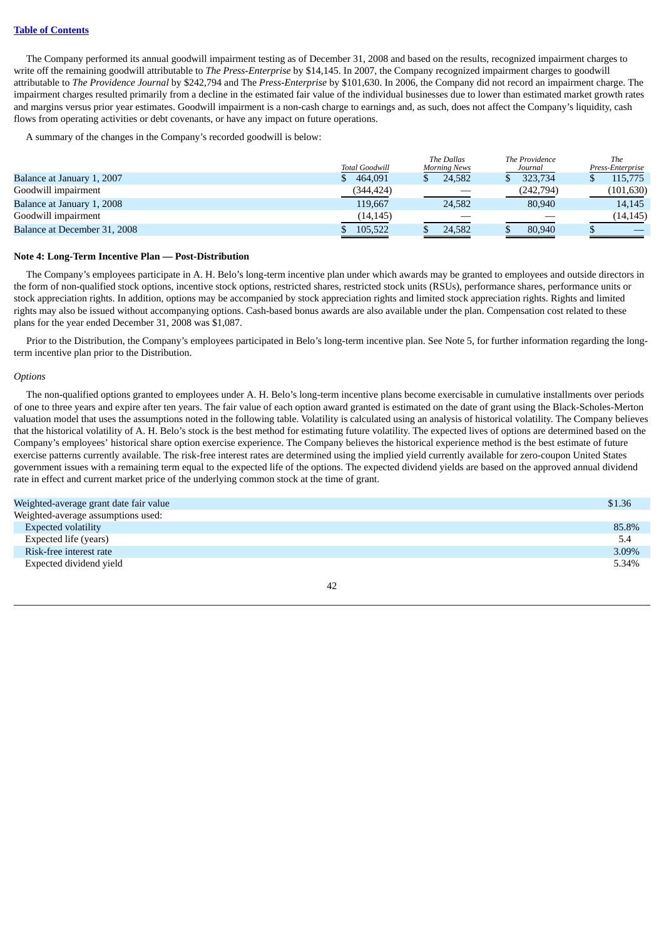The Company performed its annual goodwill impairment testing as of December 31, 2008 and based on the results, recognized impairment charges to write off the remaining goodwill attributable to *The Press-Enterprise* by \$14,145. In 2007, the Company recognized impairment charges to goodwill attributable to *The Providence Journal* by \$242,794 and The *Press-Enterprise* by \$101,630. In 2006, the Company did not record an impairment charge. The impairment charges resulted primarily from a decline in the estimated fair value of the individual businesses due to lower than estimated market growth rates and margins versus prior year estimates. Goodwill impairment is a non-cash charge to earnings and, as such, does not affect the Company's liquidity, cash flows from operating activities or debt covenants, or have any impact on future operations.

A summary of the changes in the Company's recorded goodwill is below:

|                              | <b>Total Goodwill</b> | The Dallas<br><b>Morning News</b> | The Providence<br>Journal | <b>The</b><br>Press-Enterprise |
|------------------------------|-----------------------|-----------------------------------|---------------------------|--------------------------------|
| Balance at January 1, 2007   | 464.091               | 24.582                            | 323.734                   | 115,775                        |
| Goodwill impairment          | (344, 424)            |                                   | (242, 794)                | (101, 630)                     |
| Balance at January 1, 2008   | 119.667               | 24,582                            | 80,940                    | 14,145                         |
| Goodwill impairment          | (14, 145)             |                                   |                           | (14, 145)                      |
| Balance at December 31, 2008 | 105,522               | 24.582                            | 80,940                    |                                |

#### **Note 4: Long-Term Incentive Plan — Post-Distribution**

The Company's employees participate in A. H. Belo's long-term incentive plan under which awards may be granted to employees and outside directors in the form of non-qualified stock options, incentive stock options, restricted shares, restricted stock units (RSUs), performance shares, performance units or stock appreciation rights. In addition, options may be accompanied by stock appreciation rights and limited stock appreciation rights. Rights and limited rights may also be issued without accompanying options. Cash-based bonus awards are also available under the plan. Compensation cost related to these plans for the year ended December 31, 2008 was \$1,087.

Prior to the Distribution, the Company's employees participated in Belo's long-term incentive plan. See Note 5, for further information regarding the longterm incentive plan prior to the Distribution.

#### *Options*

The non-qualified options granted to employees under A. H. Belo's long-term incentive plans become exercisable in cumulative installments over periods of one to three years and expire after ten years. The fair value of each option award granted is estimated on the date of grant using the Black-Scholes-Merton valuation model that uses the assumptions noted in the following table. Volatility is calculated using an analysis of historical volatility. The Company believes that the historical volatility of A. H. Belo's stock is the best method for estimating future volatility. The expected lives of options are determined based on the Company's employees' historical share option exercise experience. The Company believes the historical experience method is the best estimate of future exercise patterns currently available. The risk-free interest rates are determined using the implied yield currently available for zero-coupon United States government issues with a remaining term equal to the expected life of the options. The expected dividend yields are based on the approved annual dividend rate in effect and current market price of the underlying common stock at the time of grant.

| Weighted-average grant date fair value | \$1.36 |
|----------------------------------------|--------|
| Weighted-average assumptions used:     |        |
| Expected volatility                    | 85.8%  |
| Expected life (years)                  | 5.4    |
| Risk-free interest rate                | 3.09%  |
| Expected dividend vield                | 5.34%  |

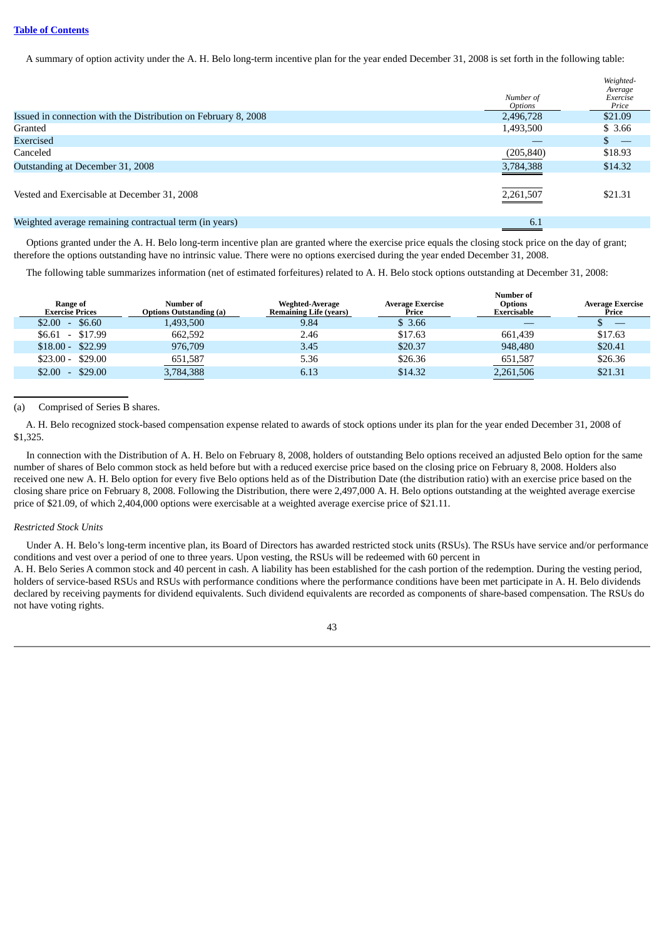#### **Table of [Contents](#page-3-0)**

A summary of option activity under the A. H. Belo long-term incentive plan for the year ended December 31, 2008 is set forth in the following table:

|                                                                | Number of             | Weighted-<br>Average<br>Exercise      |
|----------------------------------------------------------------|-----------------------|---------------------------------------|
|                                                                | <i><b>Options</b></i> | Price                                 |
| Issued in connection with the Distribution on February 8, 2008 | 2,496,728             | \$21.09                               |
| Granted                                                        | 1,493,500             | \$3.66                                |
| Exercised                                                      |                       | \$<br>$\hspace{0.1mm}-\hspace{0.1mm}$ |
| Canceled                                                       | (205, 840)            | \$18.93                               |
| Outstanding at December 31, 2008                               | 3,784,388             | \$14.32                               |
| Vested and Exercisable at December 31, 2008                    | 2,261,507             | \$21.31                               |
| Weighted average remaining contractual term (in years)         | 6.1                   |                                       |

Options granted under the A. H. Belo long-term incentive plan are granted where the exercise price equals the closing stock price on the day of grant; therefore the options outstanding have no intrinsic value. There were no options exercised during the year ended December 31, 2008.

The following table summarizes information (net of estimated forfeitures) related to A. H. Belo stock options outstanding at December 31, 2008:

| Range of<br><b>Exercise Prices</b> | Number of<br><b>Options Outstanding (a)</b> | Weghted-Average<br><b>Remaining Life (years)</b> | <b>Average Exercise</b><br>Price | <b>Number of</b><br><b>Options</b><br>Exercisable | <b>Average Exercise</b><br>Price |
|------------------------------------|---------------------------------------------|--------------------------------------------------|----------------------------------|---------------------------------------------------|----------------------------------|
| \$6.60<br>$$2.00 -$                | 1,493,500                                   | 9.84                                             | \$3.66                           |                                                   |                                  |
| $$6.61$ - \$17.99                  | 662,592                                     | 2.46                                             | \$17.63                          | 661.439                                           | \$17.63                          |
| $$18.00 - $22.99$                  | 976,709                                     | 3.45                                             | \$20.37                          | 948,480                                           | \$20.41                          |
| $$23.00 - $29.00$                  | 651,587                                     | 5.36                                             | \$26.36                          | 651,587                                           | \$26.36                          |
| $$2.00 - $29.00$                   | 3,784,388                                   | 6.13                                             | \$14.32                          | 2,261,506                                         | \$21.31                          |

(a) Comprised of Series B shares.

A. H. Belo recognized stock-based compensation expense related to awards of stock options under its plan for the year ended December 31, 2008 of \$1,325.

In connection with the Distribution of A. H. Belo on February 8, 2008, holders of outstanding Belo options received an adjusted Belo option for the same number of shares of Belo common stock as held before but with a reduced exercise price based on the closing price on February 8, 2008. Holders also received one new A. H. Belo option for every five Belo options held as of the Distribution Date (the distribution ratio) with an exercise price based on the closing share price on February 8, 2008. Following the Distribution, there were 2,497,000 A. H. Belo options outstanding at the weighted average exercise price of \$21.09, of which 2,404,000 options were exercisable at a weighted average exercise price of \$21.11.

#### *Restricted Stock Units*

Under A. H. Belo's long-term incentive plan, its Board of Directors has awarded restricted stock units (RSUs). The RSUs have service and/or performance conditions and vest over a period of one to three years. Upon vesting, the RSUs will be redeemed with 60 percent in A. H. Belo Series A common stock and 40 percent in cash. A liability has been established for the cash portion of the redemption. During the vesting period, holders of service-based RSUs and RSUs with performance conditions where the performance conditions have been met participate in A. H. Belo dividends declared by receiving payments for dividend equivalents. Such dividend equivalents are recorded as components of share-based compensation. The RSUs do not have voting rights.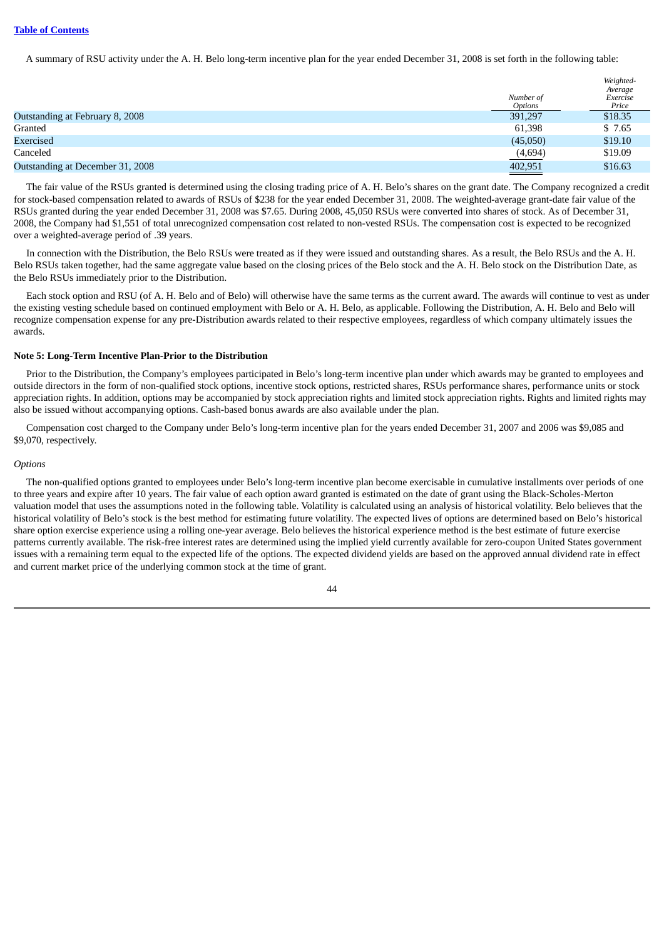#### **Table of [Contents](#page-3-0)**

A summary of RSU activity under the A. H. Belo long-term incentive plan for the year ended December 31, 2008 is set forth in the following table:

|                                  |                      | Weighted-<br>Average |
|----------------------------------|----------------------|----------------------|
|                                  | Number of<br>Options | Exercise<br>Price    |
| Outstanding at February 8, 2008  | 391,297              | \$18.35              |
| Granted                          | 61,398               | \$7.65               |
| Exercised                        | (45,050)             | \$19.10              |
| Canceled                         | (4,694)              | \$19.09              |
| Outstanding at December 31, 2008 | 402,951              | \$16.63              |

The fair value of the RSUs granted is determined using the closing trading price of A. H. Belo's shares on the grant date. The Company recognized a credit for stock-based compensation related to awards of RSUs of \$238 for the year ended December 31, 2008. The weighted-average grant-date fair value of the RSUs granted during the year ended December 31, 2008 was \$7.65. During 2008, 45,050 RSUs were converted into shares of stock. As of December 31, 2008, the Company had \$1,551 of total unrecognized compensation cost related to non-vested RSUs. The compensation cost is expected to be recognized over a weighted-average period of .39 years.

In connection with the Distribution, the Belo RSUs were treated as if they were issued and outstanding shares. As a result, the Belo RSUs and the A. H. Belo RSUs taken together, had the same aggregate value based on the closing prices of the Belo stock and the A. H. Belo stock on the Distribution Date, as the Belo RSUs immediately prior to the Distribution.

Each stock option and RSU (of A. H. Belo and of Belo) will otherwise have the same terms as the current award. The awards will continue to vest as under the existing vesting schedule based on continued employment with Belo or A. H. Belo, as applicable. Following the Distribution, A. H. Belo and Belo will recognize compensation expense for any pre-Distribution awards related to their respective employees, regardless of which company ultimately issues the awards.

#### **Note 5: Long-Term Incentive Plan-Prior to the Distribution**

Prior to the Distribution, the Company's employees participated in Belo's long-term incentive plan under which awards may be granted to employees and outside directors in the form of non-qualified stock options, incentive stock options, restricted shares, RSUs performance shares, performance units or stock appreciation rights. In addition, options may be accompanied by stock appreciation rights and limited stock appreciation rights. Rights and limited rights may also be issued without accompanying options. Cash-based bonus awards are also available under the plan.

Compensation cost charged to the Company under Belo's long-term incentive plan for the years ended December 31, 2007 and 2006 was \$9,085 and \$9,070, respectively.

#### *Options*

The non-qualified options granted to employees under Belo's long-term incentive plan become exercisable in cumulative installments over periods of one to three years and expire after 10 years. The fair value of each option award granted is estimated on the date of grant using the Black-Scholes-Merton valuation model that uses the assumptions noted in the following table. Volatility is calculated using an analysis of historical volatility. Belo believes that the historical volatility of Belo's stock is the best method for estimating future volatility. The expected lives of options are determined based on Belo's historical share option exercise experience using a rolling one-year average. Belo believes the historical experience method is the best estimate of future exercise patterns currently available. The risk-free interest rates are determined using the implied yield currently available for zero-coupon United States government issues with a remaining term equal to the expected life of the options. The expected dividend yields are based on the approved annual dividend rate in effect and current market price of the underlying common stock at the time of grant.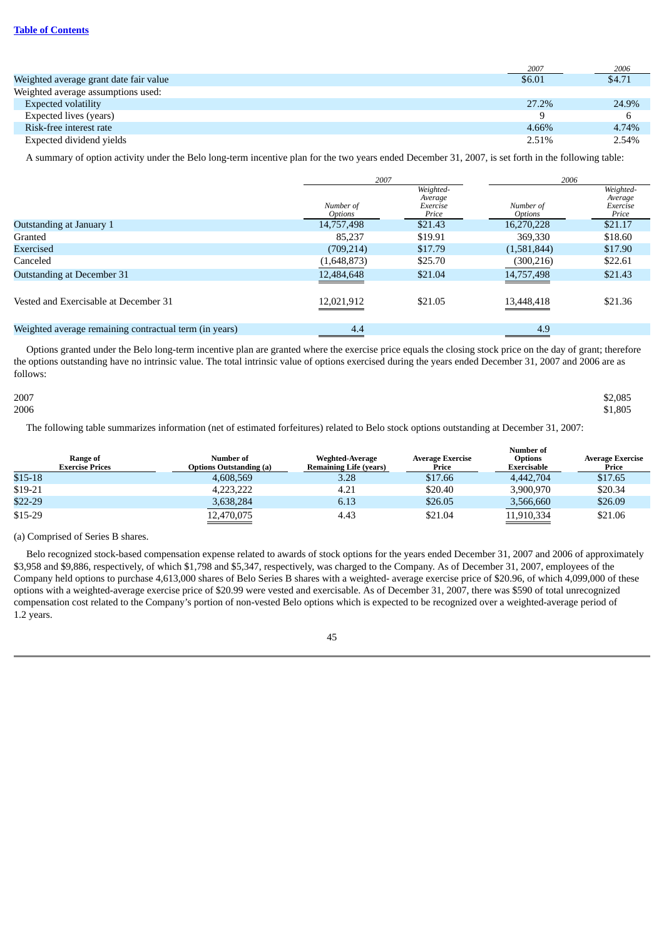|                                        | 2007   | 2006   |
|----------------------------------------|--------|--------|
| Weighted average grant date fair value | \$6.01 | \$4.71 |
| Weighted average assumptions used:     |        |        |
| <b>Expected volatility</b>             | 27.2%  | 24.9%  |
| Expected lives (years)                 | q      |        |
| Risk-free interest rate                | 4.66%  | 4.74%  |
| Expected dividend yields               | 2.51%  | 2.54%  |

A summary of option activity under the Belo long-term incentive plan for the two years ended December 31, 2007, is set forth in the following table:

|                                                        | 2007                        |                                           | 2006                        |                                           |
|--------------------------------------------------------|-----------------------------|-------------------------------------------|-----------------------------|-------------------------------------------|
|                                                        | Number of<br><i>Options</i> | Weighted-<br>Average<br>Exercise<br>Price | Number of<br><b>Options</b> | Weighted-<br>Average<br>Exercise<br>Price |
| Outstanding at January 1                               | 14,757,498                  | \$21.43                                   | 16,270,228                  | \$21.17                                   |
| Granted                                                | 85,237                      | \$19.91                                   | 369,330                     | \$18.60                                   |
| Exercised                                              | (709, 214)                  | \$17.79                                   | (1,581,844)                 | \$17.90                                   |
| Canceled                                               | (1,648,873)                 | \$25.70                                   | (300, 216)                  | \$22.61                                   |
| Outstanding at December 31                             | 12,484,648                  | \$21.04                                   | 14,757,498                  | \$21.43                                   |
| Vested and Exercisable at December 31                  | 12,021,912                  | \$21.05                                   | 13,448,418                  | \$21.36                                   |
| Weighted average remaining contractual term (in years) | 4.4                         |                                           | 4.9                         |                                           |

Options granted under the Belo long-term incentive plan are granted where the exercise price equals the closing stock price on the day of grant; therefore the options outstanding have no intrinsic value. The total intrinsic value of options exercised during the years ended December 31, 2007 and 2006 are as follows:

2007 \$2,085 2006 \$1,805

The following table summarizes information (net of estimated forfeitures) related to Belo stock options outstanding at December 31, 2007:

| Range of<br><b>Exercise Prices</b> | Number of<br>Options Outstanding (a) | Weghted-Average<br><b>Remaining Life (years)</b> | <b>Average Exercise</b><br>Price | <b>Number of</b><br><b>Options</b><br>Exercisable | <b>Average Exercise</b><br>Price |
|------------------------------------|--------------------------------------|--------------------------------------------------|----------------------------------|---------------------------------------------------|----------------------------------|
| $$15-18$                           | 4,608,569                            | 3.28                                             | \$17.66                          | 4.442.704                                         | \$17.65                          |
| \$19-21                            | 4,223,222                            | 4.21                                             | \$20.40                          | 3.900.970                                         | \$20.34                          |
| $$22-29$                           | 3,638,284                            | 6.13                                             | \$26.05                          | 3,566,660                                         | \$26.09                          |
| $$15-29$                           | 12,470,075                           | 4.43                                             | \$21.04                          | 11,910,334                                        | \$21.06                          |

#### (a) Comprised of Series B shares.

Belo recognized stock-based compensation expense related to awards of stock options for the years ended December 31, 2007 and 2006 of approximately \$3,958 and \$9,886, respectively, of which \$1,798 and \$5,347, respectively, was charged to the Company. As of December 31, 2007, employees of the Company held options to purchase 4,613,000 shares of Belo Series B shares with a weighted- average exercise price of \$20.96, of which 4,099,000 of these options with a weighted-average exercise price of \$20.99 were vested and exercisable. As of December 31, 2007, there was \$590 of total unrecognized compensation cost related to the Company's portion of non-vested Belo options which is expected to be recognized over a weighted-average period of 1.2 years.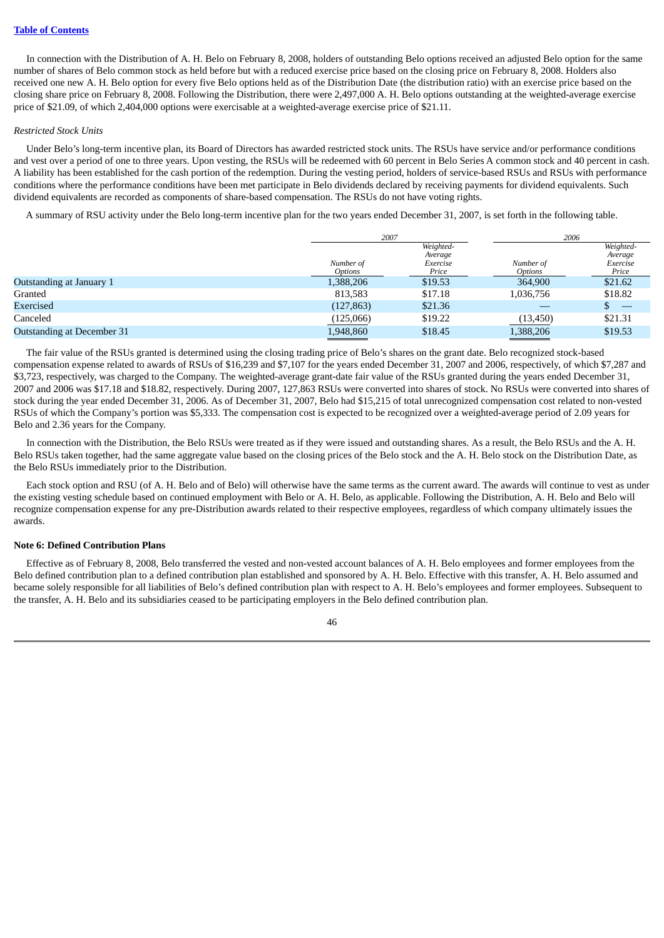In connection with the Distribution of A. H. Belo on February 8, 2008, holders of outstanding Belo options received an adjusted Belo option for the same number of shares of Belo common stock as held before but with a reduced exercise price based on the closing price on February 8, 2008. Holders also received one new A. H. Belo option for every five Belo options held as of the Distribution Date (the distribution ratio) with an exercise price based on the closing share price on February 8, 2008. Following the Distribution, there were 2,497,000 A. H. Belo options outstanding at the weighted-average exercise price of \$21.09, of which 2,404,000 options were exercisable at a weighted-average exercise price of \$21.11.

#### *Restricted Stock Units*

Under Belo's long-term incentive plan, its Board of Directors has awarded restricted stock units. The RSUs have service and/or performance conditions and vest over a period of one to three years. Upon vesting, the RSUs will be redeemed with 60 percent in Belo Series A common stock and 40 percent in cash. A liability has been established for the cash portion of the redemption. During the vesting period, holders of service-based RSUs and RSUs with performance conditions where the performance conditions have been met participate in Belo dividends declared by receiving payments for dividend equivalents. Such dividend equivalents are recorded as components of share-based compensation. The RSUs do not have voting rights.

A summary of RSU activity under the Belo long-term incentive plan for the two years ended December 31, 2007, is set forth in the following table.

|                            | 2007                 |                   |                             | 2006                     |  |
|----------------------------|----------------------|-------------------|-----------------------------|--------------------------|--|
|                            | Weighted-<br>Average |                   |                             | Weighted-<br>Average     |  |
|                            | Number of<br>Options | Exercise<br>Price | Number of<br><i>Options</i> | Exercise<br>Price        |  |
| Outstanding at January 1   | 1,388,206            | \$19.53           | 364,900                     | \$21.62                  |  |
| Granted                    | 813.583              | \$17.18           | 1,036,756                   | \$18.82                  |  |
| Exercised                  | (127, 863)           | \$21.36           |                             | $\overline{\phantom{a}}$ |  |
| Canceled                   | (125,066)            | \$19.22           | (13, 450)                   | \$21.31                  |  |
| Outstanding at December 31 | 1,948,860            | \$18.45           | 1,388,206                   | \$19.53                  |  |

The fair value of the RSUs granted is determined using the closing trading price of Belo's shares on the grant date. Belo recognized stock-based compensation expense related to awards of RSUs of \$16,239 and \$7,107 for the years ended December 31, 2007 and 2006, respectively, of which \$7,287 and \$3,723, respectively, was charged to the Company. The weighted-average grant-date fair value of the RSUs granted during the years ended December 31, 2007 and 2006 was \$17.18 and \$18.82, respectively. During 2007, 127,863 RSUs were converted into shares of stock. No RSUs were converted into shares of stock during the year ended December 31, 2006. As of December 31, 2007, Belo had \$15,215 of total unrecognized compensation cost related to non-vested RSUs of which the Company's portion was \$5,333. The compensation cost is expected to be recognized over a weighted-average period of 2.09 years for Belo and 2.36 years for the Company.

In connection with the Distribution, the Belo RSUs were treated as if they were issued and outstanding shares. As a result, the Belo RSUs and the A. H. Belo RSUs taken together, had the same aggregate value based on the closing prices of the Belo stock and the A. H. Belo stock on the Distribution Date, as the Belo RSUs immediately prior to the Distribution.

Each stock option and RSU (of A. H. Belo and of Belo) will otherwise have the same terms as the current award. The awards will continue to vest as under the existing vesting schedule based on continued employment with Belo or A. H. Belo, as applicable. Following the Distribution, A. H. Belo and Belo will recognize compensation expense for any pre-Distribution awards related to their respective employees, regardless of which company ultimately issues the awards.

#### **Note 6: Defined Contribution Plans**

Effective as of February 8, 2008, Belo transferred the vested and non-vested account balances of A. H. Belo employees and former employees from the Belo defined contribution plan to a defined contribution plan established and sponsored by A. H. Belo. Effective with this transfer, A. H. Belo assumed and became solely responsible for all liabilities of Belo's defined contribution plan with respect to A. H. Belo's employees and former employees. Subsequent to the transfer, A. H. Belo and its subsidiaries ceased to be participating employers in the Belo defined contribution plan.

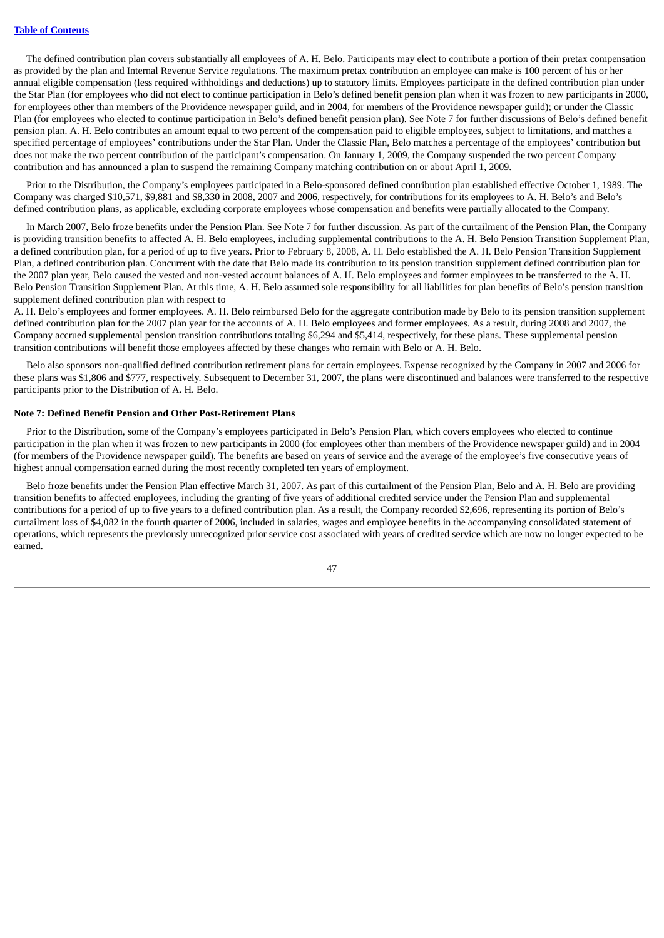The defined contribution plan covers substantially all employees of A. H. Belo. Participants may elect to contribute a portion of their pretax compensation as provided by the plan and Internal Revenue Service regulations. The maximum pretax contribution an employee can make is 100 percent of his or her annual eligible compensation (less required withholdings and deductions) up to statutory limits. Employees participate in the defined contribution plan under the Star Plan (for employees who did not elect to continue participation in Belo's defined benefit pension plan when it was frozen to new participants in 2000, for employees other than members of the Providence newspaper guild, and in 2004, for members of the Providence newspaper guild); or under the Classic Plan (for employees who elected to continue participation in Belo's defined benefit pension plan). See Note 7 for further discussions of Belo's defined benefit pension plan. A. H. Belo contributes an amount equal to two percent of the compensation paid to eligible employees, subject to limitations, and matches a specified percentage of employees' contributions under the Star Plan. Under the Classic Plan, Belo matches a percentage of the employees' contribution but does not make the two percent contribution of the participant's compensation. On January 1, 2009, the Company suspended the two percent Company contribution and has announced a plan to suspend the remaining Company matching contribution on or about April 1, 2009.

Prior to the Distribution, the Company's employees participated in a Belo-sponsored defined contribution plan established effective October 1, 1989. The Company was charged \$10,571, \$9,881 and \$8,330 in 2008, 2007 and 2006, respectively, for contributions for its employees to A. H. Belo's and Belo's defined contribution plans, as applicable, excluding corporate employees whose compensation and benefits were partially allocated to the Company.

In March 2007, Belo froze benefits under the Pension Plan. See Note 7 for further discussion. As part of the curtailment of the Pension Plan, the Company is providing transition benefits to affected A. H. Belo employees, including supplemental contributions to the A. H. Belo Pension Transition Supplement Plan, a defined contribution plan, for a period of up to five years. Prior to February 8, 2008, A. H. Belo established the A. H. Belo Pension Transition Supplement Plan, a defined contribution plan. Concurrent with the date that Belo made its contribution to its pension transition supplement defined contribution plan for the 2007 plan year, Belo caused the vested and non-vested account balances of A. H. Belo employees and former employees to be transferred to the A. H. Belo Pension Transition Supplement Plan. At this time, A. H. Belo assumed sole responsibility for all liabilities for plan benefits of Belo's pension transition supplement defined contribution plan with respect to

A. H. Belo's employees and former employees. A. H. Belo reimbursed Belo for the aggregate contribution made by Belo to its pension transition supplement defined contribution plan for the 2007 plan year for the accounts of A. H. Belo employees and former employees. As a result, during 2008 and 2007, the Company accrued supplemental pension transition contributions totaling \$6,294 and \$5,414, respectively, for these plans. These supplemental pension transition contributions will benefit those employees affected by these changes who remain with Belo or A. H. Belo.

Belo also sponsors non-qualified defined contribution retirement plans for certain employees. Expense recognized by the Company in 2007 and 2006 for these plans was \$1,806 and \$777, respectively. Subsequent to December 31, 2007, the plans were discontinued and balances were transferred to the respective participants prior to the Distribution of A. H. Belo.

#### **Note 7: Defined Benefit Pension and Other Post-Retirement Plans**

Prior to the Distribution, some of the Company's employees participated in Belo's Pension Plan, which covers employees who elected to continue participation in the plan when it was frozen to new participants in 2000 (for employees other than members of the Providence newspaper guild) and in 2004 (for members of the Providence newspaper guild). The benefits are based on years of service and the average of the employee's five consecutive years of highest annual compensation earned during the most recently completed ten years of employment.

Belo froze benefits under the Pension Plan effective March 31, 2007. As part of this curtailment of the Pension Plan, Belo and A. H. Belo are providing transition benefits to affected employees, including the granting of five years of additional credited service under the Pension Plan and supplemental contributions for a period of up to five years to a defined contribution plan. As a result, the Company recorded \$2,696, representing its portion of Belo's curtailment loss of \$4,082 in the fourth quarter of 2006, included in salaries, wages and employee benefits in the accompanying consolidated statement of operations, which represents the previously unrecognized prior service cost associated with years of credited service which are now no longer expected to be earned.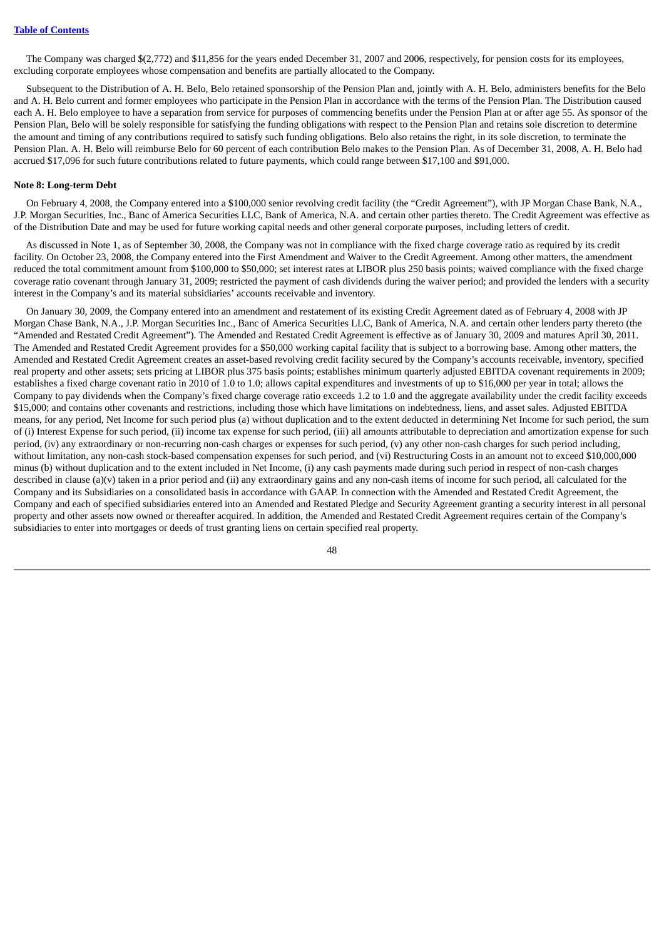The Company was charged \$(2,772) and \$11,856 for the years ended December 31, 2007 and 2006, respectively, for pension costs for its employees, excluding corporate employees whose compensation and benefits are partially allocated to the Company.

Subsequent to the Distribution of A. H. Belo, Belo retained sponsorship of the Pension Plan and, jointly with A. H. Belo, administers benefits for the Belo and A. H. Belo current and former employees who participate in the Pension Plan in accordance with the terms of the Pension Plan. The Distribution caused each A. H. Belo employee to have a separation from service for purposes of commencing benefits under the Pension Plan at or after age 55. As sponsor of the Pension Plan, Belo will be solely responsible for satisfying the funding obligations with respect to the Pension Plan and retains sole discretion to determine the amount and timing of any contributions required to satisfy such funding obligations. Belo also retains the right, in its sole discretion, to terminate the Pension Plan. A. H. Belo will reimburse Belo for 60 percent of each contribution Belo makes to the Pension Plan. As of December 31, 2008, A. H. Belo had accrued \$17,096 for such future contributions related to future payments, which could range between \$17,100 and \$91,000.

#### **Note 8: Long-term Debt**

On February 4, 2008, the Company entered into a \$100,000 senior revolving credit facility (the "Credit Agreement"), with JP Morgan Chase Bank, N.A., J.P. Morgan Securities, Inc., Banc of America Securities LLC, Bank of America, N.A. and certain other parties thereto. The Credit Agreement was effective as of the Distribution Date and may be used for future working capital needs and other general corporate purposes, including letters of credit.

As discussed in Note 1, as of September 30, 2008, the Company was not in compliance with the fixed charge coverage ratio as required by its credit facility. On October 23, 2008, the Company entered into the First Amendment and Waiver to the Credit Agreement. Among other matters, the amendment reduced the total commitment amount from \$100,000 to \$50,000; set interest rates at LIBOR plus 250 basis points; waived compliance with the fixed charge coverage ratio covenant through January 31, 2009; restricted the payment of cash dividends during the waiver period; and provided the lenders with a security interest in the Company's and its material subsidiaries' accounts receivable and inventory.

On January 30, 2009, the Company entered into an amendment and restatement of its existing Credit Agreement dated as of February 4, 2008 with JP Morgan Chase Bank, N.A., J.P. Morgan Securities Inc., Banc of America Securities LLC, Bank of America, N.A. and certain other lenders party thereto (the "Amended and Restated Credit Agreement"). The Amended and Restated Credit Agreement is effective as of January 30, 2009 and matures April 30, 2011. The Amended and Restated Credit Agreement provides for a \$50,000 working capital facility that is subject to a borrowing base. Among other matters, the Amended and Restated Credit Agreement creates an asset-based revolving credit facility secured by the Company's accounts receivable, inventory, specified real property and other assets; sets pricing at LIBOR plus 375 basis points; establishes minimum quarterly adjusted EBITDA covenant requirements in 2009; establishes a fixed charge covenant ratio in 2010 of 1.0 to 1.0; allows capital expenditures and investments of up to \$16,000 per year in total; allows the Company to pay dividends when the Company's fixed charge coverage ratio exceeds 1.2 to 1.0 and the aggregate availability under the credit facility exceeds \$15,000; and contains other covenants and restrictions, including those which have limitations on indebtedness, liens, and asset sales. Adjusted EBITDA means, for any period, Net Income for such period plus (a) without duplication and to the extent deducted in determining Net Income for such period, the sum of (i) Interest Expense for such period, (ii) income tax expense for such period, (iii) all amounts attributable to depreciation and amortization expense for such period, (iv) any extraordinary or non-recurring non-cash charges or expenses for such period, (v) any other non-cash charges for such period including, without limitation, any non-cash stock-based compensation expenses for such period, and (vi) Restructuring Costs in an amount not to exceed \$10,000,000 minus (b) without duplication and to the extent included in Net Income, (i) any cash payments made during such period in respect of non-cash charges described in clause (a)(v) taken in a prior period and (ii) any extraordinary gains and any non-cash items of income for such period, all calculated for the Company and its Subsidiaries on a consolidated basis in accordance with GAAP. In connection with the Amended and Restated Credit Agreement, the Company and each of specified subsidiaries entered into an Amended and Restated Pledge and Security Agreement granting a security interest in all personal property and other assets now owned or thereafter acquired. In addition, the Amended and Restated Credit Agreement requires certain of the Company's subsidiaries to enter into mortgages or deeds of trust granting liens on certain specified real property.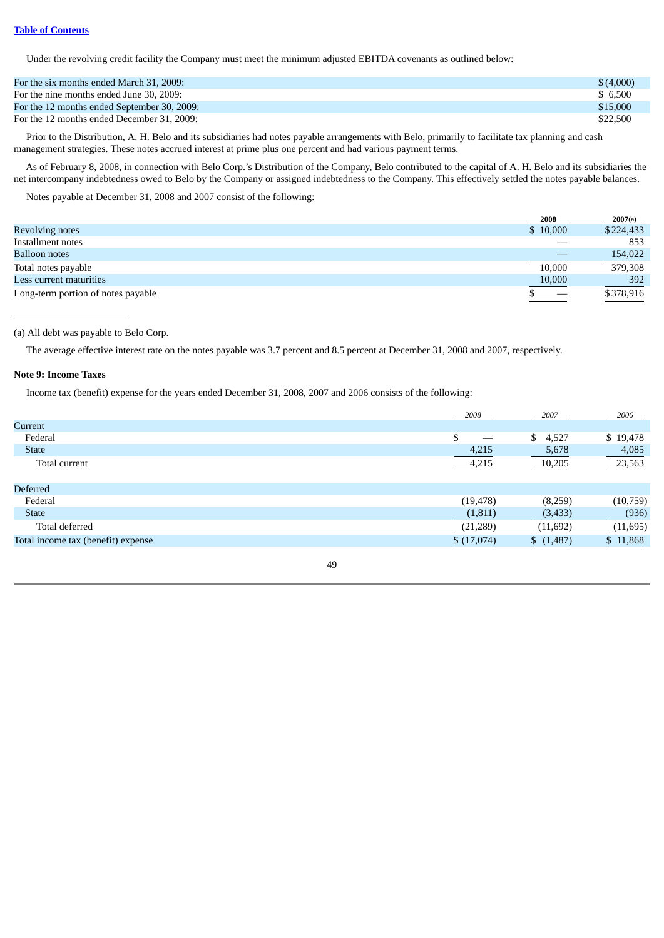Under the revolving credit facility the Company must meet the minimum adjusted EBITDA covenants as outlined below:

| For the six months ended March 31, 2009:    | \$ (4,000) |
|---------------------------------------------|------------|
| For the nine months ended June 30, 2009:    | \$ 6.500   |
| For the 12 months ended September 30, 2009: | \$15,000   |
| For the 12 months ended December 31, 2009:  | \$22,500   |

Prior to the Distribution, A. H. Belo and its subsidiaries had notes payable arrangements with Belo, primarily to facilitate tax planning and cash management strategies. These notes accrued interest at prime plus one percent and had various payment terms.

As of February 8, 2008, in connection with Belo Corp.'s Distribution of the Company, Belo contributed to the capital of A. H. Belo and its subsidiaries the net intercompany indebtedness owed to Belo by the Company or assigned indebtedness to the Company. This effectively settled the notes payable balances.

Notes payable at December 31, 2008 and 2007 consist of the following:

|                                    | 2008     | 2007(a)   |
|------------------------------------|----------|-----------|
| <b>Revolving notes</b>             | \$10,000 | \$224,433 |
| Installment notes                  |          | 853       |
| <b>Balloon notes</b>               |          | 154,022   |
| Total notes payable                | 10,000   | 379,308   |
| Less current maturities            | 10,000   | 392       |
| Long-term portion of notes payable |          | \$378,916 |

#### (a) All debt was payable to Belo Corp.

The average effective interest rate on the notes payable was 3.7 percent and 8.5 percent at December 31, 2008 and 2007, respectively.

#### **Note 9: Income Taxes**

Income tax (benefit) expense for the years ended December 31, 2008, 2007 and 2006 consists of the following:

|                                    | 2008                                 | 2007        | 2006      |
|------------------------------------|--------------------------------------|-------------|-----------|
| Current                            |                                      |             |           |
| Federal                            | \$<br>$\overbrace{\hspace{25mm}}^{}$ | \$<br>4,527 | \$19,478  |
| <b>State</b>                       | 4,215                                | 5,678       | 4,085     |
| Total current                      | 4,215                                | 10,205      | 23,563    |
| <b>Deferred</b>                    |                                      |             |           |
| Federal                            | (19, 478)                            | (8,259)     | (10, 759) |
| <b>State</b>                       | (1, 811)                             | (3, 433)    | (936)     |
| Total deferred                     | (21,289)                             | (11,692)    | (11, 695) |
| Total income tax (benefit) expense | \$(17,074)                           | \$(1,487)   | \$11,868  |
|                                    |                                      |             |           |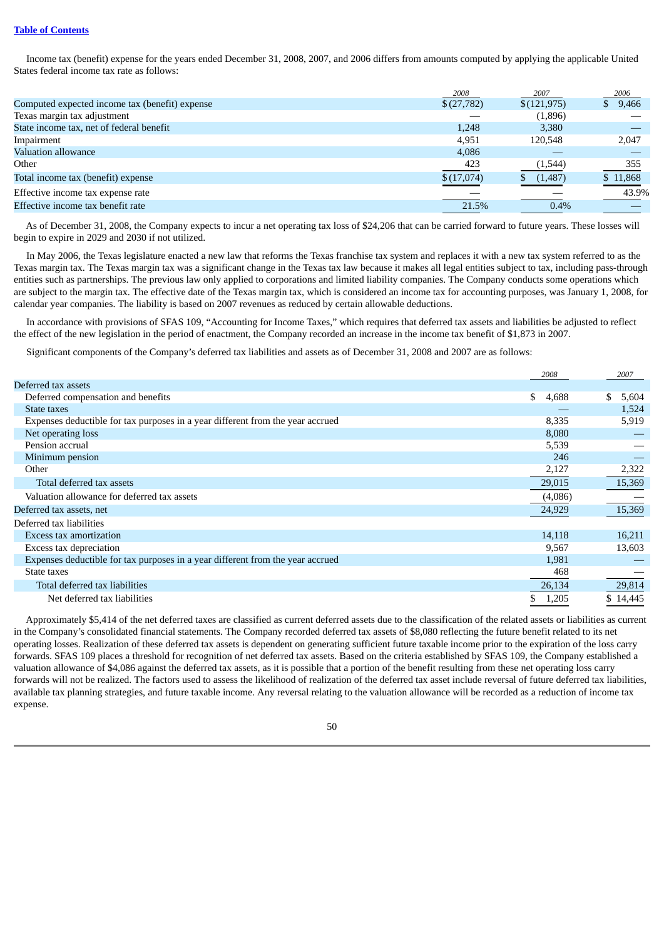Income tax (benefit) expense for the years ended December 31, 2008, 2007, and 2006 differs from amounts computed by applying the applicable United States federal income tax rate as follows:

|                                                | 2008       | 2007        | 2006     |
|------------------------------------------------|------------|-------------|----------|
| Computed expected income tax (benefit) expense | \$(27,782) | \$(121,975) | 9,466    |
| Texas margin tax adjustment                    |            | (1,896)     |          |
| State income tax, net of federal benefit       | 1,248      | 3,380       |          |
| Impairment                                     | 4,951      | 120,548     | 2,047    |
| Valuation allowance                            | 4,086      |             |          |
| Other                                          | 423        | (1,544)     | 355      |
| Total income tax (benefit) expense             | \$(17,074) | (1,487)     | \$11,868 |
| Effective income tax expense rate              |            |             | 43.9%    |
| Effective income tax benefit rate              | 21.5%      | 0.4%        |          |

As of December 31, 2008, the Company expects to incur a net operating tax loss of \$24,206 that can be carried forward to future years. These losses will begin to expire in 2029 and 2030 if not utilized.

In May 2006, the Texas legislature enacted a new law that reforms the Texas franchise tax system and replaces it with a new tax system referred to as the Texas margin tax. The Texas margin tax was a significant change in the Texas tax law because it makes all legal entities subject to tax, including pass-through entities such as partnerships. The previous law only applied to corporations and limited liability companies. The Company conducts some operations which are subject to the margin tax. The effective date of the Texas margin tax, which is considered an income tax for accounting purposes, was January 1, 2008, for calendar year companies. The liability is based on 2007 revenues as reduced by certain allowable deductions.

In accordance with provisions of SFAS 109, "Accounting for Income Taxes," which requires that deferred tax assets and liabilities be adjusted to reflect the effect of the new legislation in the period of enactment, the Company recorded an increase in the income tax benefit of \$1,873 in 2007.

Significant components of the Company's deferred tax liabilities and assets as of December 31, 2008 and 2007 are as follows:

|                                                                                | 2008        | 2007     |
|--------------------------------------------------------------------------------|-------------|----------|
| Deferred tax assets                                                            |             |          |
| Deferred compensation and benefits                                             | \$<br>4,688 | 5,604    |
| State taxes                                                                    |             | 1,524    |
| Expenses deductible for tax purposes in a year different from the year accrued | 8,335       | 5,919    |
| Net operating loss                                                             | 8,080       |          |
| Pension accrual                                                                | 5,539       |          |
| Minimum pension                                                                | 246         |          |
| Other                                                                          | 2,127       | 2,322    |
| Total deferred tax assets                                                      | 29,015      | 15,369   |
| Valuation allowance for deferred tax assets                                    | (4,086)     |          |
| Deferred tax assets, net                                                       | 24,929      | 15,369   |
| Deferred tax liabilities                                                       |             |          |
| Excess tax amortization                                                        | 14,118      | 16,211   |
| Excess tax depreciation                                                        | 9,567       | 13,603   |
| Expenses deductible for tax purposes in a year different from the year accrued | 1,981       |          |
| State taxes                                                                    | 468         |          |
| Total deferred tax liabilities                                                 | 26,134      | 29,814   |
| Net deferred tax liabilities                                                   | 1,205       | \$14,445 |
|                                                                                |             |          |

Approximately \$5,414 of the net deferred taxes are classified as current deferred assets due to the classification of the related assets or liabilities as current in the Company's consolidated financial statements. The Company recorded deferred tax assets of \$8,080 reflecting the future benefit related to its net operating losses. Realization of these deferred tax assets is dependent on generating sufficient future taxable income prior to the expiration of the loss carry forwards. SFAS 109 places a threshold for recognition of net deferred tax assets. Based on the criteria established by SFAS 109, the Company established a valuation allowance of \$4,086 against the deferred tax assets, as it is possible that a portion of the benefit resulting from these net operating loss carry forwards will not be realized. The factors used to assess the likelihood of realization of the deferred tax asset include reversal of future deferred tax liabilities, available tax planning strategies, and future taxable income. Any reversal relating to the valuation allowance will be recorded as a reduction of income tax expense.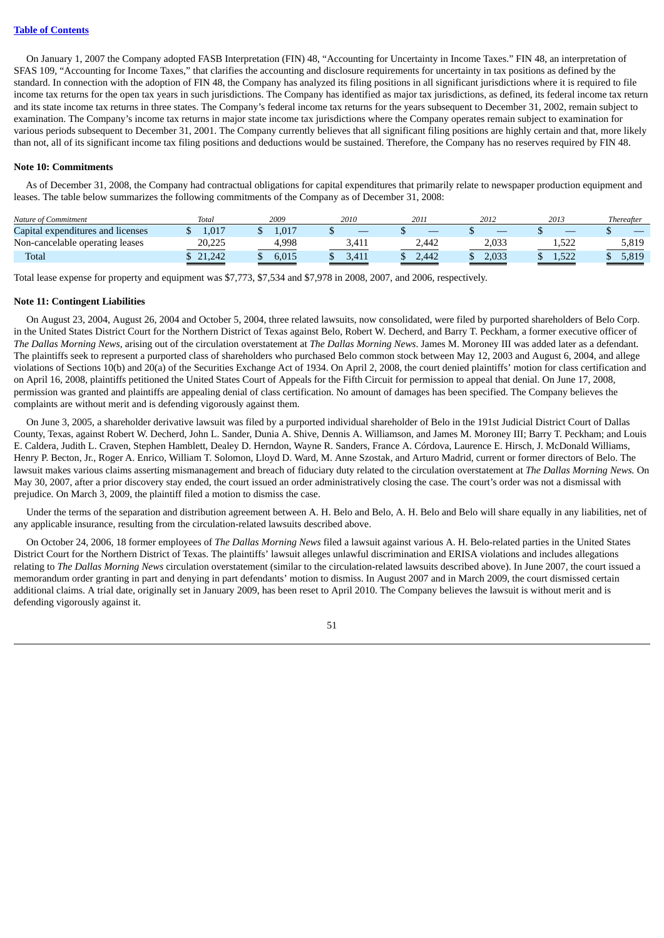On January 1, 2007 the Company adopted FASB Interpretation (FIN) 48, "Accounting for Uncertainty in Income Taxes." FIN 48, an interpretation of SFAS 109, "Accounting for Income Taxes," that clarifies the accounting and disclosure requirements for uncertainty in tax positions as defined by the standard. In connection with the adoption of FIN 48, the Company has analyzed its filing positions in all significant jurisdictions where it is required to file income tax returns for the open tax years in such jurisdictions. The Company has identified as major tax jurisdictions, as defined, its federal income tax return and its state income tax returns in three states. The Company's federal income tax returns for the years subsequent to December 31, 2002, remain subject to examination. The Company's income tax returns in major state income tax jurisdictions where the Company operates remain subject to examination for various periods subsequent to December 31, 2001. The Company currently believes that all significant filing positions are highly certain and that, more likely than not, all of its significant income tax filing positions and deductions would be sustained. Therefore, the Company has no reserves required by FIN 48.

#### **Note 10: Commitments**

As of December 31, 2008, the Company had contractual obligations for capital expenditures that primarily relate to newspaper production equipment and leases. The table below summarizes the following commitments of the Company as of December 31, 2008:

| <b>Nature of Commitment</b>       | Total  | 2009        | 2010  | 2011  | 2012  | 2013  | <b>Thereafter</b> |
|-----------------------------------|--------|-------------|-------|-------|-------|-------|-------------------|
| Capital expenditures and licenses | 1,017  | $\ldots017$ |       |       | _     |       | _                 |
| Non-cancelable operating leases   | 20,225 | 4,998       | 3,411 | 2.442 | 2,033 | 1,522 | 5,819             |
| <b>Total</b>                      | 21,242 | 6,015       | 3.411 | 2.442 | 2,033 | 1,522 | 5,819             |

Total lease expense for property and equipment was \$7,773, \$7,534 and \$7,978 in 2008, 2007, and 2006, respectively.

#### **Note 11: Contingent Liabilities**

On August 23, 2004, August 26, 2004 and October 5, 2004, three related lawsuits, now consolidated, were filed by purported shareholders of Belo Corp. in the United States District Court for the Northern District of Texas against Belo, Robert W. Decherd, and Barry T. Peckham, a former executive officer of *The Dallas Morning News*, arising out of the circulation overstatement at *The Dallas Morning News*. James M. Moroney III was added later as a defendant. The plaintiffs seek to represent a purported class of shareholders who purchased Belo common stock between May 12, 2003 and August 6, 2004, and allege violations of Sections 10(b) and 20(a) of the Securities Exchange Act of 1934. On April 2, 2008, the court denied plaintiffs' motion for class certification and on April 16, 2008, plaintiffs petitioned the United States Court of Appeals for the Fifth Circuit for permission to appeal that denial. On June 17, 2008, permission was granted and plaintiffs are appealing denial of class certification. No amount of damages has been specified. The Company believes the complaints are without merit and is defending vigorously against them.

On June 3, 2005, a shareholder derivative lawsuit was filed by a purported individual shareholder of Belo in the 191st Judicial District Court of Dallas County, Texas, against Robert W. Decherd, John L. Sander, Dunia A. Shive, Dennis A. Williamson, and James M. Moroney III; Barry T. Peckham; and Louis E. Caldera, Judith L. Craven, Stephen Hamblett, Dealey D. Herndon, Wayne R. Sanders, France A. Córdova, Laurence E. Hirsch, J. McDonald Williams, Henry P. Becton, Jr., Roger A. Enrico, William T. Solomon, Lloyd D. Ward, M. Anne Szostak, and Arturo Madrid, current or former directors of Belo. The lawsuit makes various claims asserting mismanagement and breach of fiduciary duty related to the circulation overstatement at *The Dallas Morning News.* On May 30, 2007, after a prior discovery stay ended, the court issued an order administratively closing the case. The court's order was not a dismissal with prejudice. On March 3, 2009, the plaintiff filed a motion to dismiss the case.

Under the terms of the separation and distribution agreement between A. H. Belo and Belo, A. H. Belo and Belo will share equally in any liabilities, net of any applicable insurance, resulting from the circulation-related lawsuits described above.

On October 24, 2006, 18 former employees of *The Dallas Morning News* filed a lawsuit against various A. H. Belo-related parties in the United States District Court for the Northern District of Texas. The plaintiffs' lawsuit alleges unlawful discrimination and ERISA violations and includes allegations relating to *The Dallas Morning News* circulation overstatement (similar to the circulation-related lawsuits described above). In June 2007, the court issued a memorandum order granting in part and denying in part defendants' motion to dismiss. In August 2007 and in March 2009, the court dismissed certain additional claims. A trial date, originally set in January 2009, has been reset to April 2010. The Company believes the lawsuit is without merit and is defending vigorously against it.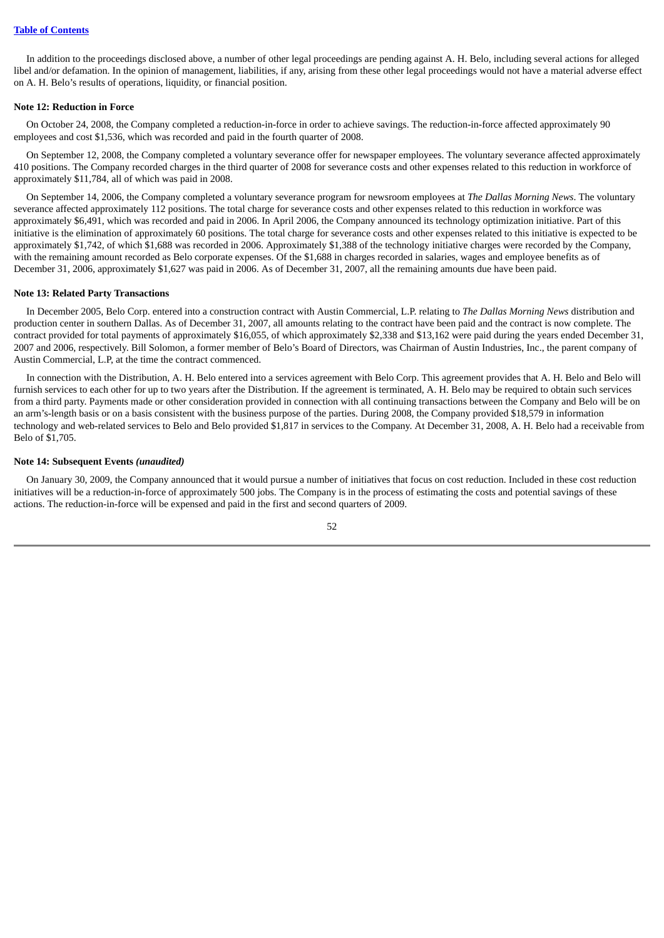In addition to the proceedings disclosed above, a number of other legal proceedings are pending against A. H. Belo, including several actions for alleged libel and/or defamation. In the opinion of management, liabilities, if any, arising from these other legal proceedings would not have a material adverse effect on A. H. Belo's results of operations, liquidity, or financial position.

#### **Note 12: Reduction in Force**

On October 24, 2008, the Company completed a reduction-in-force in order to achieve savings. The reduction-in-force affected approximately 90 employees and cost \$1,536, which was recorded and paid in the fourth quarter of 2008.

On September 12, 2008, the Company completed a voluntary severance offer for newspaper employees. The voluntary severance affected approximately 410 positions. The Company recorded charges in the third quarter of 2008 for severance costs and other expenses related to this reduction in workforce of approximately \$11,784, all of which was paid in 2008.

On September 14, 2006, the Company completed a voluntary severance program for newsroom employees at *The Dallas Morning News*. The voluntary severance affected approximately 112 positions. The total charge for severance costs and other expenses related to this reduction in workforce was approximately \$6,491, which was recorded and paid in 2006. In April 2006, the Company announced its technology optimization initiative. Part of this initiative is the elimination of approximately 60 positions. The total charge for severance costs and other expenses related to this initiative is expected to be approximately \$1,742, of which \$1,688 was recorded in 2006. Approximately \$1,388 of the technology initiative charges were recorded by the Company, with the remaining amount recorded as Belo corporate expenses. Of the \$1,688 in charges recorded in salaries, wages and employee benefits as of December 31, 2006, approximately \$1,627 was paid in 2006. As of December 31, 2007, all the remaining amounts due have been paid.

#### **Note 13: Related Party Transactions**

In December 2005, Belo Corp. entered into a construction contract with Austin Commercial, L.P. relating to *The Dallas Morning News* distribution and production center in southern Dallas. As of December 31, 2007, all amounts relating to the contract have been paid and the contract is now complete. The contract provided for total payments of approximately \$16,055, of which approximately \$2,338 and \$13,162 were paid during the years ended December 31, 2007 and 2006, respectively. Bill Solomon, a former member of Belo's Board of Directors, was Chairman of Austin Industries, Inc., the parent company of Austin Commercial, L.P, at the time the contract commenced.

In connection with the Distribution, A. H. Belo entered into a services agreement with Belo Corp. This agreement provides that A. H. Belo and Belo will furnish services to each other for up to two years after the Distribution. If the agreement is terminated, A. H. Belo may be required to obtain such services from a third party. Payments made or other consideration provided in connection with all continuing transactions between the Company and Belo will be on an arm's-length basis or on a basis consistent with the business purpose of the parties. During 2008, the Company provided \$18,579 in information technology and web-related services to Belo and Belo provided \$1,817 in services to the Company. At December 31, 2008, A. H. Belo had a receivable from Belo of \$1,705.

#### **Note 14: Subsequent Events** *(unaudited)*

On January 30, 2009, the Company announced that it would pursue a number of initiatives that focus on cost reduction. Included in these cost reduction initiatives will be a reduction-in-force of approximately 500 jobs. The Company is in the process of estimating the costs and potential savings of these actions. The reduction-in-force will be expensed and paid in the first and second quarters of 2009.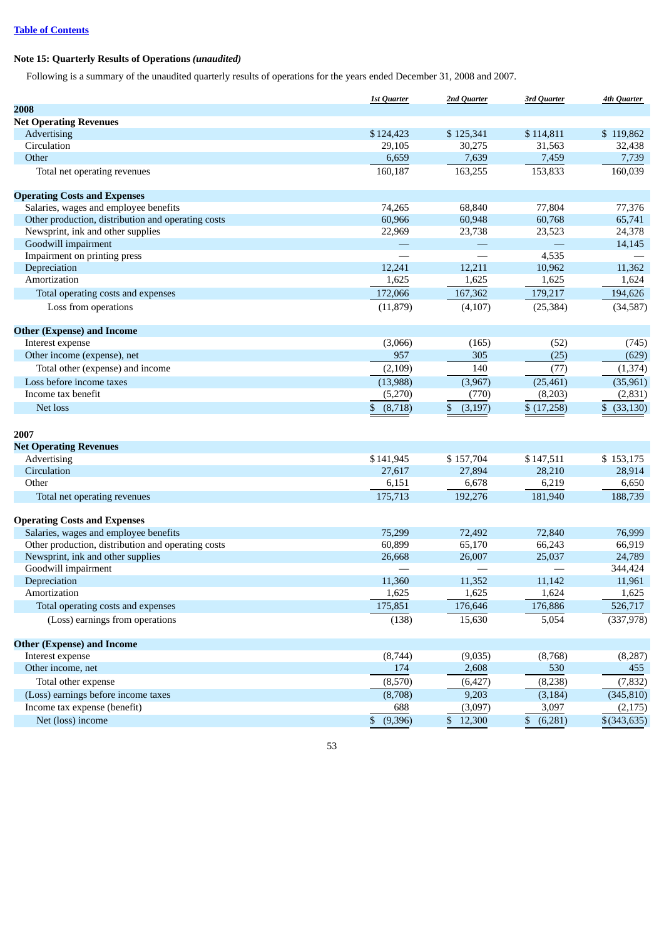# **Note 15: Quarterly Results of Operations** *(unaudited)*

Following is a summary of the unaudited quarterly results of operations for the years ended December 31, 2008 and 2007.

|                                                    | <b>1st Quarter</b>      | 2nd Quarter              | 3rd Quarter     | 4th Quarter               |
|----------------------------------------------------|-------------------------|--------------------------|-----------------|---------------------------|
| 2008                                               |                         |                          |                 |                           |
| <b>Net Operating Revenues</b>                      |                         |                          |                 |                           |
| Advertising                                        | \$124,423               | \$125,341                | \$114,811       | \$119,862                 |
| Circulation                                        | 29,105                  | 30,275                   | 31,563          | 32,438                    |
| Other                                              | 6,659                   | 7,639                    | 7,459           | 7,739                     |
| Total net operating revenues                       | 160,187                 | 163,255                  | 153,833         | 160,039                   |
| <b>Operating Costs and Expenses</b>                |                         |                          |                 |                           |
| Salaries, wages and employee benefits              | 74,265                  | 68,840                   | 77,804          | 77,376                    |
| Other production, distribution and operating costs | 60,966                  | 60,948                   | 60,768          | 65,741                    |
| Newsprint, ink and other supplies                  | 22,969                  | 23,738                   | 23,523          | 24,378                    |
| Goodwill impairment                                |                         |                          |                 | 14,145                    |
| Impairment on printing press                       |                         | $\overline{\phantom{0}}$ | 4,535           |                           |
| Depreciation                                       | 12,241                  | 12,211                   | 10,962          | 11,362                    |
| Amortization                                       | 1,625                   | 1,625                    | 1,625           | 1,624                     |
| Total operating costs and expenses                 | 172,066                 | 167,362                  | 179,217         | 194,626                   |
| Loss from operations                               | (11, 879)               | (4,107)                  | (25, 384)       | (34,587)                  |
| <b>Other (Expense) and Income</b>                  |                         |                          |                 |                           |
| Interest expense                                   | (3,066)                 | (165)                    | (52)            | (745)                     |
| Other income (expense), net                        | 957                     | 305                      | (25)            | (629)                     |
| Total other (expense) and income                   | (2,109)                 | 140                      | (77)            | (1, 374)                  |
| Loss before income taxes                           | (13,988)                | (3,967)                  | (25, 461)       | (35, 961)                 |
| Income tax benefit                                 | (5,270)                 | (770)                    | (8,203)         | (2, 831)                  |
| Net loss                                           | \$<br>(8,718)           | \$<br>(3, 197)           | \$(17,258)      | $\mathbb{S}$<br>(33, 130) |
|                                                    |                         |                          |                 |                           |
| 2007                                               |                         |                          |                 |                           |
| <b>Net Operating Revenues</b>                      |                         |                          |                 |                           |
| Advertising                                        | \$141,945               | \$157,704                | \$147,511       | \$153,175                 |
| Circulation<br>Other                               | 27,617<br>6,151         | 27,894<br>6,678          | 28,210<br>6,219 | 28,914<br>6,650           |
|                                                    |                         |                          |                 |                           |
| Total net operating revenues                       | 175,713                 | 192,276                  | 181,940         | 188,739                   |
| <b>Operating Costs and Expenses</b>                |                         |                          |                 |                           |
| Salaries, wages and employee benefits              | 75,299                  | 72,492                   | 72,840          | 76,999                    |
| Other production, distribution and operating costs | 60,899                  | 65,170                   | 66,243          | 66,919                    |
| Newsprint, ink and other supplies                  | 26,668                  | 26,007                   | 25,037          | 24,789                    |
| Goodwill impairment                                |                         |                          |                 | 344,424                   |
| Depreciation                                       | 11,360                  | 11,352                   | 11,142          | 11,961                    |
| Amortization                                       | 1,625                   | 1,625                    | 1,624           | 1,625                     |
| Total operating costs and expenses                 | 175,851                 | 176,646                  | 176,886         | 526,717                   |
| (Loss) earnings from operations                    | (138)                   | 15,630                   | 5,054           | (337, 978)                |
| <b>Other (Expense) and Income</b>                  |                         |                          |                 |                           |
| Interest expense                                   | (8,744)                 | (9,035)                  | (8,768)         | (8, 287)                  |
| Other income, net                                  | 174                     | 2,608                    | 530             | 455                       |
| Total other expense                                | (8,570)                 | (6, 427)                 | (8,238)         | (7, 832)                  |
| (Loss) earnings before income taxes                | (8,708)                 | 9,203                    | (3, 184)        | (345, 810)                |
| Income tax expense (benefit)                       | 688                     | (3,097)                  | 3,097           | (2, 175)                  |
| Net (loss) income                                  | (9,396)<br>$\mathbb{S}$ | \$12,300                 | \$ (6,281)      | $$$ (343,635)             |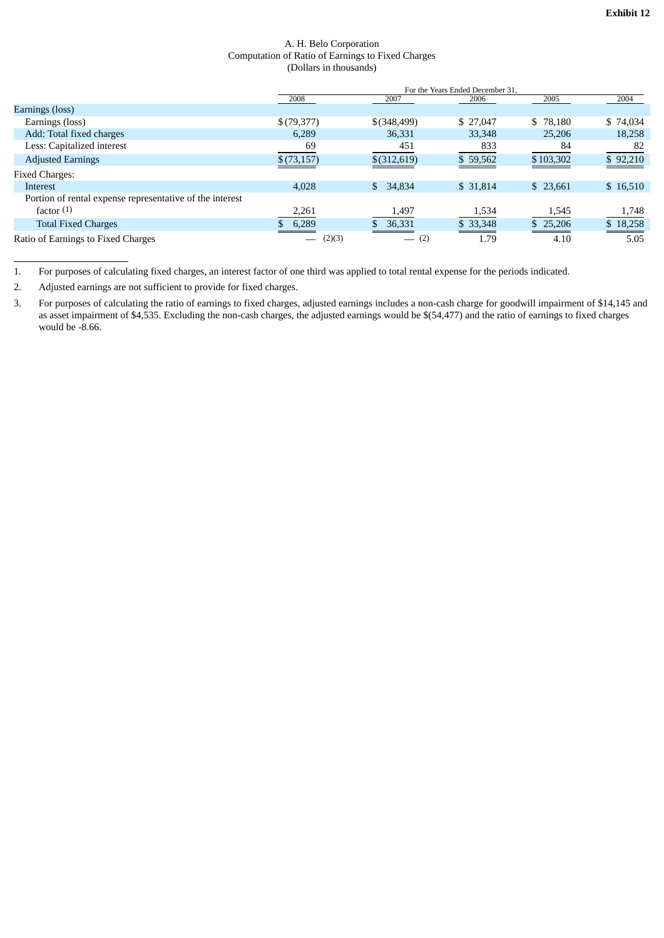# A. H. Belo Corporation Computation of Ratio of Earnings to Fixed Charges (Dollars in thousands)

|                                                          | For the Years Ended December 31, |               |          |              |          |
|----------------------------------------------------------|----------------------------------|---------------|----------|--------------|----------|
|                                                          | 2008                             | 2007          | 2006     | 2005         | 2004     |
| Earnings (loss)                                          |                                  |               |          |              |          |
| Earnings (loss)                                          | \$(79,377)                       | \$(348,499)   | \$27,047 | 78,180<br>S. | \$74,034 |
| Add: Total fixed charges                                 | 6.289                            | 36,331        | 33,348   | 25,206       | 18,258   |
| Less: Capitalized interest                               | 69                               | 451           | 833      | 84           | 82       |
| <b>Adjusted Earnings</b>                                 | \$(73,157)                       | $$$ (312,619) | \$59,562 | \$103,302    | \$92,210 |
| <b>Fixed Charges:</b>                                    |                                  |               |          |              |          |
| Interest                                                 | 4,028                            | \$34,834      | \$31,814 | \$23,661     | \$16,510 |
| Portion of rental expense representative of the interest |                                  |               |          |              |          |
| factor $(1)$                                             | 2,261                            | 1,497         | 1,534    | 1,545        | 1,748    |
| <b>Total Fixed Charges</b>                               | 6,289                            | 36,331        | \$33,348 | \$25,206     | \$18,258 |
| Ratio of Earnings to Fixed Charges                       | (2)(3)                           | $-$ (2)       | 1.79     | 4.10         | 5.05     |

1. For purposes of calculating fixed charges, an interest factor of one third was applied to total rental expense for the periods indicated.

3. For purposes of calculating the ratio of earnings to fixed charges, adjusted earnings includes a non-cash charge for goodwill impairment of \$14,145 and as asset impairment of \$4,535. Excluding the non-cash charges, the adjusted earnings would be \$(54,477) and the ratio of earnings to fixed charges would be -8.66.

<sup>2.</sup> Adjusted earnings are not sufficient to provide for fixed charges.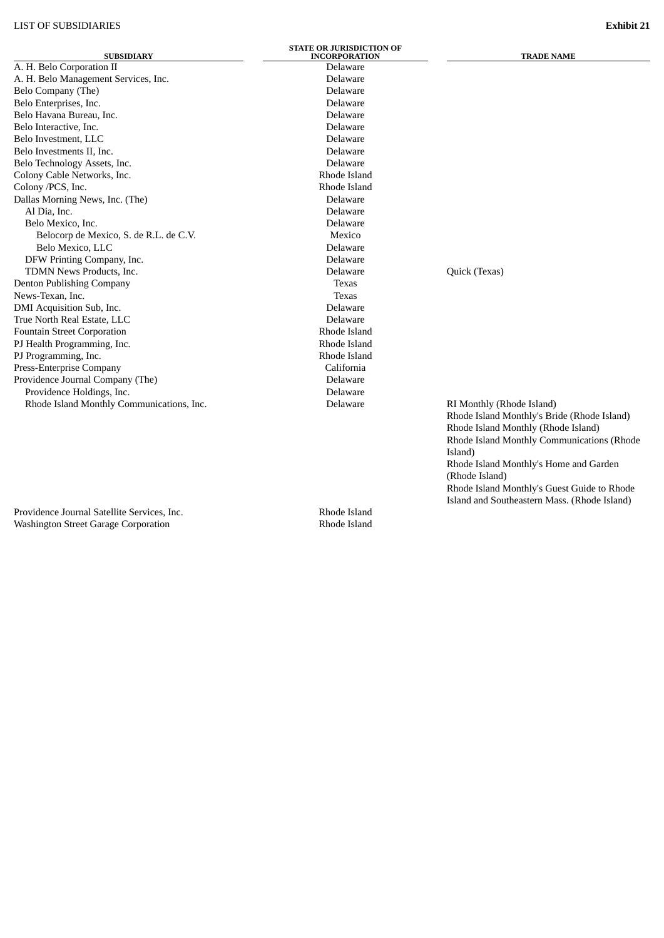A. H. Belo Corporation II Delaware A. H. Belo Management Services, Inc. **Example 20 and Services** Delaware Belo Company (The) Delaware Belo Enterprises, Inc. Delaware Belo Havana Bureau, Inc. **Delaware** Belo Interactive, Inc. **Delaware** Belo Investment, LLC Delaware Belo Investments II, Inc. Delaware Belo Technology Assets, Inc. Delaware Colony Cable Networks, Inc. Rhode Island Colony /PCS, Inc. Rhode Island Dallas Morning News, Inc. (The) Delaware Al Dia, Inc. Delaware Belo Mexico, Inc. Delaware Belocorp de Mexico, S. de R.L. de C.V. Mexico Belo Mexico, LLC and the contract of the contract of the Delaware Delaware DFW Printing Company, Inc. **Delaware** TDMN News Products, Inc. The Contract of the Counterpart of the Delaware Cuick (Texas) Denton Publishing Company Texas News-Texan, Inc. Texas DMI Acquisition Sub, Inc. Delaware True North Real Estate, LLC Delaware Fountain Street Corporation **Rhode Island** PJ Health Programming, Inc. Rhode Island PJ Programming, Inc. **Rhode Island** Press-Enterprise Company California Providence Journal Company (The) Delaware Providence Holdings, Inc. **Delaware** Rhode Island Monthly Communications, Inc.  $D$  Delaware RI Monthly (Rhode Island)

Providence Journal Satellite Services, Inc. Rhode Island Washington Street Garage Corporation **Rhode Island** Rhode Island

**STATE OR JURISDICTION OF**

**SUBSIDIARY INCORPORATION TRADE NAME**

Rhode Island Monthly's Bride (Rhode Island) Rhode Island Monthly (Rhode Island) Rhode Island Monthly Communications (Rhode Island) Rhode Island Monthly's Home and Garden (Rhode Island) Rhode Island Monthly's Guest Guide to Rhode Island and Southeastern Mass. (Rhode Island)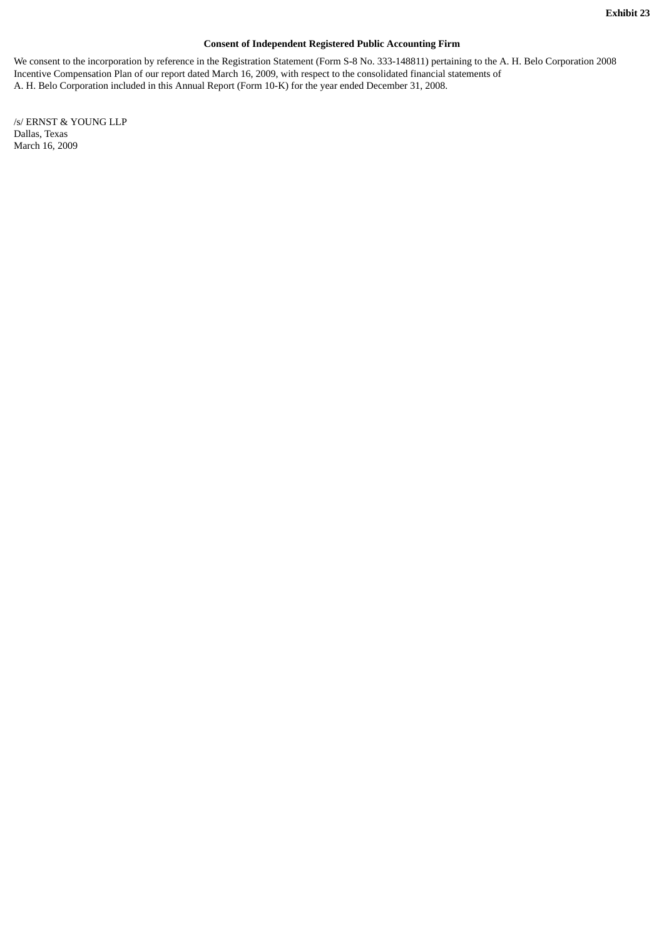# **Consent of Independent Registered Public Accounting Firm**

We consent to the incorporation by reference in the Registration Statement (Form S-8 No. 333-148811) pertaining to the A. H. Belo Corporation 2008 Incentive Compensation Plan of our report dated March 16, 2009, with respect to the consolidated financial statements of A. H. Belo Corporation included in this Annual Report (Form 10-K) for the year ended December 31, 2008.

/s/ ERNST & YOUNG LLP Dallas, Texas March 16, 2009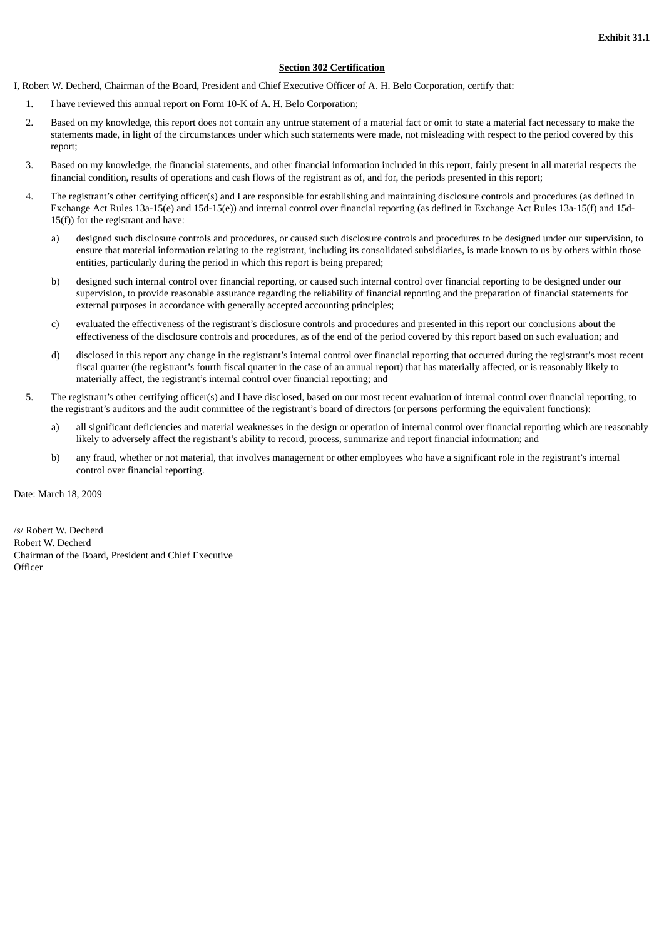#### **Section 302 Certification**

- I, Robert W. Decherd, Chairman of the Board, President and Chief Executive Officer of A. H. Belo Corporation, certify that:
	- 1. I have reviewed this annual report on Form 10-K of A. H. Belo Corporation;
	- 2. Based on my knowledge, this report does not contain any untrue statement of a material fact or omit to state a material fact necessary to make the statements made, in light of the circumstances under which such statements were made, not misleading with respect to the period covered by this report;
	- 3. Based on my knowledge, the financial statements, and other financial information included in this report, fairly present in all material respects the financial condition, results of operations and cash flows of the registrant as of, and for, the periods presented in this report;
	- 4. The registrant's other certifying officer(s) and I are responsible for establishing and maintaining disclosure controls and procedures (as defined in Exchange Act Rules 13a-15(e) and 15d-15(e)) and internal control over financial reporting (as defined in Exchange Act Rules 13a-15(f) and 15d-15(f)) for the registrant and have:
		- a) designed such disclosure controls and procedures, or caused such disclosure controls and procedures to be designed under our supervision, to ensure that material information relating to the registrant, including its consolidated subsidiaries, is made known to us by others within those entities, particularly during the period in which this report is being prepared;
		- b) designed such internal control over financial reporting, or caused such internal control over financial reporting to be designed under our supervision, to provide reasonable assurance regarding the reliability of financial reporting and the preparation of financial statements for external purposes in accordance with generally accepted accounting principles;
		- c) evaluated the effectiveness of the registrant's disclosure controls and procedures and presented in this report our conclusions about the effectiveness of the disclosure controls and procedures, as of the end of the period covered by this report based on such evaluation; and
		- d) disclosed in this report any change in the registrant's internal control over financial reporting that occurred during the registrant's most recent fiscal quarter (the registrant's fourth fiscal quarter in the case of an annual report) that has materially affected, or is reasonably likely to materially affect, the registrant's internal control over financial reporting; and
	- 5. The registrant's other certifying officer(s) and I have disclosed, based on our most recent evaluation of internal control over financial reporting, to the registrant's auditors and the audit committee of the registrant's board of directors (or persons performing the equivalent functions):
		- a) all significant deficiencies and material weaknesses in the design or operation of internal control over financial reporting which are reasonably likely to adversely affect the registrant's ability to record, process, summarize and report financial information; and
		- b) any fraud, whether or not material, that involves management or other employees who have a significant role in the registrant's internal control over financial reporting.

Date: March 18, 2009

/s/ Robert W. Decherd Robert W. Decherd Chairman of the Board, President and Chief Executive **Officer**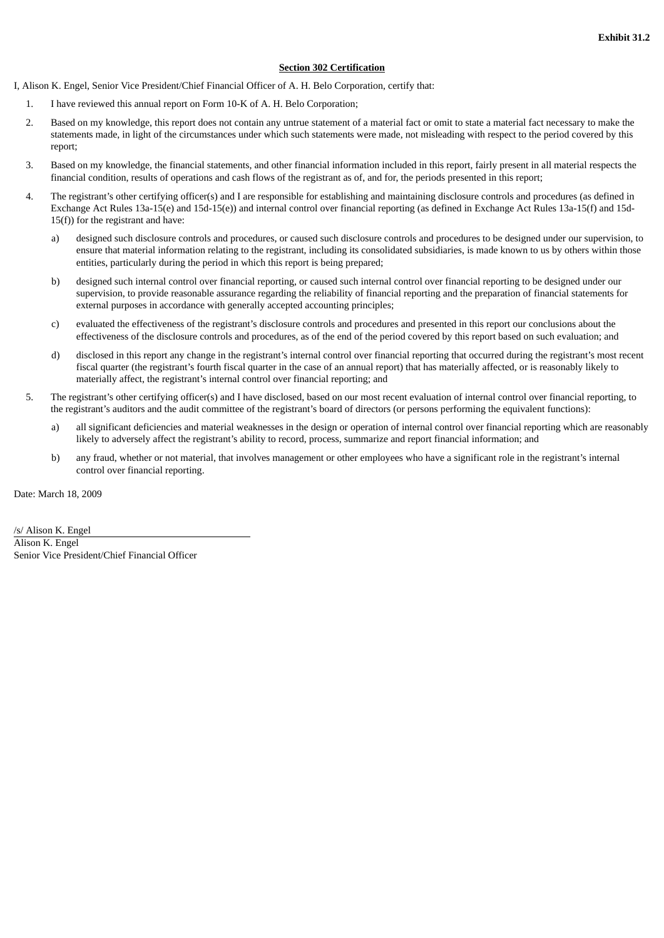#### **Section 302 Certification**

- I, Alison K. Engel, Senior Vice President/Chief Financial Officer of A. H. Belo Corporation, certify that:
	- 1. I have reviewed this annual report on Form 10-K of A. H. Belo Corporation;
	- 2. Based on my knowledge, this report does not contain any untrue statement of a material fact or omit to state a material fact necessary to make the statements made, in light of the circumstances under which such statements were made, not misleading with respect to the period covered by this report;
	- 3. Based on my knowledge, the financial statements, and other financial information included in this report, fairly present in all material respects the financial condition, results of operations and cash flows of the registrant as of, and for, the periods presented in this report;
	- 4. The registrant's other certifying officer(s) and I are responsible for establishing and maintaining disclosure controls and procedures (as defined in Exchange Act Rules 13a-15(e) and 15d-15(e)) and internal control over financial reporting (as defined in Exchange Act Rules 13a-15(f) and 15d-15(f)) for the registrant and have:
		- a) designed such disclosure controls and procedures, or caused such disclosure controls and procedures to be designed under our supervision, to ensure that material information relating to the registrant, including its consolidated subsidiaries, is made known to us by others within those entities, particularly during the period in which this report is being prepared;
		- b) designed such internal control over financial reporting, or caused such internal control over financial reporting to be designed under our supervision, to provide reasonable assurance regarding the reliability of financial reporting and the preparation of financial statements for external purposes in accordance with generally accepted accounting principles;
		- c) evaluated the effectiveness of the registrant's disclosure controls and procedures and presented in this report our conclusions about the effectiveness of the disclosure controls and procedures, as of the end of the period covered by this report based on such evaluation; and
		- d) disclosed in this report any change in the registrant's internal control over financial reporting that occurred during the registrant's most recent fiscal quarter (the registrant's fourth fiscal quarter in the case of an annual report) that has materially affected, or is reasonably likely to materially affect, the registrant's internal control over financial reporting; and
	- 5. The registrant's other certifying officer(s) and I have disclosed, based on our most recent evaluation of internal control over financial reporting, to the registrant's auditors and the audit committee of the registrant's board of directors (or persons performing the equivalent functions):
		- a) all significant deficiencies and material weaknesses in the design or operation of internal control over financial reporting which are reasonably likely to adversely affect the registrant's ability to record, process, summarize and report financial information; and
		- b) any fraud, whether or not material, that involves management or other employees who have a significant role in the registrant's internal control over financial reporting.

Date: March 18, 2009

/s/ Alison K. Engel Alison K. Engel Senior Vice President/Chief Financial Officer